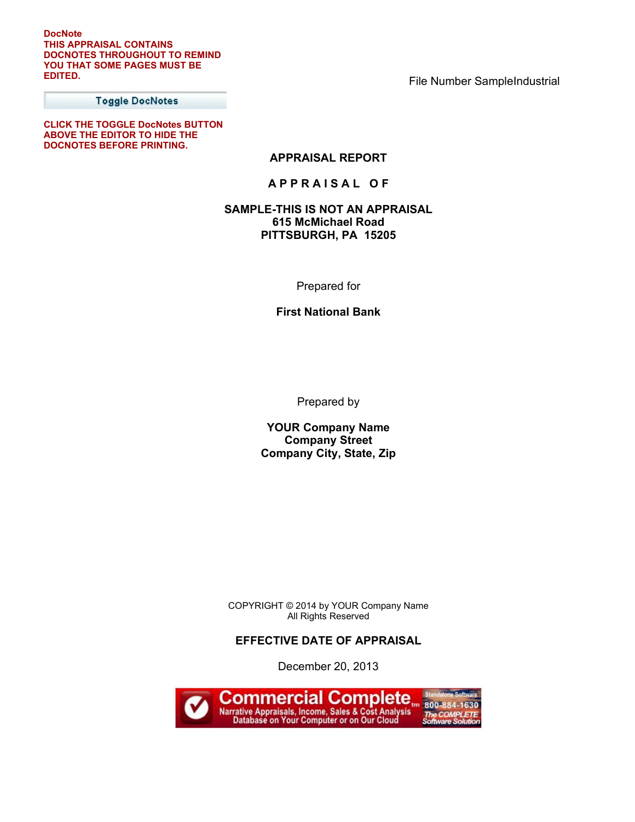#### **DocNote THIS APPRAISAL CONTAINS DOCNOTES THROUGHOUT TO REMIND YOU THAT SOME PAGES MUST BE EDITED.**

File Number SampleIndustrial

#### **Toggle DocNotes**

**CLICK THE TOGGLE DocNotes BUTTON ABOVE THE EDITOR TO HIDE THE DOCNOTES BEFORE PRINTING.**

#### **APPRAISAL REPORT**

#### **A P P R A I S A L O F**

#### **SAMPLE-THIS IS NOT AN APPRAISAL 615 McMichael Road PITTSBURGH, PA 15205**

Prepared for

**First National Bank**

Prepared by

**YOUR Company Name Company Street Company City, State, Zip**

COPYRIGHT © 2014 by YOUR Company Name All Rights Reserved

**EFFECTIVE DATE OF APPRAISAL**

December 20, 2013

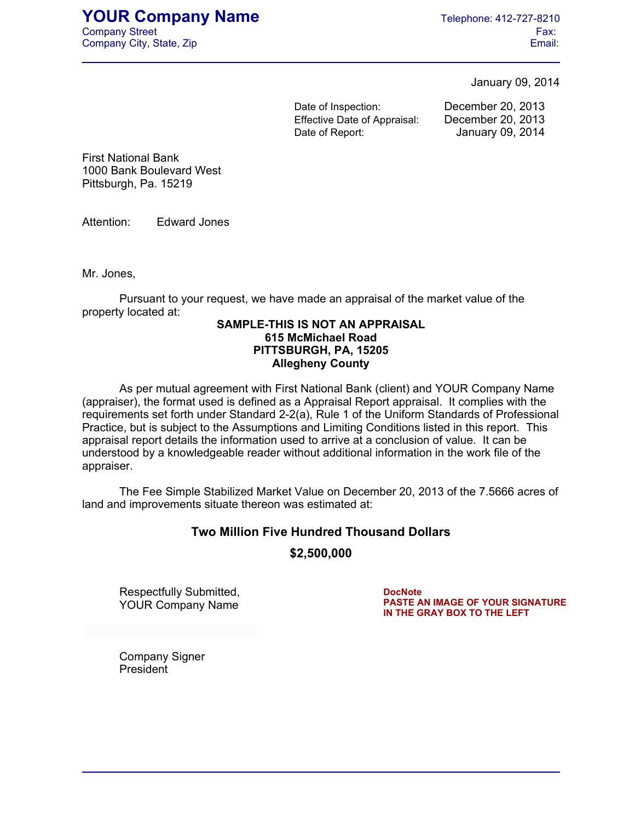January 09, 2014

Date of Inspection: December 20, 2013 Effective Date of Appraisal: December 20, 2013 Date of Report: January 09, 2014

First National Bank 1000 Bank Boulevard West Pittsburgh, Pa. 15219

Attention: Edward Jones

Mr. Jones,

Pursuant to your request, we have made an appraisal of the market value of the property located at:

#### **SAMPLE-THIS IS NOT AN APPRAISAL 615 McMichael Road PITTSBURGH, PA, 15205 Allegheny County**

As per mutual agreement with First National Bank (client) and YOUR Company Name (appraiser), the format used is defined as a Appraisal Report appraisal. It complies with the requirements set forth under Standard 2-2(a), Rule 1 of the Uniform Standards of Professional Practice, but is subject to the Assumptions and Limiting Conditions listed in this report. This appraisal report details the information used to arrive at a conclusion of value. It can be understood by a knowledgeable reader without additional information in the work file of the appraiser.

The Fee Simple Stabilized Market Value on December 20, 2013 of the 7.5666 acres of land and improvements situate thereon was estimated at:

# **Two Million Five Hundred Thousand Dollars**

**\$2,500,000**

Respectfully Submitted, YOUR Company Name

**DocNote PASTE AN IMAGE OF YOUR SIGNATURE IN THE GRAY BOX TO THE LEFT**

Company Signer President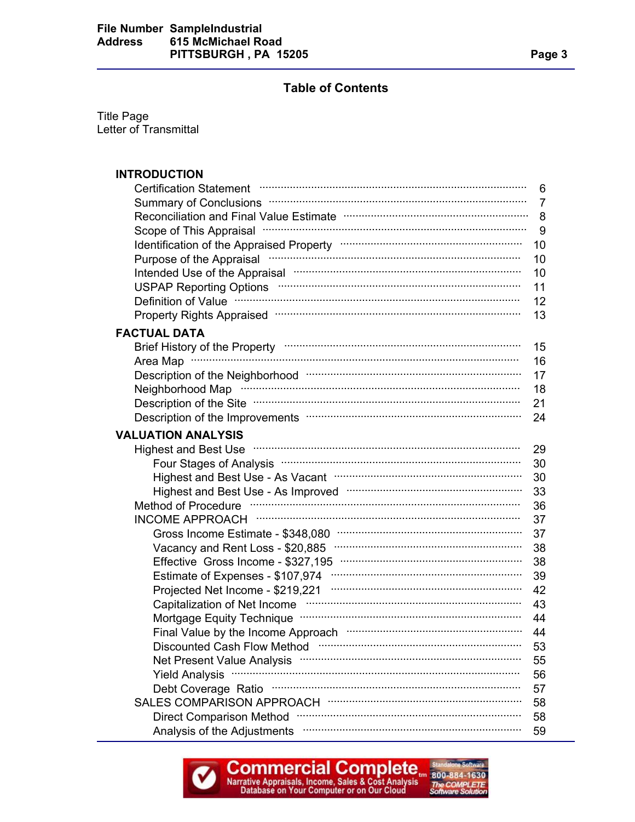# **Table of Contents**

# Title Page<br>Letter of Transmittal

# **INTRODUCTION**

| Certification Statement manufactured and control of the control of the control of the control of the control of                                                                                                                                                                                                                                                                                                                                                     | 6              |
|---------------------------------------------------------------------------------------------------------------------------------------------------------------------------------------------------------------------------------------------------------------------------------------------------------------------------------------------------------------------------------------------------------------------------------------------------------------------|----------------|
| Summary of Conclusions manufactured and contract to Conclusions and Summary of Conclusions                                                                                                                                                                                                                                                                                                                                                                          | $\overline{7}$ |
| Reconciliation and Final Value Estimate manufacture and reconciliation and Final Value Estimate manufacture                                                                                                                                                                                                                                                                                                                                                         | 8              |
| Scope of This Appraisal manufactured and all and state of This Appraisal manufactured and all and service of                                                                                                                                                                                                                                                                                                                                                        | $\overline{9}$ |
|                                                                                                                                                                                                                                                                                                                                                                                                                                                                     | 10             |
| Purpose of the Appraisal manufactured and all propose of the Appraisal                                                                                                                                                                                                                                                                                                                                                                                              | 10             |
| Intended Use of the Appraisal manufactured and all the advertised use of the Appraisal manufactured and the str                                                                                                                                                                                                                                                                                                                                                     | 10             |
| USPAP Reporting Options manufactured and the Reporting Options and the manufactured and the USPAP Reporting                                                                                                                                                                                                                                                                                                                                                         | 11             |
| Definition of Value manufactured and all the manufactured values of Value                                                                                                                                                                                                                                                                                                                                                                                           | 12             |
| Property Rights Appraised manufactured and property Rights Appraised                                                                                                                                                                                                                                                                                                                                                                                                | 13             |
| <b>FACTUAL DATA</b>                                                                                                                                                                                                                                                                                                                                                                                                                                                 |                |
| Brief History of the Property manufacture and the Microsoft History of the Property manufacture and the United                                                                                                                                                                                                                                                                                                                                                      | 15             |
| Area Map                                                                                                                                                                                                                                                                                                                                                                                                                                                            | 16             |
| Description of the Neighborhood manufacture and contain an account of the Neighborhood                                                                                                                                                                                                                                                                                                                                                                              | 17             |
| Neighborhood Map minimum minimum minimum minimum minimum minimum                                                                                                                                                                                                                                                                                                                                                                                                    | 18             |
| Description of the Site manuscription of the Site                                                                                                                                                                                                                                                                                                                                                                                                                   | 21             |
|                                                                                                                                                                                                                                                                                                                                                                                                                                                                     | 24             |
| <b>VALUATION ANALYSIS</b>                                                                                                                                                                                                                                                                                                                                                                                                                                           |                |
| $\begin{minipage}{0.5\textwidth} \begin{tabular}{ c c c } \hline \multicolumn{1}{ c }{p} & \multicolumn{1}{ c }{p} & \multicolumn{1}{ c }{p} & \multicolumn{1}{ c }{p} & \multicolumn{1}{ c }{p} & \multicolumn{1}{ c }{p} & \multicolumn{1}{ c }{p} & \multicolumn{1}{ c }{p} & \multicolumn{1}{ c }{p} & \multicolumn{1}{ c }{p} & \multicolumn{1}{ c }{p} & \multicolumn{1}{ c }{p} & \multicolumn{1}{ c }{p} & \multicolumn{1}{$<br><b>Highest and Best Use</b> | 29             |
| Four Stages of Analysis manufactured and all and stages of Analysis manufactured and all analysis and all analysis                                                                                                                                                                                                                                                                                                                                                  | 30             |
|                                                                                                                                                                                                                                                                                                                                                                                                                                                                     | 30             |
| Highest and Best Use - As Improved monominal continuum control of the Highest and Best Use - As Improved monomon                                                                                                                                                                                                                                                                                                                                                    | 33             |
| Method of Procedure manufacture and all the manufacture of Procedure                                                                                                                                                                                                                                                                                                                                                                                                | 36             |
|                                                                                                                                                                                                                                                                                                                                                                                                                                                                     | 37             |
|                                                                                                                                                                                                                                                                                                                                                                                                                                                                     | 37             |
| Vacancy and Rent Loss - \$20,885 mmmmmmmmmmmmmmmmmmm                                                                                                                                                                                                                                                                                                                                                                                                                | 38             |
|                                                                                                                                                                                                                                                                                                                                                                                                                                                                     | 38             |
|                                                                                                                                                                                                                                                                                                                                                                                                                                                                     | 39             |
|                                                                                                                                                                                                                                                                                                                                                                                                                                                                     | 42             |
|                                                                                                                                                                                                                                                                                                                                                                                                                                                                     | 43             |
|                                                                                                                                                                                                                                                                                                                                                                                                                                                                     | 44             |
|                                                                                                                                                                                                                                                                                                                                                                                                                                                                     | 44             |
| Discounted Cash Flow Method                                                                                                                                                                                                                                                                                                                                                                                                                                         | 53             |
| Net Present Value Analysis                                                                                                                                                                                                                                                                                                                                                                                                                                          | 55             |
| <b>Yield Analysis</b>                                                                                                                                                                                                                                                                                                                                                                                                                                               | 56             |
| Debt Coverage Ratio                                                                                                                                                                                                                                                                                                                                                                                                                                                 | 57             |
| SALES COMPARISON APPROACH municipalization and contract of the SALES COMPARISON APPROACH                                                                                                                                                                                                                                                                                                                                                                            | 58             |
| <b>Direct Comparison Method</b>                                                                                                                                                                                                                                                                                                                                                                                                                                     | 58             |
| Analysis of the Adjustments                                                                                                                                                                                                                                                                                                                                                                                                                                         | 59             |
|                                                                                                                                                                                                                                                                                                                                                                                                                                                                     |                |

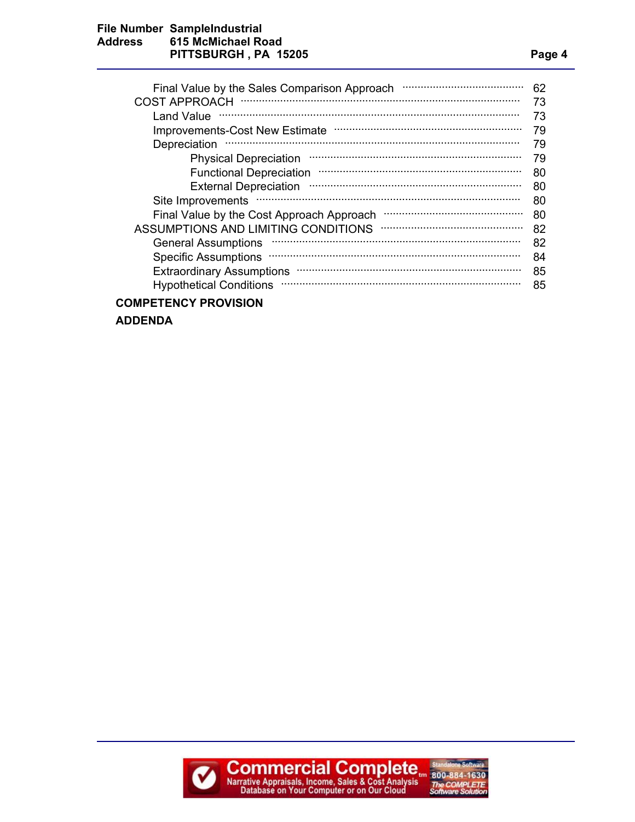| Final Value by the Sales Comparison Approach<br>                                                               | 62 |
|----------------------------------------------------------------------------------------------------------------|----|
| <b>COST APPROACH</b>                                                                                           | 73 |
| Land Value                                                                                                     | 73 |
| Improvements-Cost New Estimate manufactured and announcements-Cost New Estimate manufactured and announcements | 79 |
| Depreciation                                                                                                   | 79 |
| <b>Physical Depreciation</b>                                                                                   | 79 |
| <b>Functional Depreciation</b>                                                                                 | 80 |
| <b>External Depreciation</b>                                                                                   | 80 |
| Site Improvements                                                                                              | 80 |
| Final Value by the Cost Approach Approach                                                                      | 80 |
| ASSUMPTIONS AND LIMITING CONDITIONS                                                                            | 82 |
| <b>General Assumptions</b>                                                                                     | 82 |
| <b>Specific Assumptions</b>                                                                                    | 84 |
| <b>Extraordinary Assumptions</b>                                                                               | 85 |
| <b>Hypothetical Conditions</b>                                                                                 | 85 |
|                                                                                                                |    |

# **COMPETENCY PROVISION**

**ADDENDA** 

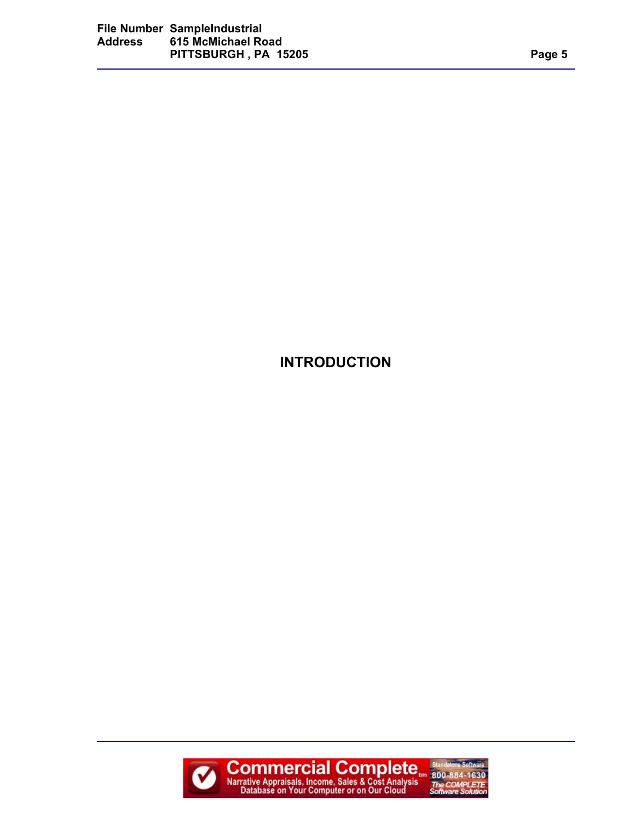# **INTRODUCTION**

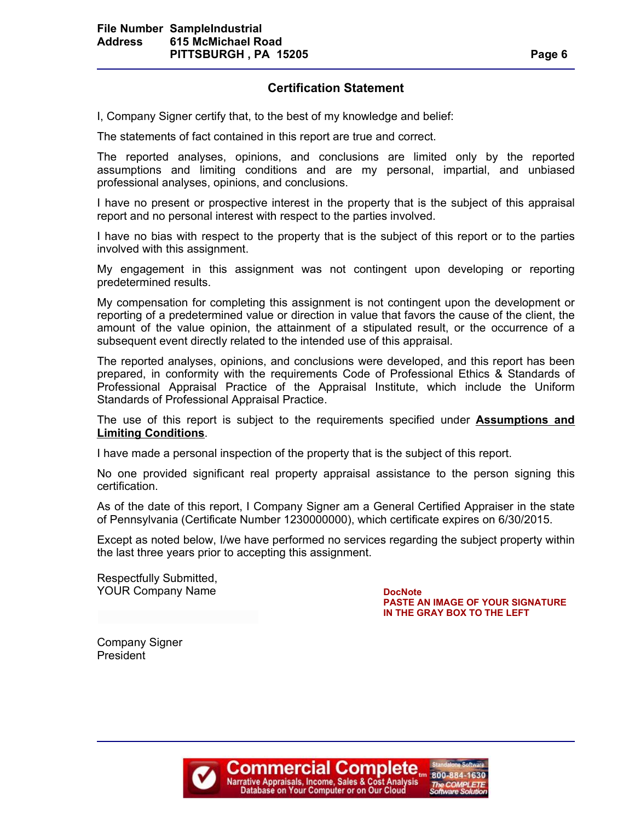# **Certification Statement**

I, Company Signer certify that, to the best of my knowledge and belief:

The statements of fact contained in this report are true and correct.

The reported analyses, opinions, and conclusions are limited only by the reported assumptions and limiting conditions and are my personal, impartial, and unbiased professional analyses, opinions, and conclusions.

I have no present or prospective interest in the property that is the subject of this appraisal report and no personal interest with respect to the parties involved.

I have no bias with respect to the property that is the subject of this report or to the parties involved with this assignment.

My engagement in this assignment was not contingent upon developing or reporting predetermined results.

My compensation for completing this assignment is not contingent upon the development or reporting of a predetermined value or direction in value that favors the cause of the client, the amount of the value opinion, the attainment of a stipulated result, or the occurrence of a subsequent event directly related to the intended use of this appraisal.

The reported analyses, opinions, and conclusions were developed, and this report has been prepared, in conformity with the requirements Code of Professional Ethics & Standards of Professional Appraisal Practice of the Appraisal Institute, which include the Uniform Standards of Professional Appraisal Practice.

The use of this report is subject to the requirements specified under **Assumptions and Limiting Conditions**.

I have made a personal inspection of the property that is the subject of this report.

No one provided significant real property appraisal assistance to the person signing this certification.

As of the date of this report, I Company Signer am a General Certified Appraiser in the state of Pennsylvania (Certificate Number 1230000000), which certificate expires on 6/30/2015.

Except as noted below, I/we have performed no services regarding the subject property within the last three years prior to accepting this assignment.

Respectfully Submitted, YOUR Company Name

**DocNote PASTE AN IMAGE OF YOUR SIGNATURE IN THE GRAY BOX TO THE LEFT**

 $800 - 8$ 

**The COM**<br>Software S

Company Signer President

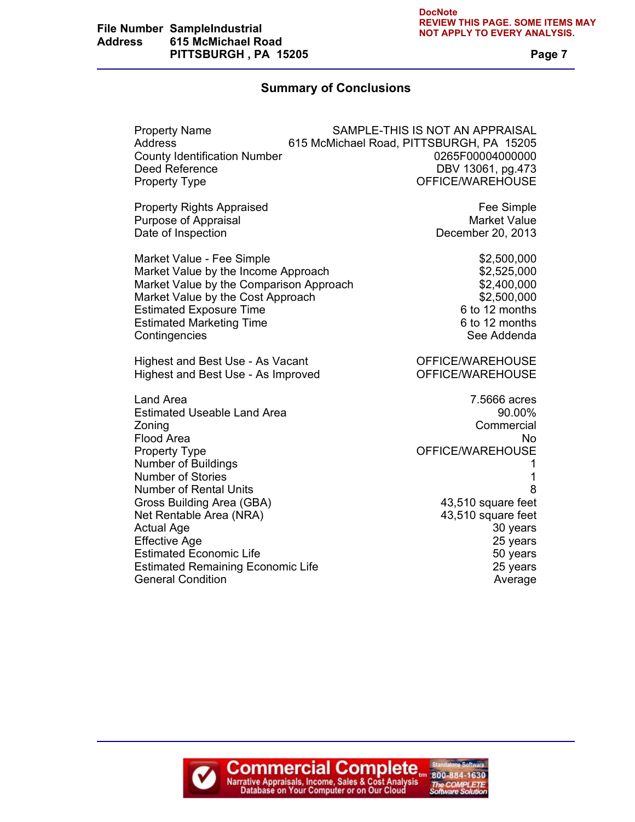# **Summary of Conclusions**

| <b>Property Name</b>                     | SAMPLE-THIS IS NOT AN APPRAISAL          |
|------------------------------------------|------------------------------------------|
| <b>Address</b>                           | 615 McMichael Road, PITTSBURGH, PA 15205 |
| <b>County Identification Number</b>      | 0265F00004000000                         |
| Deed Reference                           | DBV 13061, pg.473                        |
| <b>Property Type</b>                     | OFFICE/WAREHOUSE                         |
| <b>Property Rights Appraised</b>         | Fee Simple                               |
| Purpose of Appraisal                     | <b>Market Value</b>                      |
| Date of Inspection                       | December 20, 2013                        |
| Market Value - Fee Simple                | \$2,500,000                              |
| Market Value by the Income Approach      | \$2,525,000                              |
| Market Value by the Comparison Approach  | \$2,400,000                              |
| Market Value by the Cost Approach        | \$2,500,000                              |
| <b>Estimated Exposure Time</b>           | 6 to 12 months                           |
| <b>Estimated Marketing Time</b>          | 6 to 12 months                           |
| Contingencies                            | See Addenda                              |
| Highest and Best Use - As Vacant         | OFFICE/WAREHOUSE                         |
| Highest and Best Use - As Improved       | OFFICE/WAREHOUSE                         |
| Land Area                                | 7.5666 acres                             |
| <b>Estimated Useable Land Area</b>       | 90.00%                                   |
| Zoning                                   | Commercial                               |
| Flood Area                               | No                                       |
| Property Type                            | OFFICE/WAREHOUSE                         |
| <b>Number of Buildings</b>               | 1                                        |
| <b>Number of Stories</b>                 | 1                                        |
| <b>Number of Rental Units</b>            | 8                                        |
| Gross Building Area (GBA)                | 43,510 square feet                       |
| Net Rentable Area (NRA)                  | 43,510 square feet                       |
| <b>Actual Age</b>                        | 30 years                                 |
| <b>Effective Age</b>                     | 25 years                                 |
| <b>Estimated Economic Life</b>           | 50 years                                 |
| <b>Estimated Remaining Economic Life</b> | 25 years                                 |
| <b>General Condition</b>                 | Average                                  |

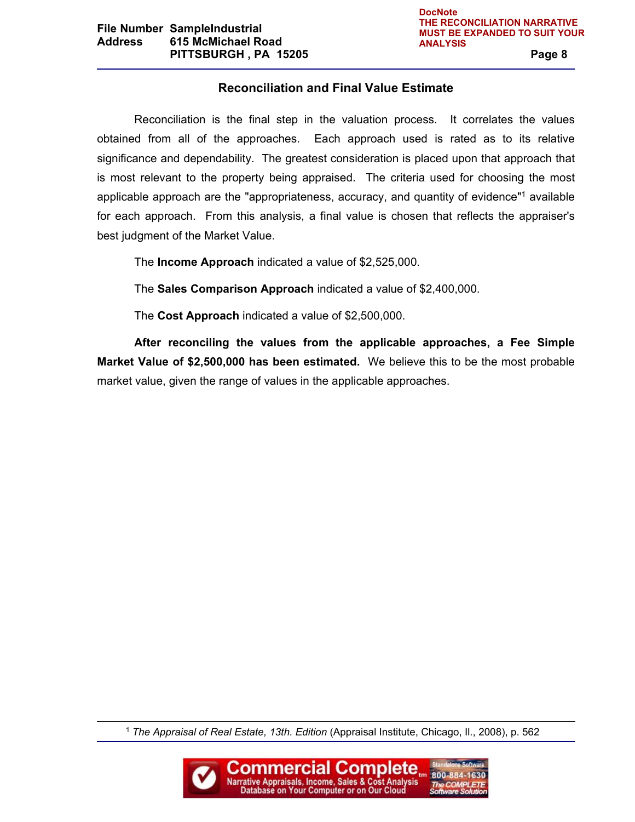# **Reconciliation and Final Value Estimate**

Reconciliation is the final step in the valuation process. It correlates the values obtained from all of the approaches. Each approach used is rated as to its relative significance and dependability. The greatest consideration is placed upon that approach that is most relevant to the property being appraised. The criteria used for choosing the most applicable approach are the "appropriateness, accuracy, and quantity of evidence"<sup>1</sup> available for each approach. From this analysis, a final value is chosen that reflects the appraiser's best judgment of the Market Value.

The **Income Approach** indicated a value of \$2,525,000. The **Sales Comparison Approach** indicated a value of \$2,400,000. The **Cost Approach** indicated a value of \$2,500,000.

**After reconciling the values from the applicable approaches, a Fee Simple Market Value of \$2,500,000 has been estimated.** We believe this to be the most probable market value, given the range of values in the applicable approaches.

<sup>1</sup> *The Appraisal of Real Estate, 13th. Edition* (Appraisal Institute, Chicago, Il., 2008), p. 562

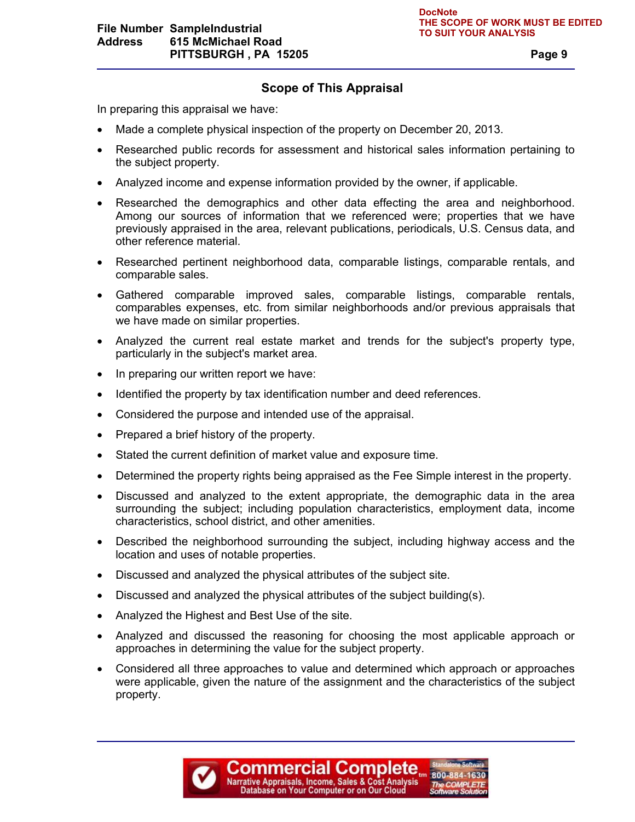# **Scope of This Appraisal**

In preparing this appraisal we have:

- Made a complete physical inspection of the property on December 20, 2013.
- · Researched public records for assessment and historical sales information pertaining to the subject property.
- · Analyzed income and expense information provided by the owner, if applicable.
- · Researched the demographics and other data effecting the area and neighborhood. Among our sources of information that we referenced were; properties that we have previously appraised in the area, relevant publications, periodicals, U.S. Census data, and other reference material.
- · Researched pertinent neighborhood data, comparable listings, comparable rentals, and comparable sales.
- · Gathered comparable improved sales, comparable listings, comparable rentals, comparables expenses, etc. from similar neighborhoods and/or previous appraisals that we have made on similar properties.
- · Analyzed the current real estate market and trends for the subject's property type, particularly in the subject's market area.
- In preparing our written report we have:
- · Identified the property by tax identification number and deed references.
- · Considered the purpose and intended use of the appraisal.
- · Prepared a brief history of the property.
- · Stated the current definition of market value and exposure time.
- · Determined the property rights being appraised as the Fee Simple interest in the property.
- · Discussed and analyzed to the extent appropriate, the demographic data in the area surrounding the subject; including population characteristics, employment data, income characteristics, school district, and other amenities.
- · Described the neighborhood surrounding the subject, including highway access and the location and uses of notable properties.
- · Discussed and analyzed the physical attributes of the subject site.
- · Discussed and analyzed the physical attributes of the subject building(s).
- · Analyzed the Highest and Best Use of the site.
- · Analyzed and discussed the reasoning for choosing the most applicable approach or approaches in determining the value for the subject property.
- Considered all three approaches to value and determined which approach or approaches were applicable, given the nature of the assignment and the characteristics of the subject property.

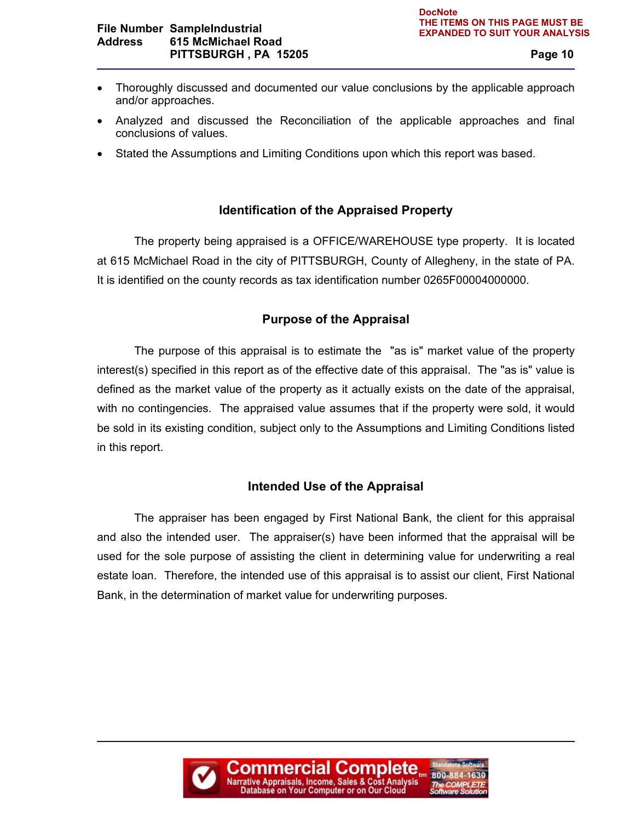- Thoroughly discussed and documented our value conclusions by the applicable approach and/or approaches.
- · Analyzed and discussed the Reconciliation of the applicable approaches and final conclusions of values.
- Stated the Assumptions and Limiting Conditions upon which this report was based.

# **Identification of the Appraised Property**

The property being appraised is a OFFICE/WAREHOUSE type property. It is located at 615 McMichael Road in the city of PITTSBURGH, County of Allegheny, in the state of PA.<br>It is identified on the county records as tax identification number 0265F00004000000.

# **Purpose of the Appraisal**

The purpose of this appraisal is to estimate the "as is" market value of the property interest(s) specified in this report as of the effective date of this appraisal. The "as is" value is defined as the market value of the property as it actually exists on the date of the appraisal, with no contingencies. The appraised value assumes that if the property were sold, it would be sold in its existing condition, subject only to the Assumptions and Limiting Conditions listed in this report.

# **Intended Use of the Appraisal**

The appraiser has been engaged by First National Bank, the client for this appraisal and also the intended user. The appraiser(s) have been informed that the appraisal will be used for the sole purpose of assisting the client in determining value for underwriting a real estate loan. Therefore, the intended use of this appraisal is to assist our client, First National Bank, in the determination of market value for underwriting purposes.

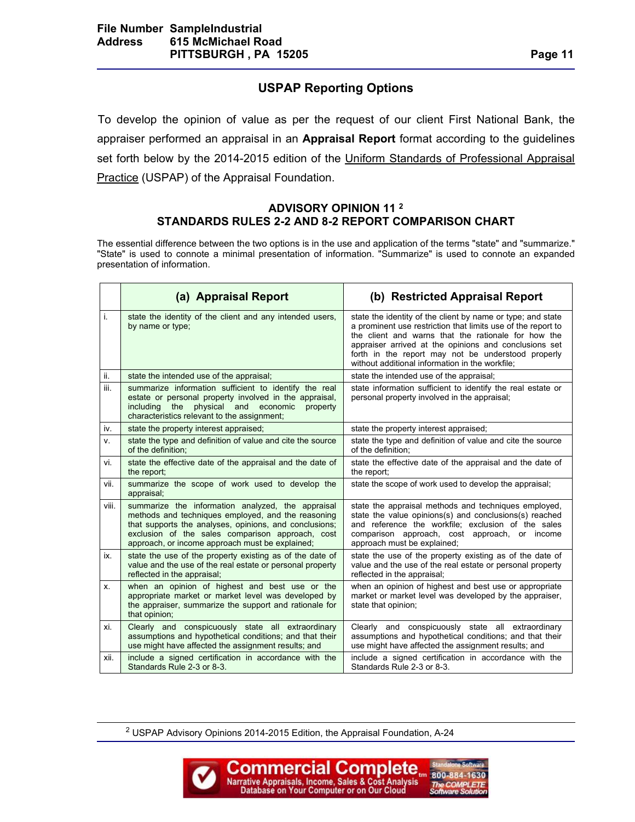# **USPAP Reporting Options**

To develop the opinion of value as per the request of our client First National Bank, the appraiser performed an appraisal in an **Appraisal Report** format according to the guidelines set forth below by the 2014-2015 edition of the Uniform Standards of Professional Appraisal Practice (USPAP) of the Appraisal Foundation.

### **ADVISORY OPINION 11 <sup>2</sup> STANDARDS RULES 2-2 AND 8-2 REPORT COMPARISON CHART**

The essential difference between the two options is in the use and application of the terms "state" and "summarize." "State" is used to connote a minimal presentation of information. "Summarize" is used to connote an expanded presentation of information.

|       | (a) Appraisal Report                                                                                                                                                                                                                                                     | (b) Restricted Appraisal Report                                                                                                                                                                                                                                                                                                                      |
|-------|--------------------------------------------------------------------------------------------------------------------------------------------------------------------------------------------------------------------------------------------------------------------------|------------------------------------------------------------------------------------------------------------------------------------------------------------------------------------------------------------------------------------------------------------------------------------------------------------------------------------------------------|
| j.    | state the identity of the client and any intended users,<br>by name or type;                                                                                                                                                                                             | state the identity of the client by name or type; and state<br>a prominent use restriction that limits use of the report to<br>the client and warns that the rationale for how the<br>appraiser arrived at the opinions and conclusions set<br>forth in the report may not be understood properly<br>without additional information in the workfile: |
| ii.   | state the intended use of the appraisal;                                                                                                                                                                                                                                 | state the intended use of the appraisal;                                                                                                                                                                                                                                                                                                             |
| iii.  | summarize information sufficient to identify the real<br>estate or personal property involved in the appraisal,<br>including the physical and economic<br>property<br>characteristics relevant to the assignment;                                                        | state information sufficient to identify the real estate or<br>personal property involved in the appraisal;                                                                                                                                                                                                                                          |
| iv.   | state the property interest appraised;                                                                                                                                                                                                                                   | state the property interest appraised;                                                                                                                                                                                                                                                                                                               |
| v.    | state the type and definition of value and cite the source<br>of the definition;                                                                                                                                                                                         | state the type and definition of value and cite the source<br>of the definition;                                                                                                                                                                                                                                                                     |
| vi.   | state the effective date of the appraisal and the date of<br>the report;                                                                                                                                                                                                 | state the effective date of the appraisal and the date of<br>the report:                                                                                                                                                                                                                                                                             |
| vii.  | summarize the scope of work used to develop the<br>appraisal;                                                                                                                                                                                                            | state the scope of work used to develop the appraisal;                                                                                                                                                                                                                                                                                               |
| viii. | summarize the information analyzed, the appraisal<br>methods and techniques employed, and the reasoning<br>that supports the analyses, opinions, and conclusions;<br>exclusion of the sales comparison approach, cost<br>approach, or income approach must be explained; | state the appraisal methods and techniques employed,<br>state the value opinions(s) and conclusions(s) reached<br>and reference the workfile; exclusion of the sales<br>comparison approach, cost approach, or income<br>approach must be explained;                                                                                                 |
| ix.   | state the use of the property existing as of the date of<br>value and the use of the real estate or personal property<br>reflected in the appraisal;                                                                                                                     | state the use of the property existing as of the date of<br>value and the use of the real estate or personal property<br>reflected in the appraisal;                                                                                                                                                                                                 |
| х.    | when an opinion of highest and best use or the<br>appropriate market or market level was developed by<br>the appraiser, summarize the support and rationale for<br>that opinion;                                                                                         | when an opinion of highest and best use or appropriate<br>market or market level was developed by the appraiser.<br>state that opinion:                                                                                                                                                                                                              |
| xi.   | Clearly and conspicuously state all extraordinary<br>assumptions and hypothetical conditions; and that their<br>use might have affected the assignment results; and                                                                                                      | Clearly and conspicuously state all extraordinary<br>assumptions and hypothetical conditions; and that their<br>use might have affected the assignment results; and                                                                                                                                                                                  |
| xii.  | include a signed certification in accordance with the<br>Standards Rule 2-3 or 8-3.                                                                                                                                                                                      | include a signed certification in accordance with the<br>Standards Rule 2-3 or 8-3.                                                                                                                                                                                                                                                                  |

<sup>2</sup> USPAP Advisory Opinions 2014-2015 Edition, the Appraisal Foundation, A-24

**nercial Complete** 

800-884-1

**The COM** 

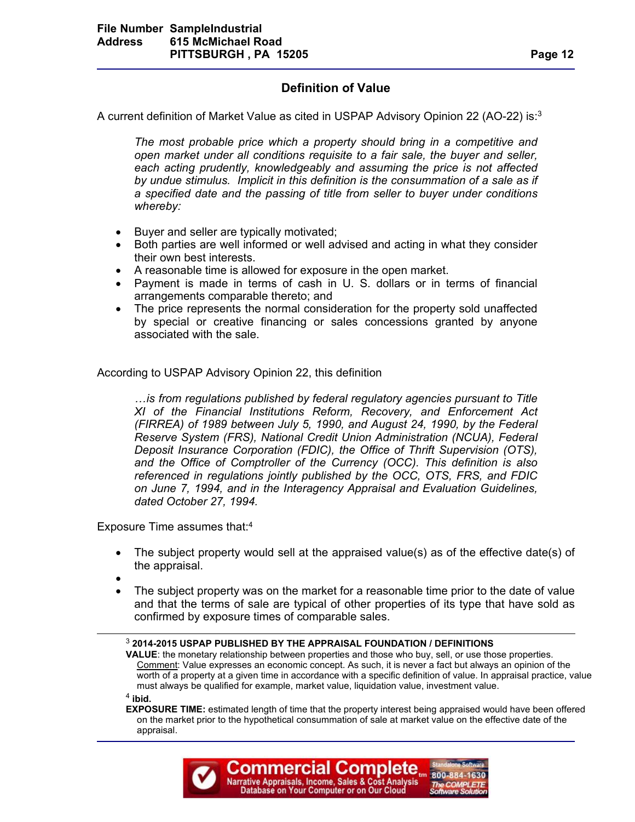# **Definition of Value**

A current definition of Market Value as cited in USPAP Advisory Opinion 22 (AO-22) is:<sup>3</sup>

*The most probable price which a property should bring in a competitive and open market under all conditions requisite to a fair sale, the buyer and seller, each acting prudently, knowledgeably and assuming the price is not affected by undue stimulus. Implicit in this definition is the consummation of a sale as if a specified date and the passing of title from seller to buyer under conditions whereby:*

- Buyer and seller are typically motivated;
- Both parties are well informed or well advised and acting in what they consider their own best interests.
- · A reasonable time is allowed for exposure in the open market.
- · Payment is made in terms of cash in U. S. dollars or in terms of financial arrangements comparable thereto; and
- The price represents the normal consideration for the property sold unaffected by special or creative financing or sales concessions granted by anyone associated with the sale.

According to USPAP Advisory Opinion 22, this definition

*… is from regulations published by federal regulatory agencies pursuant to Title XI of the Financial Institutions Reform, Recovery, and Enforcement Act (FIRREA) of 1989 between July 5, 1990, and August 24, 1990, by the Federal Reserve System (FRS), National Credit Union Administration (NCUA), Federal Deposit Insurance Corporation (FDIC), the Office of Thrift Supervision (OTS), and the Office of Comptroller of the Currency (OCC). This definition is also referenced in regulations jointly published by the OCC, OTS, FRS, and FDIC on June 7, 1994, and in the Interagency Appraisal and Evaluation Guidelines, dated October 27, 1994.*

Exposure Time assumes that:<sup>4</sup>

- The subject property would sell at the appraised value(s) as of the effective date(s) of the appraisal.
- ·
- The subject property was on the market for a reasonable time prior to the date of value and that the terms of sale are typical of other properties of its type that have sold as confirmed by exposure times of comparable sales.
	- <sup>3</sup> **2014-2015 USPAP PUBLISHED BY THE APPRAISAL FOUNDATION / DEFINITIONS**
	- **VALUE**: the monetary relationship between properties and those who buy, sell, or use those properties. Comment: Value expresses an economic concept. As such, it is never a fact but always an opinion of the worth of a property at a given time in accordance with a specific definition of value. In appraisal practice, value must always be qualified for example, market value, liquidation value, investment value.

4 **ibid.**

**EXPOSURE TIME:** estimated length of time that the property interest being appraised would have been offered on the market prior to the hypothetical consummation of sale at market value on the effective date of the appraisal.

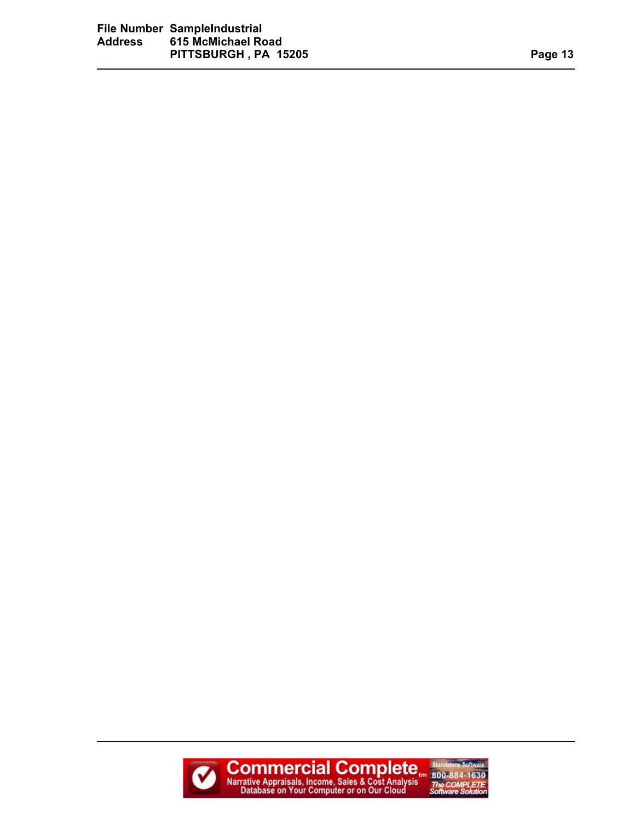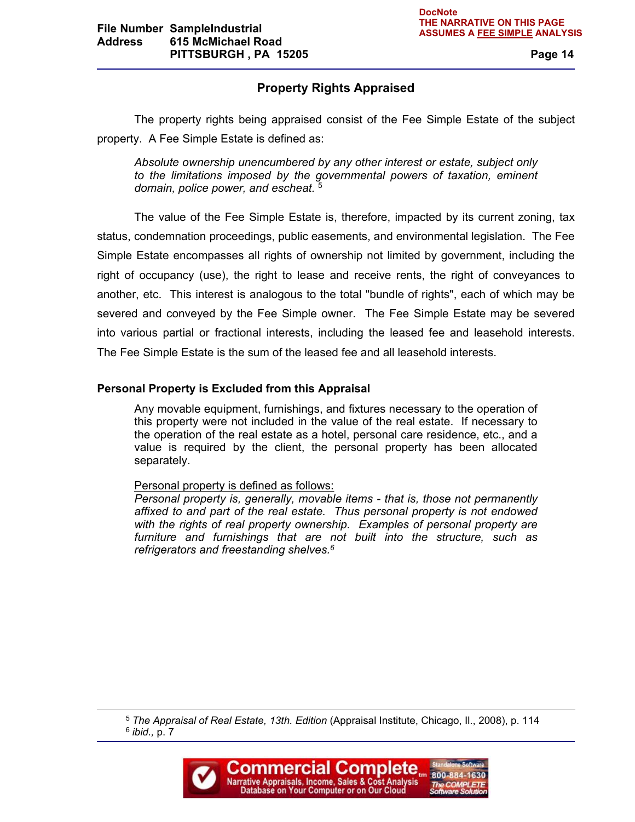# **Property Rights Appraised**

The property rights being appraised consist of the Fee Simple Estate of the subject property. A Fee Simple Estate is defined as:

*Absolute ownership unencumbered by any other interest or estate, subject only to the limitations imposed by the governmental powers of taxation, eminent domain, police power, and escheat.* <sup>5</sup>

The value of the Fee Simple Estate is, therefore, impacted by its current zoning, tax status, condemnation proceedings, public easements, and environmental legislation. The Fee Simple Estate encompasses all rights of ownership not limited by government, including the right of occupancy (use), the right to lease and receive rents, the right of conveyances to another, etc. This interest is analogous to the total "bundle of rights", each of which may be severed and conveyed by the Fee Simple owner. The Fee Simple Estate may be severed into various partial or fractional interests, including the leased fee and leasehold interests. The Fee Simple Estate is the sum of the leased fee and all leasehold interests.

# **Personal Property is Excluded from this Appraisal**

Any movable equipment, furnishings, and fixtures necessary to the operation of this property were not included in the value of the real estate. If necessary to the operation of the real estate as a hotel, personal care residence, etc., and a value is required by the client, the personal property has been allocated separately.

#### Personal property is defined as follows:

*Personal property is, generally, movable items - that is, those not permanently affixed to and part of the real estate. Thus personal property is not endowed with the rights of real property ownership. Examples of personal property are furniture and furnishings that are not built into the structure, such as refrigerators and freestanding shelves.<sup>6</sup>*

<sup>5</sup> *The Appraisal of Real Estate, 13th. Edition* (Appraisal Institute, Chicago, Il., 2008), p. 114 6 *ibid.,* p. 7

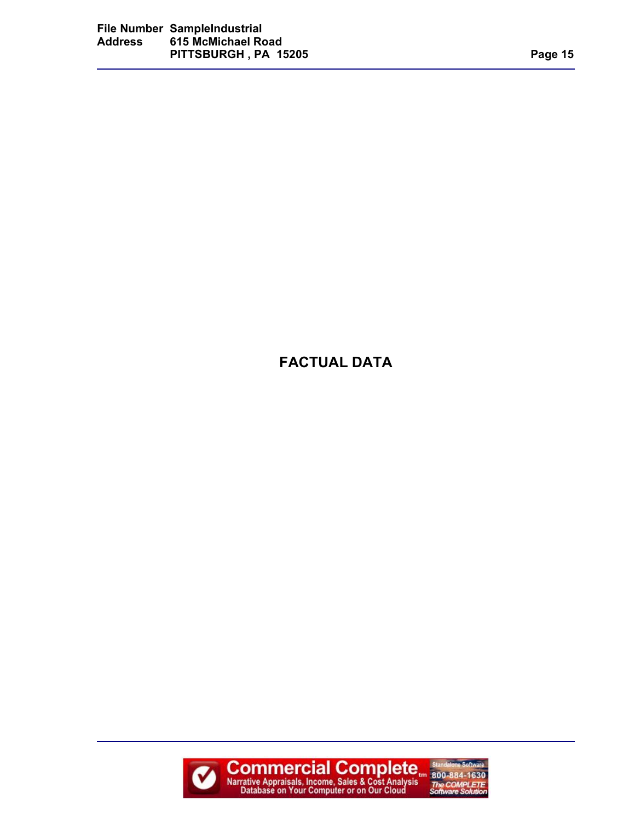# **FACTUAL DATA**

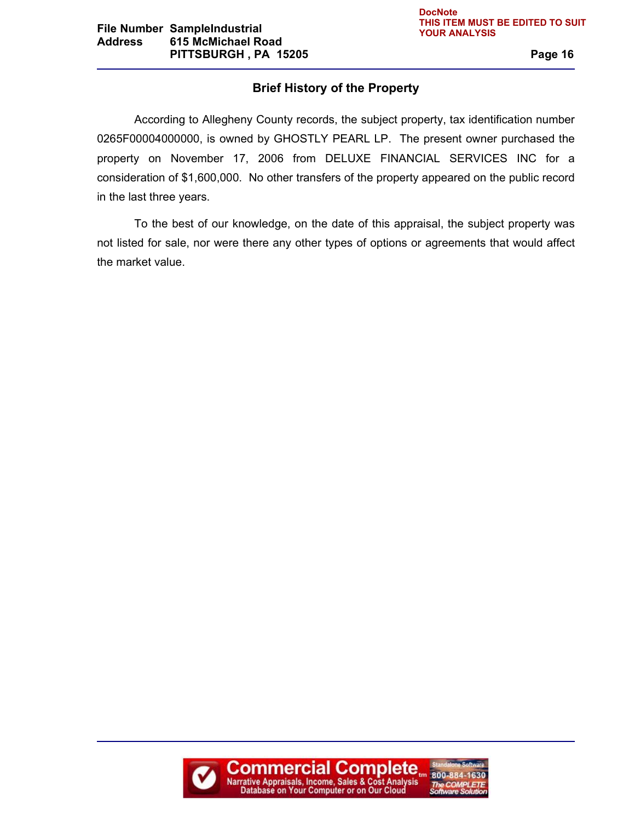# **Brief History of the Property**

According to Allegheny County records, the subject property, tax identification number 0265F00004000000, is owned by GHOSTLY PEARL LP. The present owner purchased the property on November 17, 2006 from DELUXE FINANCIAL SERVICES INC for a consideration of \$1,600,000. No other transfers of the property appeared on the public record in the last three years.

To the best of our knowledge, on the date of this appraisal, the subject property was not listed for sale, nor were there any other types of options or agreements that would affect the market value.

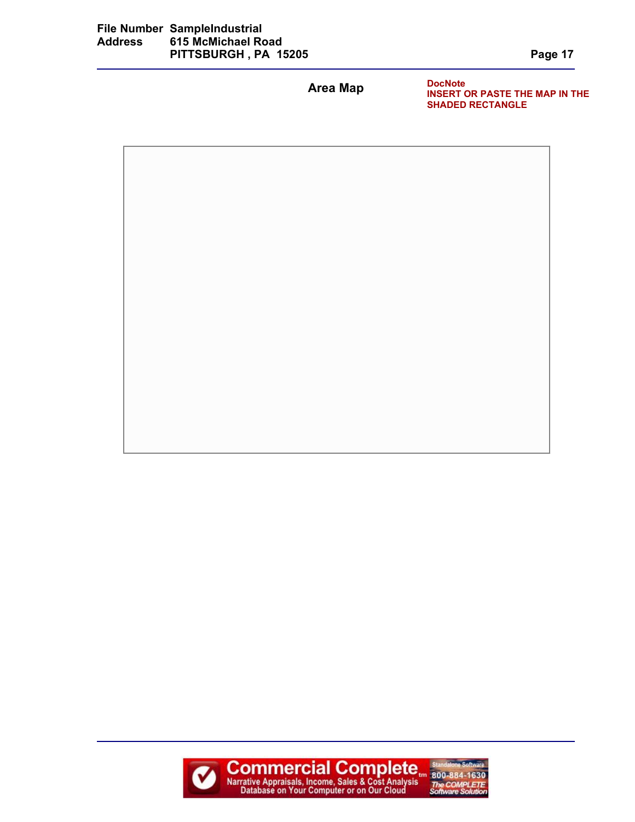**Area Map DocNote**

**INSERT OR PASTE THE MAP IN THE SHADED RECTANGLE**

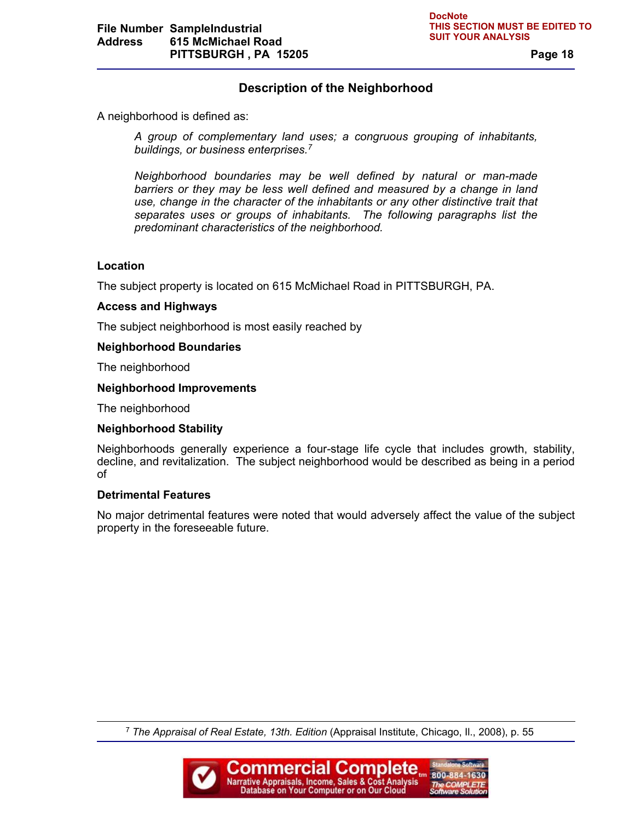# **Description of the Neighborhood**

A neighborhood is defined as:

*A group of complementary land uses; a congruous grouping of inhabitants, buildings, or business enterprises.<sup>7</sup>*

*Neighborhood boundaries may be well defined by natural or man-made barriers or they may be less well defined and measured by a change in land use, change in the character of the inhabitants or any other distinctive trait that separates uses or groups of inhabitants. The following paragraphs list the predominant characteristics of the neighborhood.*

#### **Location**

The subject property is located on 615 McMichael Road in PITTSBURGH, PA.

#### **Access and Highways**

The subject neighborhood is most easily reached by

#### **Neighborhood Boundaries**

The neighborhood

#### **Neighborhood Improvements**

The neighborhood

#### **Neighborhood Stability**

Neighborhoods generally experience a four-stage life cycle that includes growth, stability, decline, and revitalization. The subject neighborhood would be described as being in a period of

#### **Detrimental Features**

No major detrimental features were noted that would adversely affect the value of the subject property in the foreseeable future.

<sup>7</sup> *The Appraisal of Real Estate, 13th. Edition* (Appraisal Institute, Chicago, Il., 2008), p. 55

ercial Complete

 $800 - 8$ 

The COA

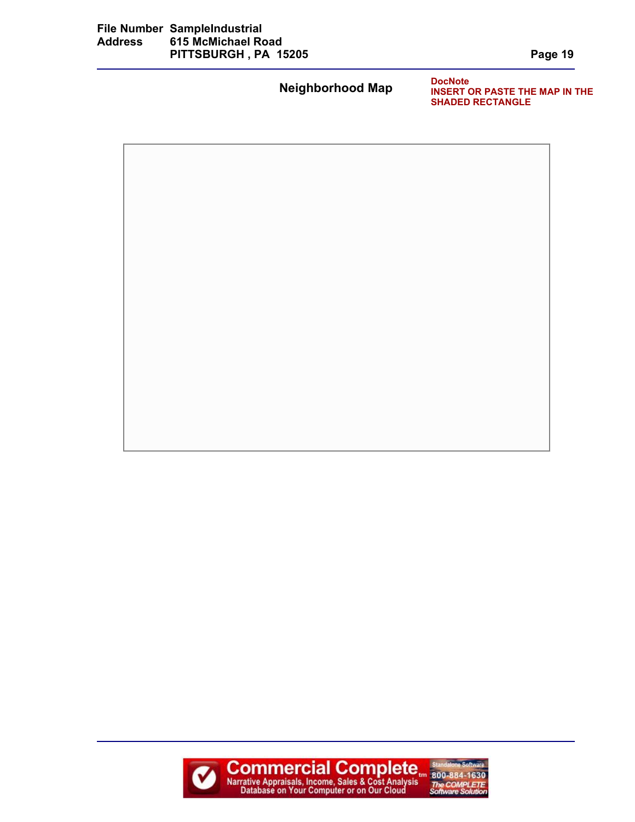# **Neighborhood Map DocNote**<br> **NABP DOCNOTE**

**INSERT OR PASTE THE MAP IN THE SHADED RECTANGLE**

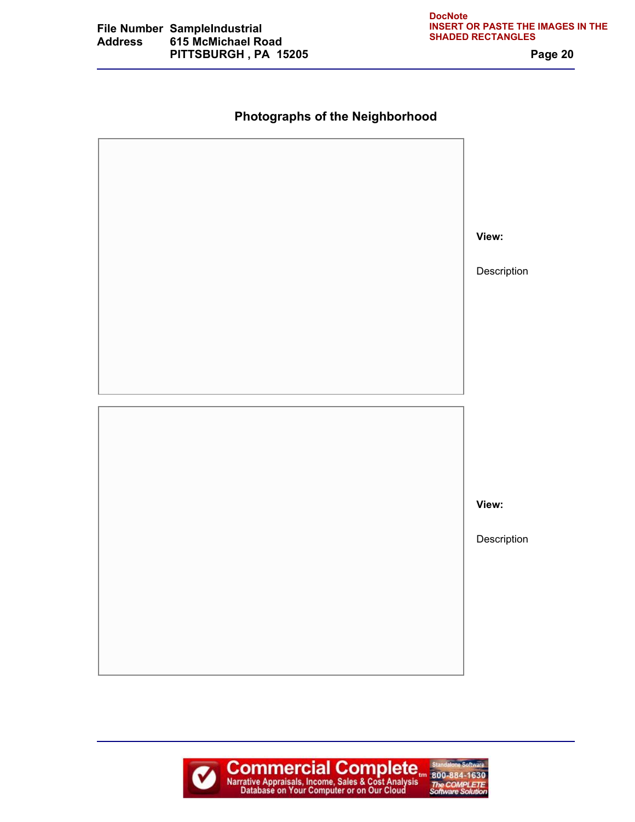



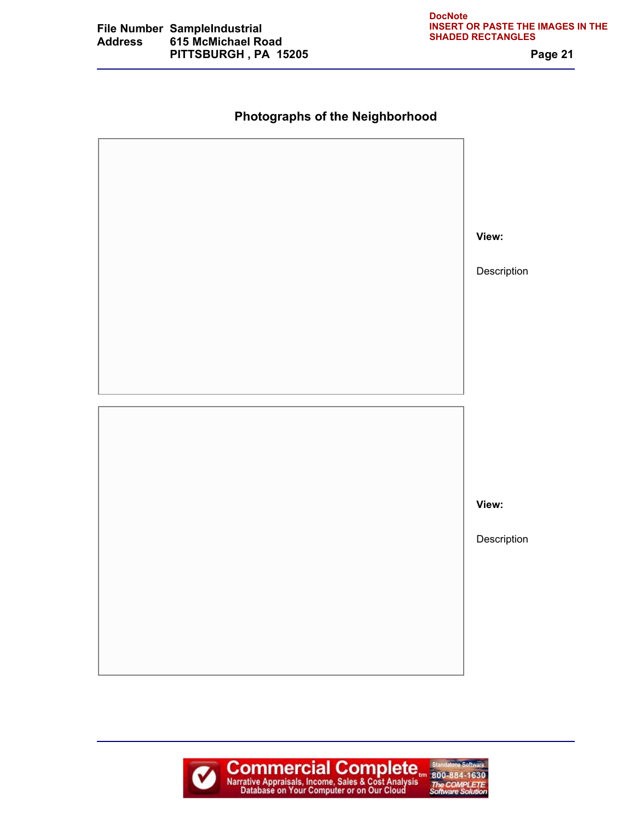



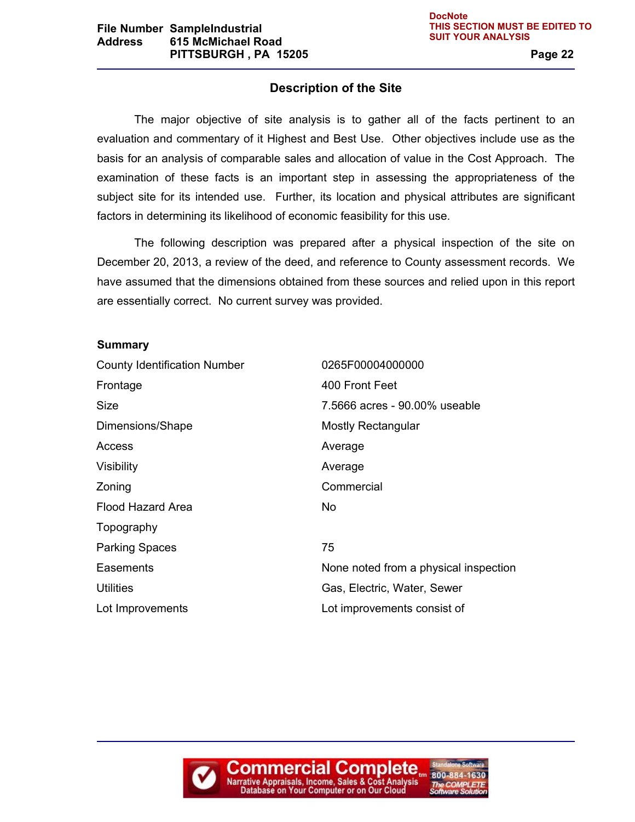# **Description of the Site**

The major objective of site analysis is to gather all of the facts pertinent to an evaluation and commentary of it Highest and Best Use. Other objectives include use as the basis for an analysis of comparable sales and allocation of value in the Cost Approach. The examination of these facts is an important step in assessing the appropriateness of the subject site for its intended use. Further, its location and physical attributes are significant factors in determining its likelihood of economic feasibility for this use.

The following description was prepared after a physical inspection of the site on December 20, 2013, a review of the deed, and reference to County assessment records. We have assumed that the dimensions obtained from these sources and relied upon in this report are essentially correct. No current survey was provided.

#### **Summary**

| 0265F00004000000                      |
|---------------------------------------|
| 400 Front Feet                        |
| 7.5666 acres - 90.00% useable         |
| <b>Mostly Rectangular</b>             |
| Average                               |
| Average                               |
| Commercial                            |
| No                                    |
|                                       |
| 75                                    |
| None noted from a physical inspection |
| Gas, Electric, Water, Sewer           |
| Lot improvements consist of           |
|                                       |

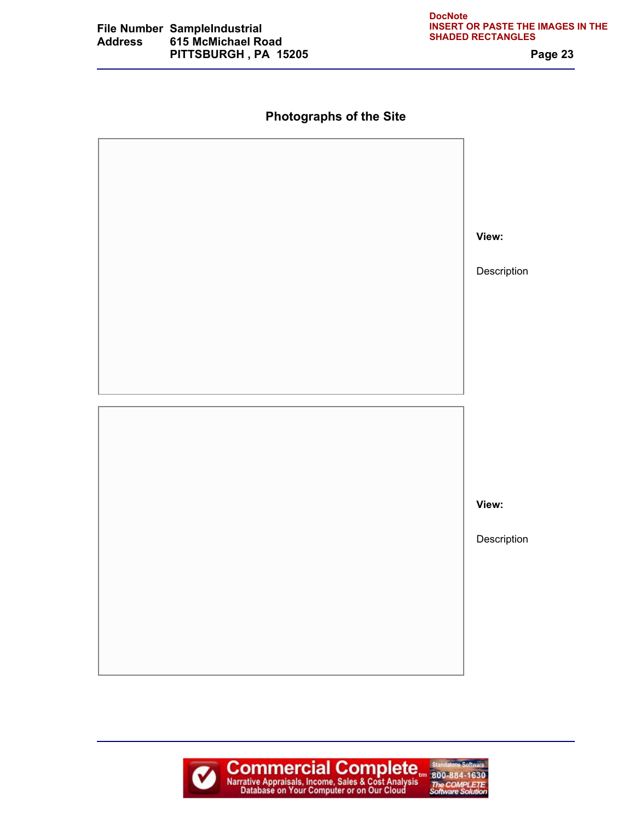

# **Photographs of the Site**

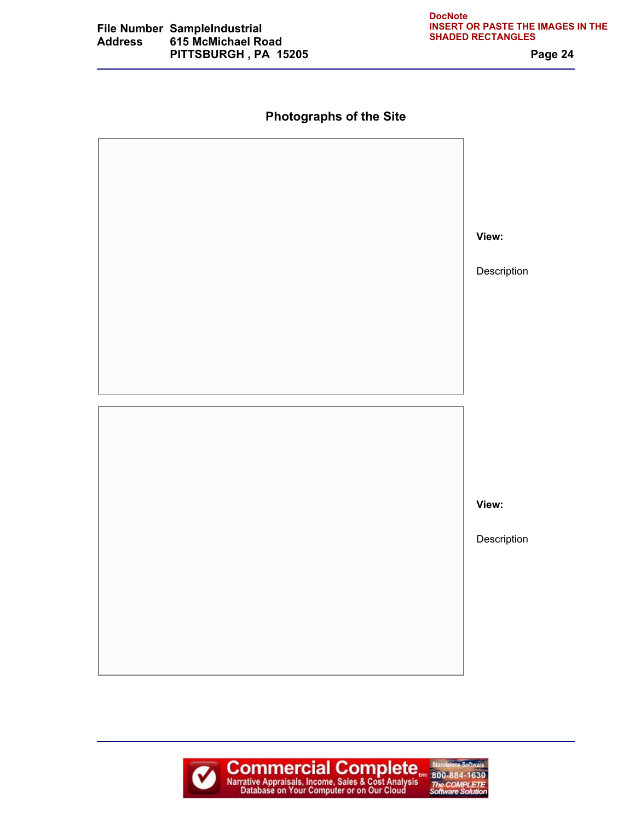

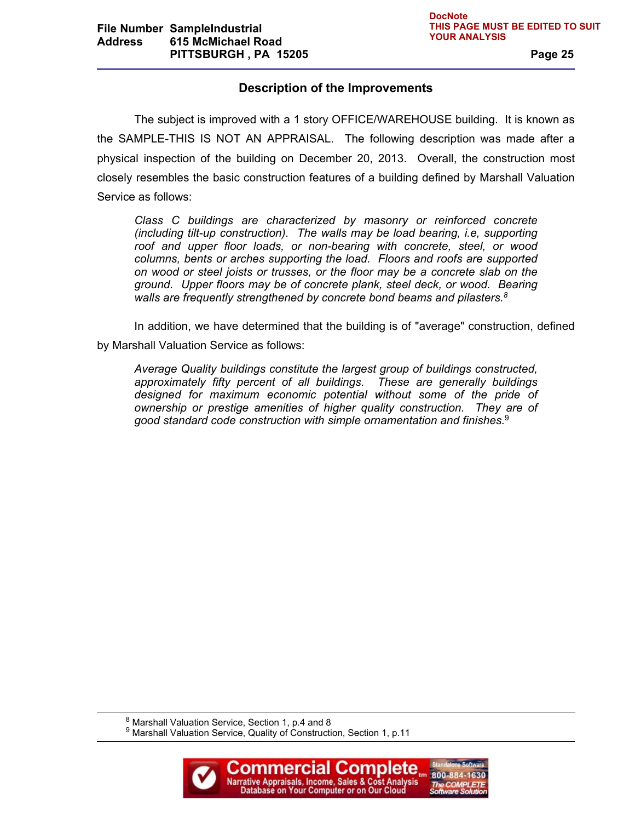# **Description of the Improvements**

The subject is improved with a 1 story OFFICE/WAREHOUSE building. It is known as the SAMPLE-THIS IS NOT AN APPRAISAL. The following description was made after a physical inspection of the building on December 20, 2013. Overall, the construction most closely resembles the basic construction features of a building defined by Marshall Valuation Service as follows:

*Class C buildings are characterized by masonry or reinforced concrete (including tilt-up construction). The walls may be load bearing, i.e, supporting roof and upper floor loads, or non-bearing with concrete, steel, or wood columns, bents or arches supporting the load. Floors and roofs are supported on wood or steel joists or trusses, or the floor may be a concrete slab on the ground. Upper floors may be of concrete plank, steel deck, or wood. Bearing walls are frequently strengthened by concrete bond beams and pilasters.<sup>8</sup>*

In addition, we have determined that the building is of "average" construction, defined by Marshall Valuation Service as follows:

*Average Quality buildings constitute the largest group of buildings constructed, approximately fifty percent of all buildings. These are generally buildings designed for maximum economic potential without some of the pride of ownership or prestige amenities of higher quality construction. They are of good standard code construction with simple ornamentation and finishes.*<sup>9</sup>

<sup>8</sup> Marshall Valuation Service, Section 1, p.4 and 8

<sup>9</sup> Marshall Valuation Service, Quality of Construction, Section 1, p.11

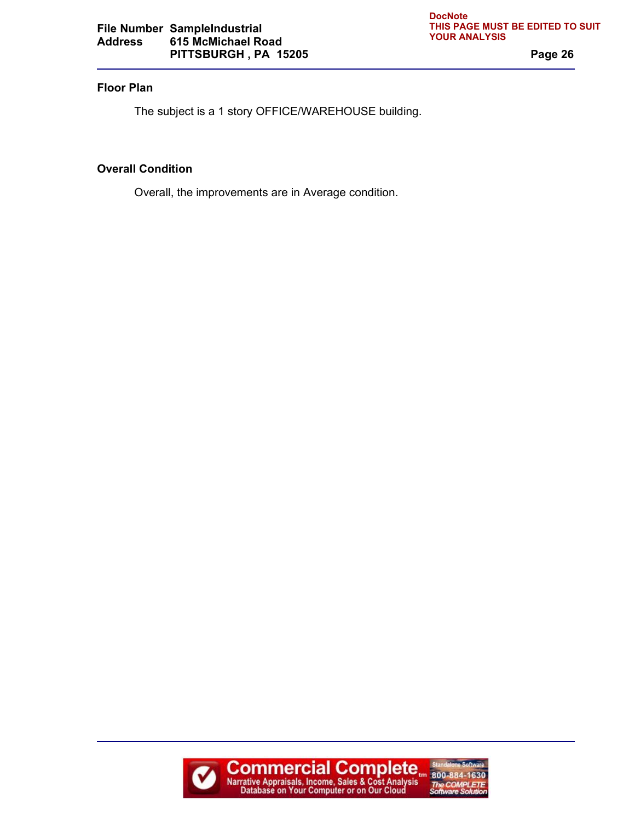#### **Floor Plan**

The subject is a 1 story OFFICE/WAREHOUSE building.

#### **Overall Condition**

Overall, the improvements are in Average condition.

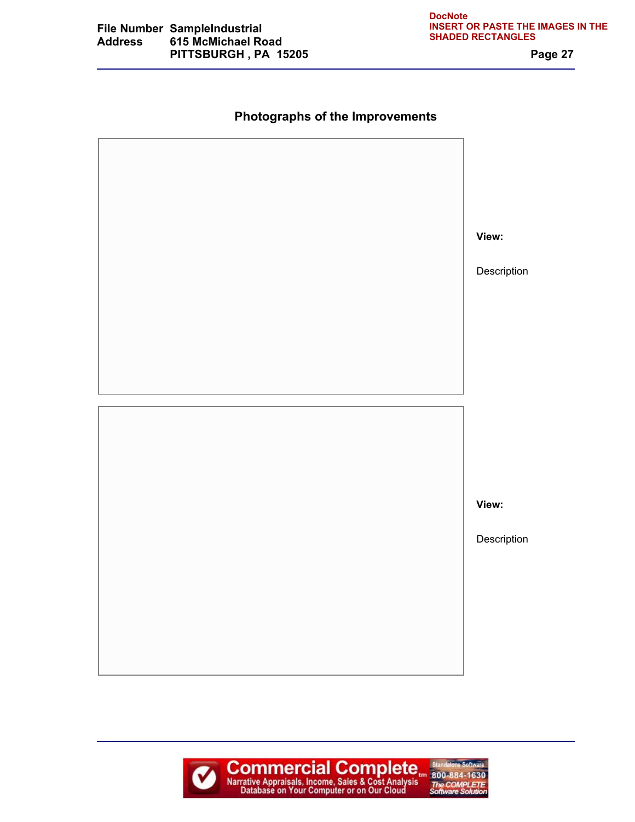



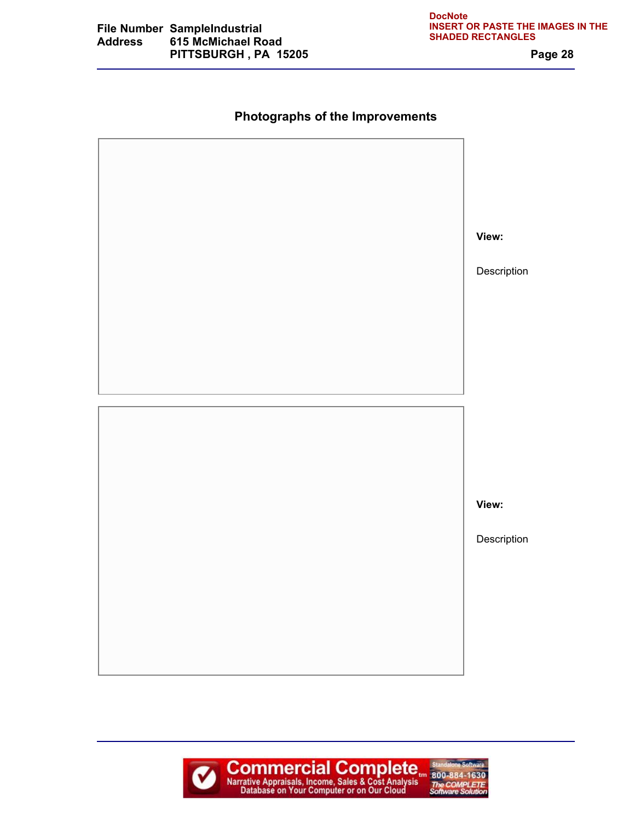

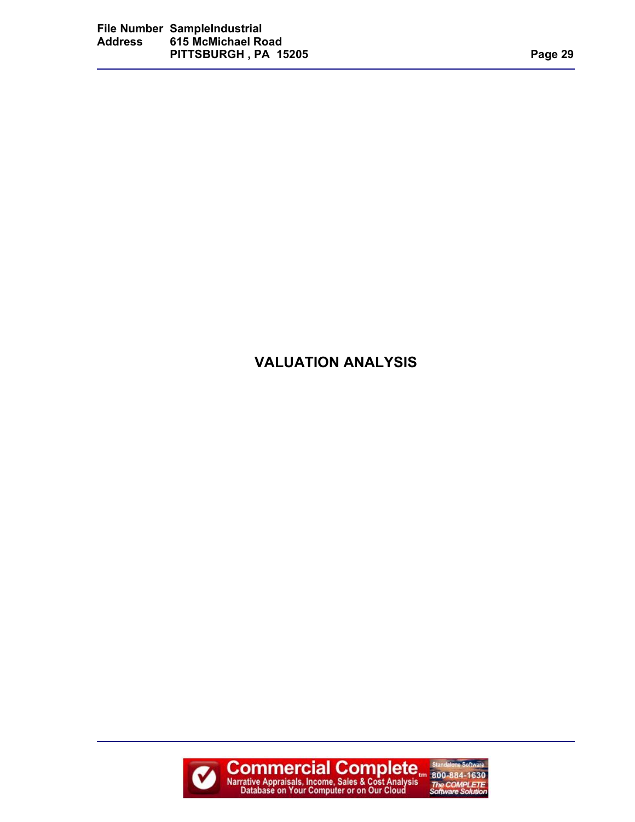# **VALUATION ANALYSIS**

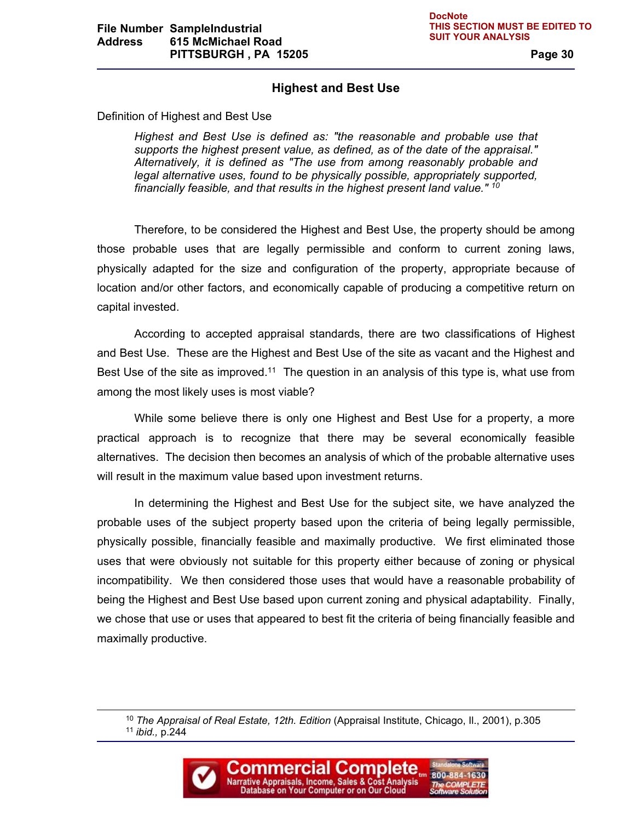# **Highest and Best Use**

Definition of Highest and Best Use

*Highest and Best Use is defined as: "the reasonable and probable use that supports the highest present value, as defined, as of the date of the appraisal." Alternatively, it is defined as "The use from among reasonably probable and legal alternative uses, found to be physically possible, appropriately supported, financially feasible, and that results in the highest present land value." <sup>10</sup>*

Therefore, to be considered the Highest and Best Use, the property should be among those probable uses that are legally permissible and conform to current zoning laws, physically adapted for the size and configuration of the property, appropriate because of location and/or other factors, and economically capable of producing a competitive return on capital invested.

According to accepted appraisal standards, there are two classifications of Highest and Best Use. These are the Highest and Best Use of the site as vacant and the Highest and Best Use of the site as improved.<sup>11</sup> The question in an analysis of this type is, what use from among the most likely uses is most viable?

While some believe there is only one Highest and Best Use for a property, a more practical approach is to recognize that there may be several economically feasible alternatives. The decision then becomes an analysis of which of the probable alternative uses will result in the maximum value based upon investment returns.

In determining the Highest and Best Use for the subject site, we have analyzed the probable uses of the subject property based upon the criteria of being legally permissible, physically possible, financially feasible and maximally productive. We first eliminated those uses that were obviously not suitable for this property either because of zoning or physical incompatibility. We then considered those uses that would have a reasonable probability of being the Highest and Best Use based upon current zoning and physical adaptability. Finally, we chose that use or uses that appeared to best fit the criteria of being financially feasible and maximally productive.

al Complete:

 $800 - 8$ 

**The COM** 



<sup>10</sup> *The Appraisal of Real Estate, 12th. Edition* (Appraisal Institute, Chicago, Il., 2001), p.305 <sup>11</sup> *ibid.,* p.244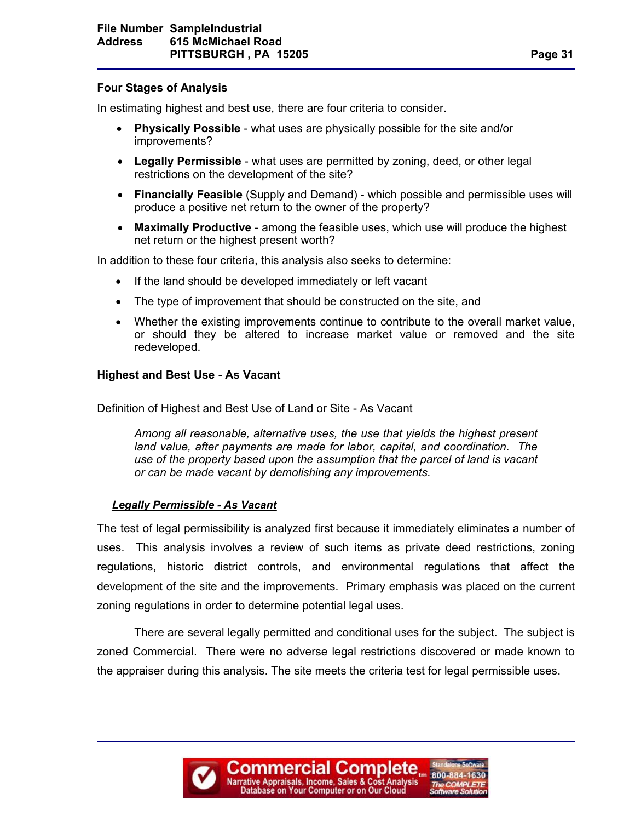# **Four Stages of Analysis**

In estimating highest and best use, there are four criteria to consider.

- · **Physically Possible** what uses are physically possible for the site and/or improvements?
- · **Legally Permissible** what uses are permitted by zoning, deed, or other legal restrictions on the development of the site?
- · **Financially Feasible** (Supply and Demand) which possible and permissible uses will produce a positive net return to the owner of the property?
- **Maximally Productive** among the feasible uses, which use will produce the highest net return or the highest present worth?

In addition to these four criteria, this analysis also seeks to determine:

- If the land should be developed immediately or left vacant
- · The type of improvement that should be constructed on the site, and
- · Whether the existing improvements continue to contribute to the overall market value, or should they be altered to increase market value or removed and the site redeveloped.

#### **Highest and Best Use - As Vacant**

Definition of Highest and Best Use of Land or Site - As Vacant

*Among all reasonable, alternative uses, the use that yields the highest present land value, after payments are made for labor, capital, and coordination. The use of the property based upon the assumption that the parcel of land is vacant or can be made vacant by demolishing any improvements.*

#### *Legally Permissible - As Vacant*

The test of legal permissibility is analyzed first because it immediately eliminates a number of uses. This analysis involves a review of such items as private deed restrictions, zoning regulations, historic district controls, and environmental regulations that affect the development of the site and the improvements. Primary emphasis was placed on the current zoning regulations in order to determine potential legal uses.

There are several legally permitted and conditional uses for the subject. The subject is zoned Commercial. There were no adverse legal restrictions discovered or made known to the appraiser during this analysis. The site meets the criteria test for legal permissible uses.

**Commercial Complete...** 

 $800 - 8$ 

The COM

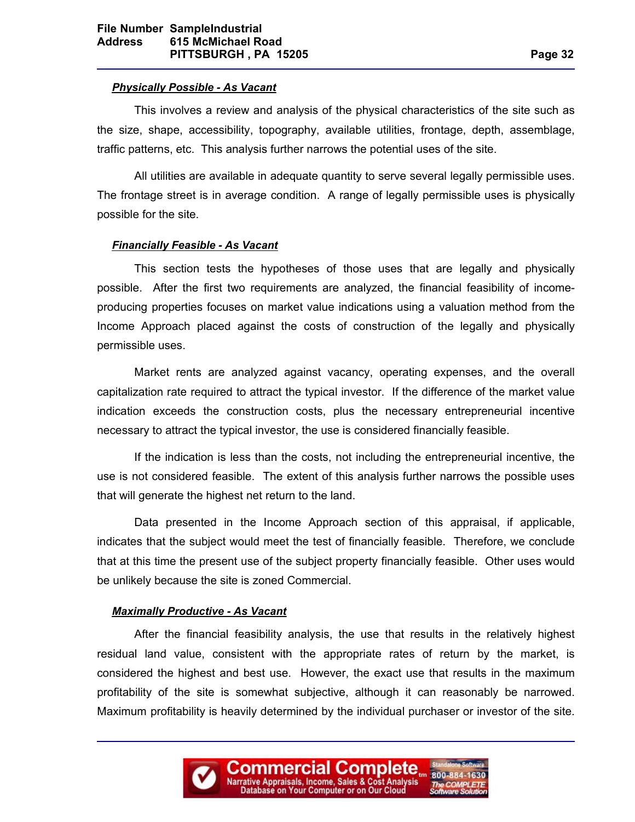#### *Physically Possible - As Vacant*

This involves a review and analysis of the physical characteristics of the site such as the size, shape, accessibility, topography, available utilities, frontage, depth, assemblage, traffic patterns, etc. This analysis further narrows the potential uses of the site.

All utilities are available in adequate quantity to serve several legally permissible uses. The frontage street is in average condition. A range of legally permissible uses is physically possible for the site.

# *Financially Feasible - As Vacant*

This section tests the hypotheses of those uses that are legally and physically possible. After the first two requirements are analyzed, the financial feasibility of incomeproducing properties focuses on market value indications using a valuation method from the Income Approach placed against the costs of construction of the legally and physically permissible uses.

Market rents are analyzed against vacancy, operating expenses, and the overall capitalization rate required to attract the typical investor. If the difference of the market value indication exceeds the construction costs, plus the necessary entrepreneurial incentive necessary to attract the typical investor, the use is considered financially feasible.

If the indication is less than the costs, not including the entrepreneurial incentive, the use is not considered feasible. The extent of this analysis further narrows the possible uses that will generate the highest net return to the land.

Data presented in the Income Approach section of this appraisal, if applicable, indicates that the subject would meet the test of financially feasible. Therefore, we conclude that at this time the present use of the subject property financially feasible. Other uses would be unlikely because the site is zoned Commercial.

# *Maximally Productive - As Vacant*

After the financial feasibility analysis, the use that results in the relatively highest residual land value, consistent with the appropriate rates of return by the market, is considered the highest and best use. However, the exact use that results in the maximum profitability of the site is somewhat subjective, although it can reasonably be narrowed. Maximum profitability is heavily determined by the individual purchaser or investor of the site.

**cial Complete** 

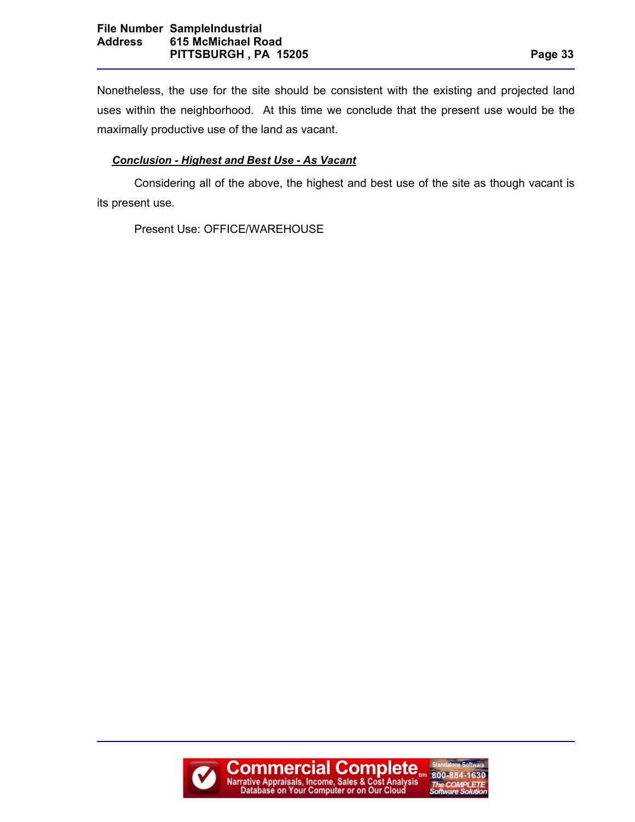Nonetheless, the use for the site should be consistent with the existing and projected land uses within the neighborhood. At this time we conclude that the present use would be the maximally productive use of the land as vacant.

#### *Conclusion - Highest and Best Use - As Vacant*

Considering all of the above, the highest and best use of the site as though vacant is its present use.

Present Use: OFFICE/WAREHOUSE

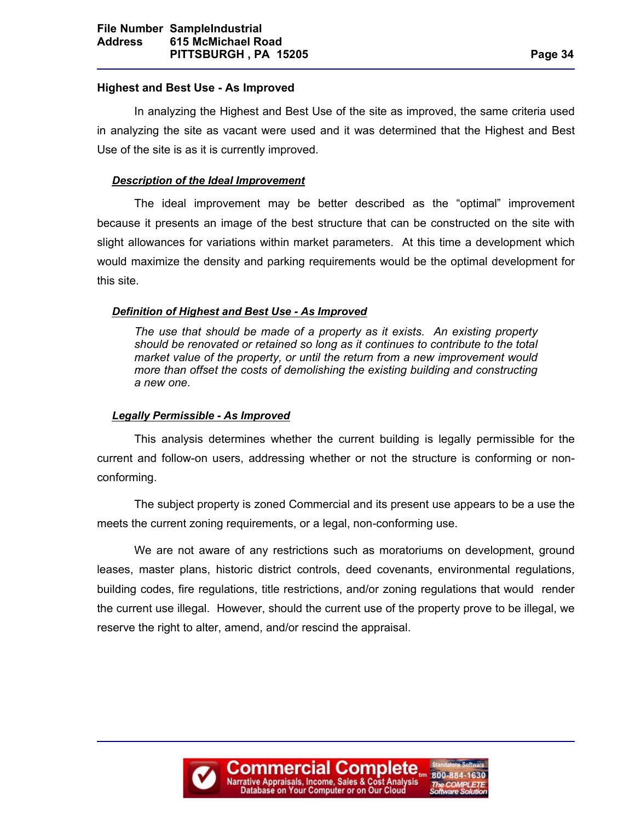# **Highest and Best Use - As Improved**

In analyzing the Highest and Best Use of the site as improved, the same criteria used in analyzing the site as vacant were used and it was determined that the Highest and Best Use of the site is as it is currently improved.

# *Description of the Ideal Improvement*

The ideal improvement may be better described as the "optimal" improvement because it presents an image of the best structure that can be constructed on the site with slight allowances for variations within market parameters. At this time a development which would maximize the density and parking requirements would be the optimal development for this site.

# *Definition of Highest and Best Use - As Improved*

*The use that should be made of a property as it exists. An existing property should be renovated or retained so long as it continues to contribute to the total market value of the property, or until the return from a new improvement would more than offset the costs of demolishing the existing building and constructing a new one.* 

#### *Legally Permissible - As Improved*

This analysis determines whether the current building is legally permissible for the current and follow-on users, addressing whether or not the structure is conforming or nonconforming.

The subject property is zoned Commercial and its present use appears to be a use the meets the current zoning requirements, or a legal, non-conforming use.

We are not aware of any restrictions such as moratoriums on development, ground leases, master plans, historic district controls, deed covenants, environmental regulations, building codes, fire regulations, title restrictions, and/or zoning regulations that would render the current use illegal. However, should the current use of the property prove to be illegal, we reserve the right to alter, amend, and/or rescind the appraisal.

ommercial Complete

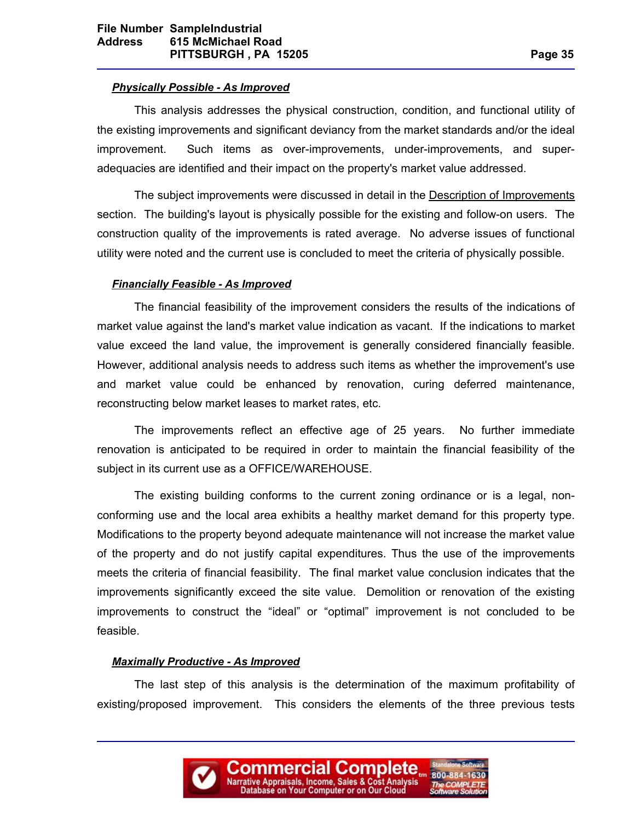#### *Physically Possible - As Improved*

This analysis addresses the physical construction, condition, and functional utility of the existing improvements and significant deviancy from the market standards and/or the ideal improvement. Such items as over-improvements, under-improvements, and superadequacies are identified and their impact on the property's market value addressed.

The subject improvements were discussed in detail in the Description of Improvements section. The building's layout is physically possible for the existing and follow-on users. The construction quality of the improvements is rated average. No adverse issues of functional utility were noted and the current use is concluded to meet the criteria of physically possible.

#### *Financially Feasible - As Improved*

The financial feasibility of the improvement considers the results of the indications of market value against the land's market value indication as vacant. If the indications to market value exceed the land value, the improvement is generally considered financially feasible. However, additional analysis needs to address such items as whether the improvement's use and market value could be enhanced by renovation, curing deferred maintenance, reconstructing below market leases to market rates, etc.

The improvements reflect an effective age of 25 years. No further immediate renovation is anticipated to be required in order to maintain the financial feasibility of the subject in its current use as a OFFICE/WAREHOUSE.

The existing building conforms to the current zoning ordinance or is a legal, nonconforming use and the local area exhibits a healthy market demand for this property type. Modifications to the property beyond adequate maintenance will not increase the market value of the property and do not justify capital expenditures. Thus the use of the improvements meets the criteria of financial feasibility. The final market value conclusion indicates that the improvements significantly exceed the site value. Demolition or renovation of the existing improvements to construct the "ideal" or "optimal" improvement is not concluded to be feasible.

#### *Maximally Productive - As Improved*

The last step of this analysis is the determination of the maximum profitability of existing/proposed improvement. This considers the elements of the three previous tests

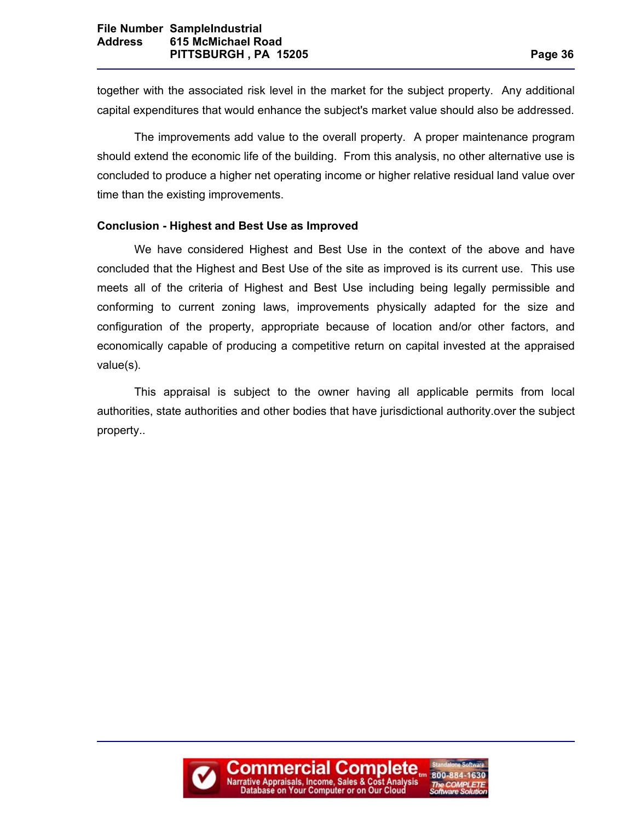together with the associated risk level in the market for the subject property. Any additional capital expenditures that would enhance the subject's market value should also be addressed.

The improvements add value to the overall property. A proper maintenance program should extend the economic life of the building. From this analysis, no other alternative use is concluded to produce a higher net operating income or higher relative residual land value over time than the existing improvements.

# **Conclusion - Highest and Best Use as Improved**

We have considered Highest and Best Use in the context of the above and have concluded that the Highest and Best Use of the site as improved is its current use. This use meets all of the criteria of Highest and Best Use including being legally permissible and conforming to current zoning laws, improvements physically adapted for the size and configuration of the property, appropriate because of location and/or other factors, and economically capable of producing a competitive return on capital invested at the appraised value(s).

This appraisal is subject to the owner having all applicable permits from local authorities, state authorities and other bodies that have jurisdictional authority.over the subject property..

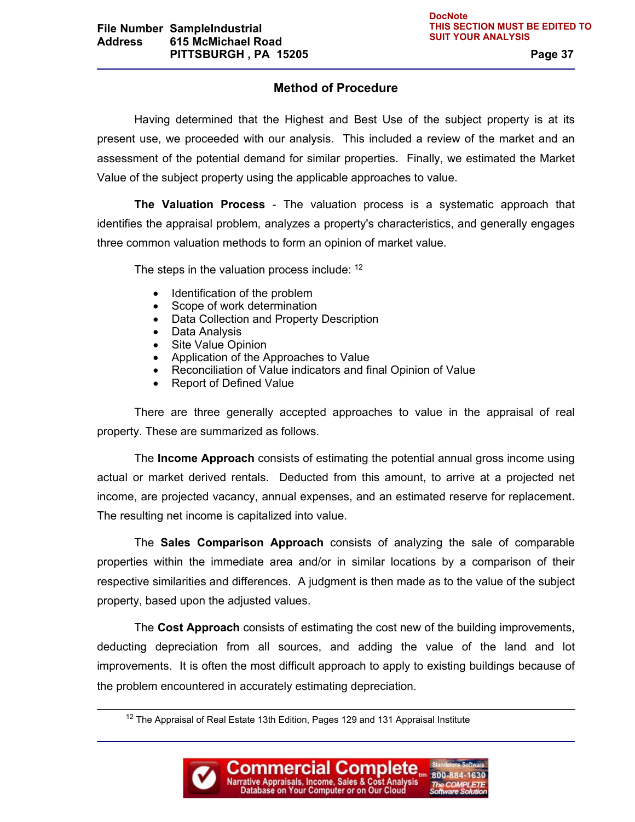### **Method of Procedure**

Having determined that the Highest and Best Use of the subject property is at its present use, we proceeded with our analysis. This included a review of the market and an assessment of the potential demand for similar properties. Finally, we estimated the Market Value of the subject property using the applicable approaches to value.

**The Valuation Process** - The valuation process is a systematic approach that identifies the appraisal problem, analyzes a property's characteristics, and generally engages three common valuation methods to form an opinion of market value.

The steps in the valuation process include: 12

- Identification of the problem
- Scope of work determination
- · Data Collection and Property Description
- · Data Analysis
- Site Value Opinion
- · Application of the Approaches to Value
- Reconciliation of Value indicators and final Opinion of Value
- · Report of Defined Value

There are three generally accepted approaches to value in the appraisal of real property. These are summarized as follows.

The **Income Approach** consists of estimating the potential annual gross income using actual or market derived rentals. Deducted from this amount, to arrive at a projected net income, are projected vacancy, annual expenses, and an estimated reserve for replacement. The resulting net income is capitalized into value.

The **Sales Comparison Approach** consists of analyzing the sale of comparable properties within the immediate area and/or in similar locations by a comparison of their respective similarities and differences. A judgment is then made as to the value of the subject property, based upon the adjusted values.

The **Cost Approach** consists of estimating the cost new of the building improvements, deducting depreciation from all sources, and adding the value of the land and lot improvements. It is often the most difficult approach to apply to existing buildings because of the problem encountered in accurately estimating depreciation.

**Imercial Complete** 

800-88

ouu-so4-10.<br>The COMPLE<br>Software Solut

<sup>&</sup>lt;sup>12</sup> The Appraisal of Real Estate 13th Edition, Pages 129 and 131 Appraisal Institute

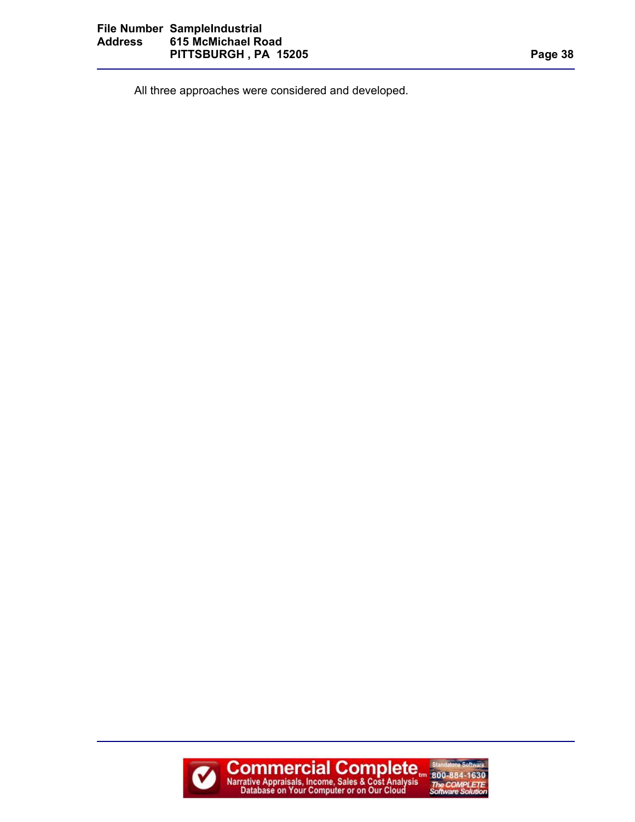All three approaches were considered and developed.

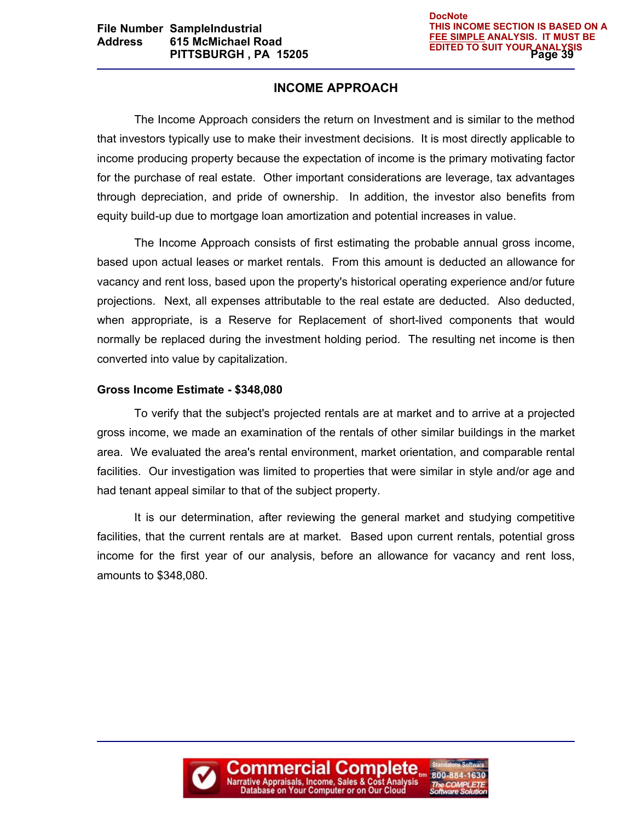### **INCOME APPROACH**

The Income Approach considers the return on Investment and is similar to the method that investors typically use to make their investment decisions. It is most directly applicable to income producing property because the expectation of income is the primary motivating factor for the purchase of real estate. Other important considerations are leverage, tax advantages through depreciation, and pride of ownership. In addition, the investor also benefits from equity build-up due to mortgage loan amortization and potential increases in value.

The Income Approach consists of first estimating the probable annual gross income, based upon actual leases or market rentals. From this amount is deducted an allowance for vacancy and rent loss, based upon the property's historical operating experience and/or future projections. Next, all expenses attributable to the real estate are deducted. Also deducted, when appropriate, is a Reserve for Replacement of short-lived components that would normally be replaced during the investment holding period. The resulting net income is then converted into value by capitalization.

#### **Gross Income Estimate - \$348,080**

To verify that the subject's projected rentals are at market and to arrive at a projected gross income, we made an examination of the rentals of other similar buildings in the market area. We evaluated the area's rental environment, market orientation, and comparable rental facilities. Our investigation was limited to properties that were similar in style and/or age and had tenant appeal similar to that of the subject property.

It is our determination, after reviewing the general market and studying competitive facilities, that the current rentals are at market. Based upon current rentals, potential gross income for the first year of our analysis, before an allowance for vacancy and rent loss, amounts to \$348,080.

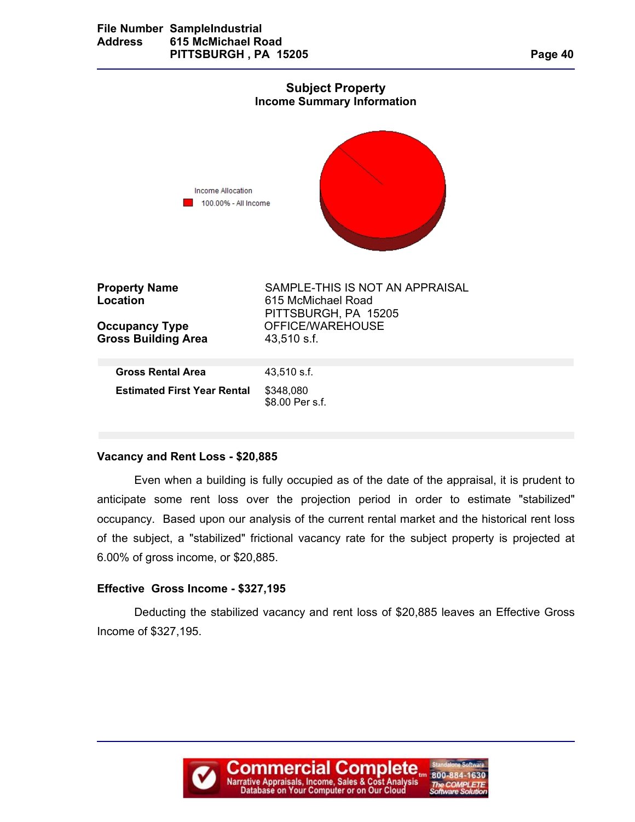

#### **Vacancy and Rent Loss - \$20,885**

Even when a building is fully occupied as of the date of the appraisal, it is prudent to anticipate some rent loss over the projection period in order to estimate "stabilized" occupancy. Based upon our analysis of the current rental market and the historical rent loss of the subject, a "stabilized" frictional vacancy rate for the subject property is projected at 6.00% of gross income, or \$20,885.

#### **Effective Gross Income - \$327,195**

Deducting the stabilized vacancy and rent loss of \$20,885 leaves an Effective Gross Income of \$327,195.

ommercial Complete

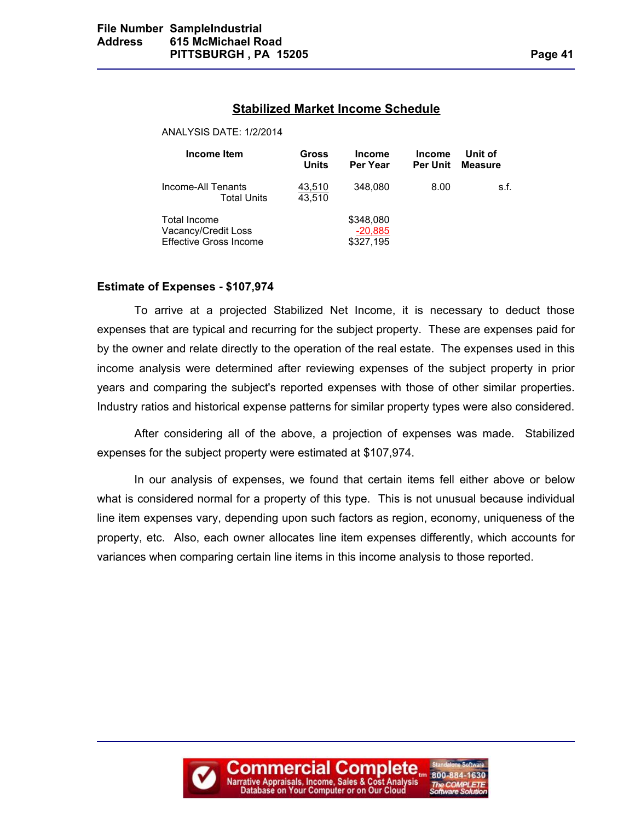#### **Stabilized Market Income Schedule**

#### ANALYSIS DATE: 1/2/2014

| Income Item                                                          | Gross<br><b>Units</b> | <b>Income</b><br>Per Year           | Income<br><b>Per Unit</b> | Unit of<br><b>Measure</b> |
|----------------------------------------------------------------------|-----------------------|-------------------------------------|---------------------------|---------------------------|
| Income-All Tenants<br><b>Total Units</b>                             | 43,510<br>43.510      | 348,080                             | 8.00                      | s.f.                      |
| Total Income<br>Vacancy/Credit Loss<br><b>Effective Gross Income</b> |                       | \$348,080<br>$-20,885$<br>\$327,195 |                           |                           |

#### **Estimate of Expenses - \$107,974**

To arrive at a projected Stabilized Net Income, it is necessary to deduct those expenses that are typical and recurring for the subject property. These are expenses paid for by the owner and relate directly to the operation of the real estate. The expenses used in this income analysis were determined after reviewing expenses of the subject property in prior years and comparing the subject's reported expenses with those of other similar properties. Industry ratios and historical expense patterns for similar property types were also considered.

After considering all of the above, a projection of expenses was made. Stabilized expenses for the subject property were estimated at \$107,974.

In our analysis of expenses, we found that certain items fell either above or below what is considered normal for a property of this type. This is not unusual because individual line item expenses vary, depending upon such factors as region, economy, uniqueness of the property, etc. Also, each owner allocates line item expenses differently, which accounts for variances when comparing certain line items in this income analysis to those reported.

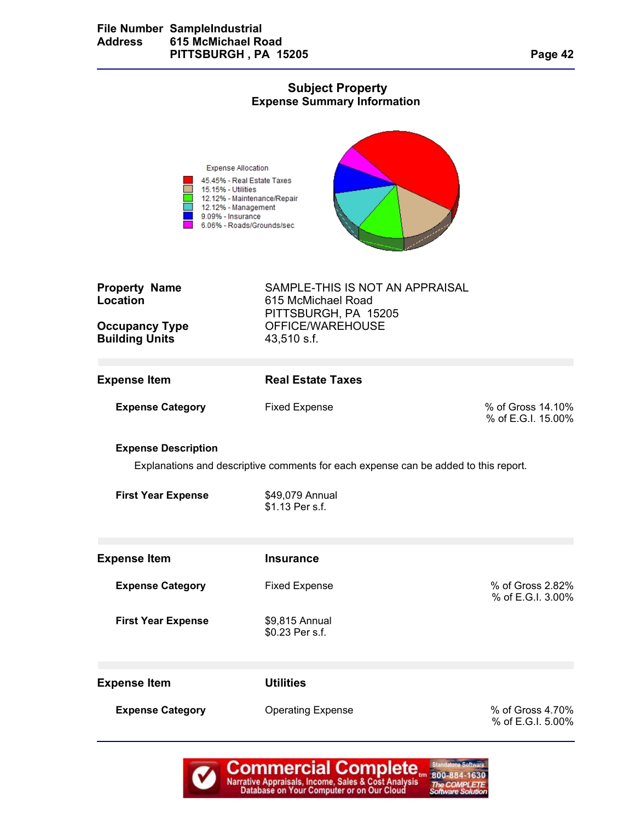

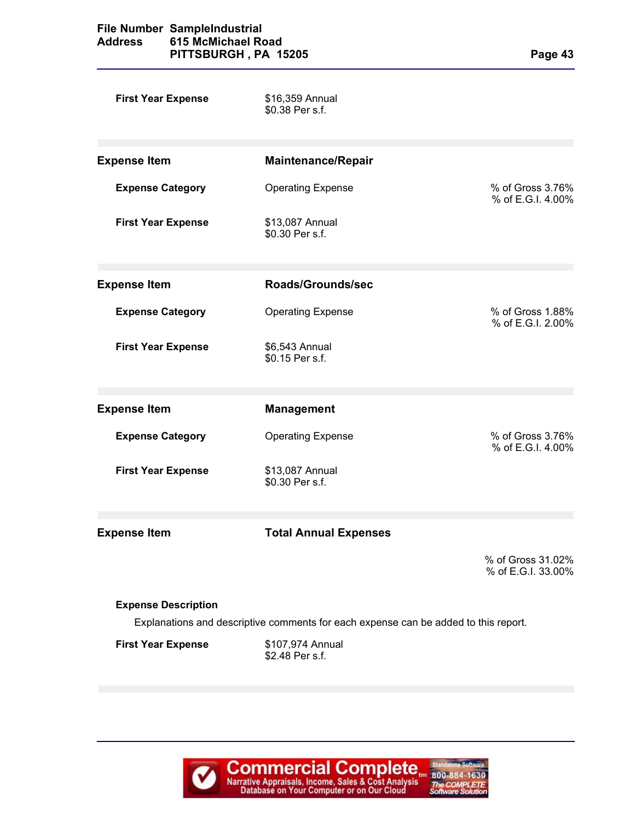| <b>First Year Expense</b>  | \$16,359 Annual<br>\$0.38 Per s.f.                                                  |                                         |
|----------------------------|-------------------------------------------------------------------------------------|-----------------------------------------|
| <b>Expense Item</b>        | <b>Maintenance/Repair</b>                                                           |                                         |
| <b>Expense Category</b>    | <b>Operating Expense</b>                                                            | % of Gross 3.76%<br>% of E.G.I. 4.00%   |
| <b>First Year Expense</b>  | \$13,087 Annual<br>\$0.30 Per s.f.                                                  |                                         |
| <b>Expense Item</b>        | Roads/Grounds/sec                                                                   |                                         |
| <b>Expense Category</b>    | <b>Operating Expense</b>                                                            | % of Gross 1.88%<br>% of E.G.I. 2.00%   |
| <b>First Year Expense</b>  | \$6,543 Annual<br>\$0.15 Per s.f.                                                   |                                         |
| <b>Expense Item</b>        | <b>Management</b>                                                                   |                                         |
| <b>Expense Category</b>    | <b>Operating Expense</b>                                                            | % of Gross 3.76%<br>% of E.G.I. 4.00%   |
| <b>First Year Expense</b>  | \$13,087 Annual<br>\$0.30 Per s.f.                                                  |                                         |
| <b>Expense Item</b>        | <b>Total Annual Expenses</b>                                                        |                                         |
|                            |                                                                                     | % of Gross 31.02%<br>% of E.G.I. 33.00% |
| <b>Expense Description</b> |                                                                                     |                                         |
|                            | Explanations and descriptive comments for each expense can be added to this report. |                                         |

**First Year Expense** \$107,974 Annual \$2.48 Per s.f.



630

800-884-193<br>The COMPLET<br>Software Soluti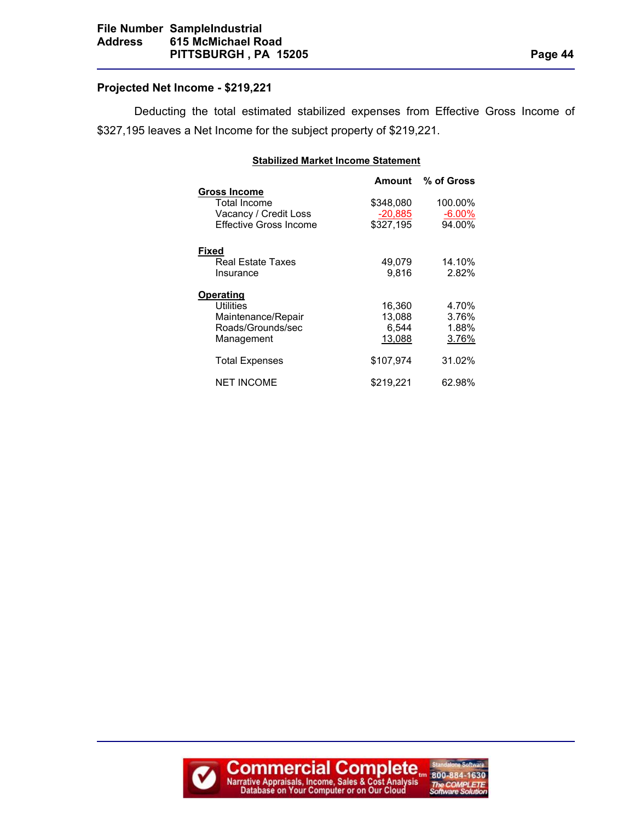#### **Projected Net Income - \$219,221**

Deducting the total estimated stabilized expenses from Effective Gross Income of \$327,195 leaves a Net Income for the subject property of \$219,221.

#### **Stabilized Market Income Statement**

|                        |           | Amount % of Gross |
|------------------------|-----------|-------------------|
| <b>Gross Income</b>    |           |                   |
| Total Income           | \$348,080 | 100.00%           |
| Vacancy / Credit Loss  | $-20,885$ | $-6.00%$          |
| Effective Gross Income | \$327,195 | 94.00%            |
|                        |           |                   |
| Fixed                  |           |                   |
| Real Estate Taxes      | 49,079    | 14.10%            |
| Insurance              | 9,816     | 2.82%             |
| <b>Operating</b>       |           |                   |
| Utilities              | 16,360    | 4.70%             |
| Maintenance/Repair     | 13.088    | 3.76%             |
| Roads/Grounds/sec      | 6,544     | 1.88%             |
| Management             | 13,088    | 3.76%             |
|                        |           |                   |
| <b>Total Expenses</b>  | \$107.974 | 31.02%            |
|                        |           |                   |
| <b>NET INCOME</b>      | \$219.221 | 62.98%            |



630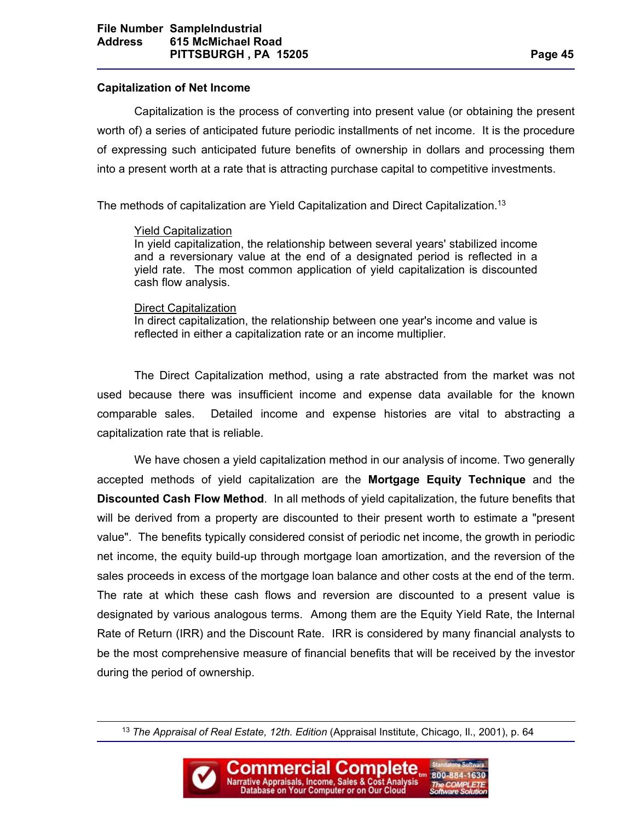#### **Capitalization of Net Income**

Capitalization is the process of converting into present value (or obtaining the present worth of) a series of anticipated future periodic installments of net income. It is the procedure of expressing such anticipated future benefits of ownership in dollars and processing them into a present worth at a rate that is attracting purchase capital to competitive investments.

The methods of capitalization are Yield Capitalization and Direct Capitalization.<sup>13</sup>

#### Yield Capitalization

In yield capitalization, the relationship between several years' stabilized income and a reversionary value at the end of a designated period is reflected in a yield rate. The most common application of yield capitalization is discounted cash flow analysis.

#### Direct Capitalization

In direct capitalization, the relationship between one year's income and value is reflected in either a capitalization rate or an income multiplier.

The Direct Capitalization method, using a rate abstracted from the market was not used because there was insufficient income and expense data available for the known comparable sales. Detailed income and expense histories are vital to abstracting a capitalization rate that is reliable.

We have chosen a yield capitalization method in our analysis of income. Two generally accepted methods of yield capitalization are the **Mortgage Equity Technique** and the **Discounted Cash Flow Method**. In all methods of yield capitalization, the future benefits that will be derived from a property are discounted to their present worth to estimate a "present value". The benefits typically considered consist of periodic net income, the growth in periodic net income, the equity build-up through mortgage loan amortization, and the reversion of the sales proceeds in excess of the mortgage loan balance and other costs at the end of the term. The rate at which these cash flows and reversion are discounted to a present value is designated by various analogous terms. Among them are the Equity Yield Rate, the Internal Rate of Return (IRR) and the Discount Rate. IRR is considered by many financial analysts to be the most comprehensive measure of financial benefits that will be received by the investor during the period of ownership.

ommercial Complete<sub>...</sub>

800-88

**The COM** 



<sup>13</sup> *The Appraisal of Real Estate, 12th. Edition* (Appraisal Institute, Chicago, Il., 2001), p. 64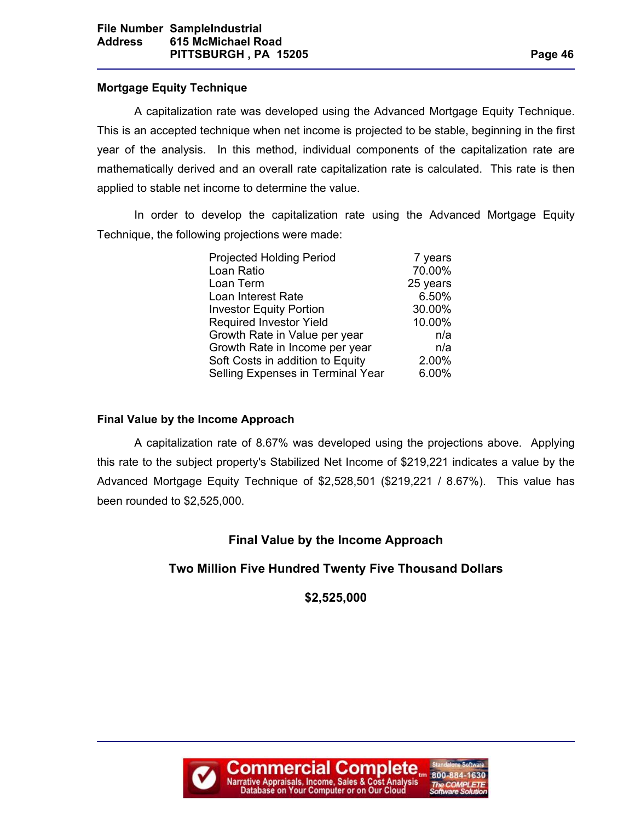#### **Mortgage Equity Technique**

A capitalization rate was developed using the Advanced Mortgage Equity Technique. This is an accepted technique when net income is projected to be stable, beginning in the first year of the analysis. In this method, individual components of the capitalization rate are mathematically derived and an overall rate capitalization rate is calculated. This rate is then applied to stable net income to determine the value.

In order to develop the capitalization rate using the Advanced Mortgage Equity Technique, the following projections were made:

| <b>Projected Holding Period</b>   | 7 years  |  |
|-----------------------------------|----------|--|
| Loan Ratio                        | 70.00%   |  |
| Loan Term                         | 25 years |  |
| Loan Interest Rate                | 6.50%    |  |
| <b>Investor Equity Portion</b>    | 30.00%   |  |
| <b>Required Investor Yield</b>    | 10.00%   |  |
| Growth Rate in Value per year     | n/a      |  |
| Growth Rate in Income per year    | n/a      |  |
| Soft Costs in addition to Equity  | 2.00%    |  |
| Selling Expenses in Terminal Year | 6.00%    |  |

#### **Final Value by the Income Approach**

A capitalization rate of 8.67% was developed using the projections above. Applying this rate to the subject property's Stabilized Net Income of \$219,221 indicates a value by the Advanced Mortgage Equity Technique of \$2,528,501 (\$219,221 / 8.67%). This value has been rounded to \$2,525,000.

### **Final Value by the Income Approach**

### **Two Million Five Hundred Twenty Five Thousand Dollars**

**\$2,525,000**

**Complete** 

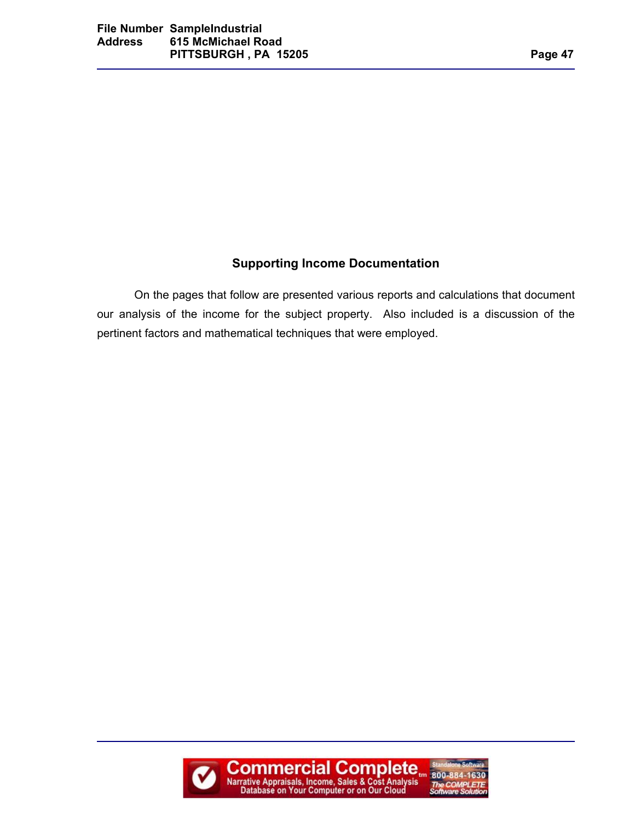### **Supporting Income Documentation**

On the pages that follow are presented various reports and calculations that document our analysis of the income for the subject property. Also included is a discussion of the pertinent factors and mathematical techniques that were employed.

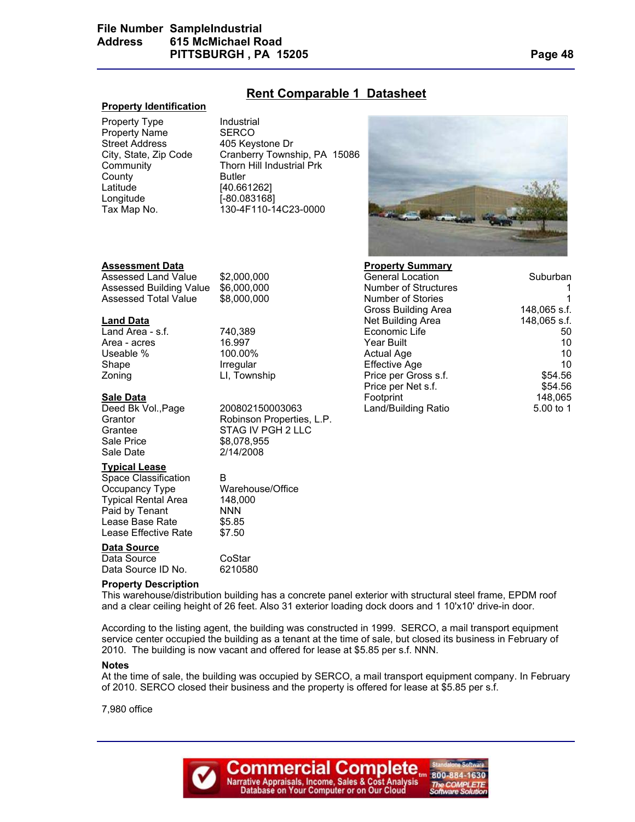### **Rent Comparable 1 Datasheet**

#### **Property Identification**

Property Type **Industrial**<br>Property Name **SERCO** Property Name<br>Street Address County<br>Latitude Longitude [-80.083168]

405 Keystone Dr City, State, Zip Code Cranberry Township, PA 15086 Community Thorn Hill Industrial Prk [40.661262] Tax Map No. 130-4F110-14C23-0000



#### **Assessment Data Property Summary**

| Assessed Land Value         | \$2,000 |
|-----------------------------|---------|
| Assessed Building Value     | \$6,000 |
| <b>Assessed Total Value</b> | \$8,000 |

Grantor **Robinson Properties, L.P.** Grantee STAG IV PGH 2 LLC Sale Price \$8,078,955 Sale Date 2/14/2008

#### **Typical Lease**

Space Classification B Occupancy Type Warehouse/Office Typical Rental Area 148,000 Paid by Tenant NNN Lease Base Rate \$5.85 Lease Effective Rate \$7.50

### **Data Source**

Data Source CoStar Data Source ID No. 6210580

#### **Property Description**

This warehouse/distribution building has a concrete panel exterior with structural steel frame, EPDM roof and a clear ceiling height of 26 feet. Also 31 exterior loading dock doors and 1 10'x10' drive-in door.

According to the listing agent, the building was constructed in 1999. SERCO, a mail transport equipment service center occupied the building as a tenant at the time of sale, but closed its business in February of 2010. The building is now vacant and offered for lease at \$5.85 per s.f. NNN.

#### **Notes**

At the time of sale, the building was occupied by SERCO, a mail transport equipment company. In February of 2010. SERCO closed their business and the property is offered for lease at \$5.85 per s.f.

7,980 office



|                         |                 | $\cdots$             |              |  |
|-------------------------|-----------------|----------------------|--------------|--|
| Assessed Land Value     | \$2,000,000     | General Location     | Suburban     |  |
| Assessed Building Value | \$6,000,000     | Number of Structures |              |  |
| Assessed Total Value    | \$8,000,000     | Number of Stories    |              |  |
|                         |                 | Gross Building Area  | 148,065 s.f. |  |
| <b>Land Data</b>        |                 | Net Building Area    | 148,065 s.f. |  |
| Land Area - s.f.        | 740,389         | Economic Life        | 50           |  |
| Area - acres            | 16.997          | Year Built           | 10           |  |
| Useable %               | 100.00%         | Actual Age           | 10           |  |
| Shape                   | Irregular       | Effective Age        | 10           |  |
| Zoning                  | LI, Township    | Price per Gross s.f. | \$54.56      |  |
|                         |                 | Price per Net s.f.   | \$54.56      |  |
| <b>Sale Data</b>        |                 | Footprint            | 148,065      |  |
| Deed Bk Vol., Page      | 200802150003063 | Land/Building Ratio  | 5.00 to 1    |  |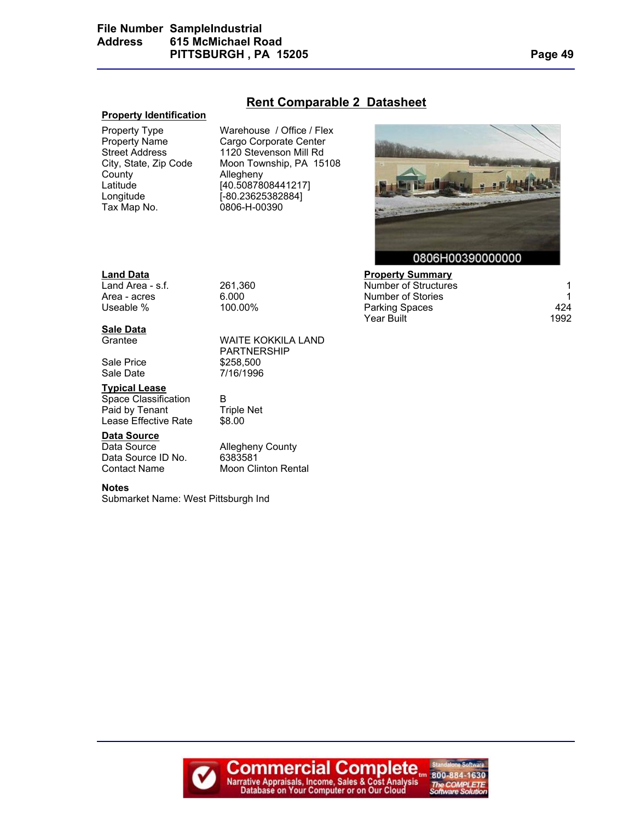County **Allegheny**<br>
Latitude [40.508780 Latitude [40.5087808441217] Longitude [-80.23625382884]<br>Tax Map No. 6806-H-00390

Property Type Warehouse / Office / Flex<br>
Property Name Cargo Corporate Center Cargo Corporate Center Street Address 1120 Stevenson Mill Rd City, State, Zip Code Moon Township, PA 15108  $0806 - H - 00390$ 

**Rent Comparable 2 Datasheet**



Year Built 1992

Parking Spaces

# **Land Data**<br> **Land Area - s.f.** 261.360 **Property Summary**<br> **Property Summary**

Land Area - s.f. 261,360 201.360 Number of Structures 1<br>Area - acres 6.000 6.000 Number of Stories 1 Area - acres 6.000 6.000 Number of Stories 1<br>
Useable % 100.00% Parking Spaces 424

#### **Sale Data**

Sale Date 7/16/1996

#### **Typical Lease**

Space Classification B<br>
Paid by Tenant Triple Net Paid by Tenant Triple<br>
Lease Effective Rate \$8.00 Lease Effective Rate

#### **Data Source**

Data Source **Allegheny County**<br>
Data Source ID No. 6383581 Data Source ID No.

**Notes**

Submarket Name: West Pittsburgh Ind

Grantee WAITE KOKKILA LAND PARTNERSHIP Sale Price \$258,500

Contact Name Moon Clinton Rental

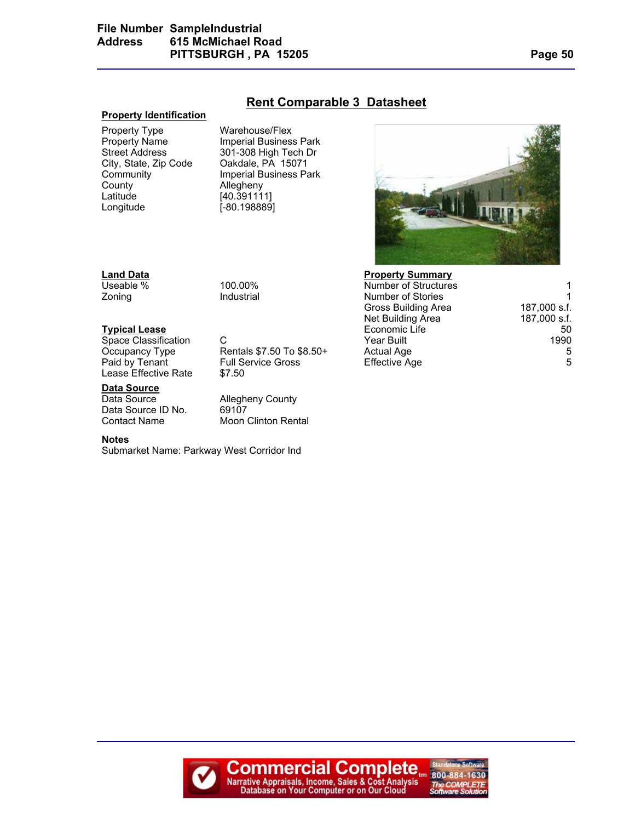Property Type Warehouse/Flex<br>Property Name Imperial Busines City, State, Zip Code County Allegheny<br>
Latitude [40.39111] Latitude [40.391111]<br>
Longitude [-80.198889]

**Imperial Business Park** Street Address 301-308 High Tech Dr<br>City, State, Zip Code Oakdale, PA 15071 **Community Community** Imperial Business Park<br>
County County Allegheny  $[-80.198889]$ 

**Rent Comparable 3 Datasheet**



Lease Effective Rate \$7.50

Allegheny County<br>69107

Moon Clinton Rental

# **Data Source**

Data Source ID No.<br>Contact Name

#### **Notes**

Submarket Name: Parkway West Corridor Ind

**Land Data**<br> **Property Summary**<br> **Property Summary**<br> **Property Summary**<br> **Property Summary** Useable % 100.00% Number of Structures 1<br>
2011 2012 2011 2011 100.00% Number of Stories 1 Number of Stories 1<br>Gross Building Area 187,000 s.f. Gross Building Area Net Building Area 187,000 s.f. **Typical Lease** 50 Space Classification and Carrier Community Community Pear Built 1990 1990 Occupancy Type Rentals \$7.50 To \$8.50+ Actual Age 65 Actual Age 65 Paid by Tenant Full Service Gross Effective Age 5

 $800 - 8$ 

The COI

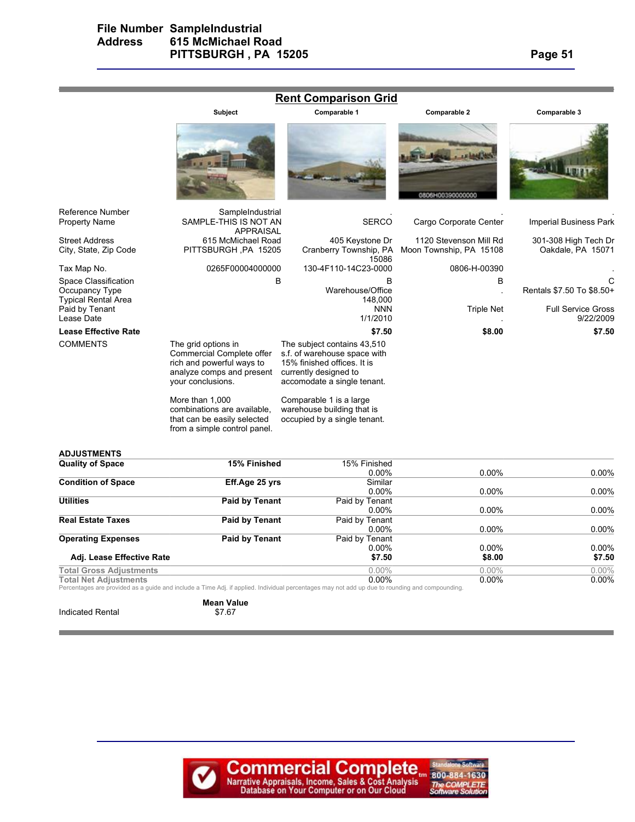|                                                                                                      |                                                                                                                                                                                                                                                  | <b>Rent Comparison Grid</b>                                                                                                                                                                                                                 |                                                   |                                                                     |
|------------------------------------------------------------------------------------------------------|--------------------------------------------------------------------------------------------------------------------------------------------------------------------------------------------------------------------------------------------------|---------------------------------------------------------------------------------------------------------------------------------------------------------------------------------------------------------------------------------------------|---------------------------------------------------|---------------------------------------------------------------------|
|                                                                                                      | Subject                                                                                                                                                                                                                                          | Comparable 1                                                                                                                                                                                                                                | Comparable 2                                      | Comparable 3                                                        |
|                                                                                                      |                                                                                                                                                                                                                                                  |                                                                                                                                                                                                                                             | 0806H00390000000                                  |                                                                     |
| Reference Number<br>Property Name                                                                    | SampleIndustrial<br>SAMPLE-THIS IS NOT AN<br><b>APPRAISAL</b>                                                                                                                                                                                    | <b>SERCO</b>                                                                                                                                                                                                                                | Cargo Corporate Center                            | <b>Imperial Business Park</b>                                       |
| <b>Street Address</b><br>City, State, Zip Code                                                       | 615 McMichael Road<br>PITTSBURGH, PA 15205                                                                                                                                                                                                       | 405 Keystone Dr<br>Cranberry Township, PA<br>15086                                                                                                                                                                                          | 1120 Stevenson Mill Rd<br>Moon Township, PA 15108 | 301-308 High Tech Dr<br>Oakdale, PA 15071                           |
| Tax Map No.                                                                                          | 0265F00004000000                                                                                                                                                                                                                                 | 130-4F110-14C23-0000                                                                                                                                                                                                                        | 0806-H-00390                                      |                                                                     |
| Space Classification<br>Occupancy Type<br><b>Typical Rental Area</b><br>Paid by Tenant<br>Lease Date |                                                                                                                                                                                                                                                  | в<br>B<br>Warehouse/Office<br>148,000<br><b>NNN</b><br>1/1/2010                                                                                                                                                                             | B<br><b>Triple Net</b>                            | Rentals \$7.50 To \$8.50+<br><b>Full Service Gross</b><br>9/22/2009 |
| <b>Lease Effective Rate</b>                                                                          |                                                                                                                                                                                                                                                  | \$7.50                                                                                                                                                                                                                                      | \$8.00                                            | \$7.50                                                              |
| <b>COMMENTS</b>                                                                                      | The grid options in<br>Commercial Complete offer<br>rich and powerful ways to<br>analyze comps and present<br>your conclusions.<br>More than 1,000<br>combinations are available.<br>that can be easily selected<br>from a simple control panel. | The subject contains 43,510<br>s.f. of warehouse space with<br>15% finished offices. It is<br>currently designed to<br>accomodate a single tenant.<br>Comparable 1 is a large<br>warehouse building that is<br>occupied by a single tenant. |                                                   |                                                                     |
|                                                                                                      |                                                                                                                                                                                                                                                  |                                                                                                                                                                                                                                             |                                                   |                                                                     |

#### **ADJUSTMENTS**

| <b>Quality of Space</b>        | 15% Finished   | 15% Finished                                                                                                                                                                                                                   |          |          |
|--------------------------------|----------------|--------------------------------------------------------------------------------------------------------------------------------------------------------------------------------------------------------------------------------|----------|----------|
|                                |                | $0.00\%$                                                                                                                                                                                                                       | $0.00\%$ | $0.00\%$ |
| <b>Condition of Space</b>      | Eff.Age 25 yrs | Similar                                                                                                                                                                                                                        |          |          |
|                                |                | $0.00\%$                                                                                                                                                                                                                       | $0.00\%$ | $0.00\%$ |
| <b>Utilities</b>               | Paid by Tenant | Paid by Tenant                                                                                                                                                                                                                 |          |          |
|                                |                | $0.00\%$                                                                                                                                                                                                                       | $0.00\%$ | 0.00%    |
| <b>Real Estate Taxes</b>       | Paid by Tenant | Paid by Tenant                                                                                                                                                                                                                 |          |          |
|                                |                | $0.00\%$                                                                                                                                                                                                                       | $0.00\%$ | $0.00\%$ |
| <b>Operating Expenses</b>      | Paid by Tenant | Paid by Tenant                                                                                                                                                                                                                 |          |          |
|                                |                | $0.00\%$                                                                                                                                                                                                                       | $0.00\%$ | $0.00\%$ |
| Adj. Lease Effective Rate      |                | \$7.50                                                                                                                                                                                                                         | \$8.00   | \$7.50   |
| <b>Total Gross Adjustments</b> |                | $0.00\%$                                                                                                                                                                                                                       | $0.00\%$ | $0.00\%$ |
| <b>Total Net Adjustments</b>   |                | $0.00\%$                                                                                                                                                                                                                       | $0.00\%$ | $0.00\%$ |
|                                |                | Recording the considering the conditions of the CRIST Add Microsoft in Individual according to according the form distribution and complete the distribution of the distribution of the distribution of the condition of the c |          |          |

Commercial Complete manuscular standalone Software<br>
Narrative Appraisals, Income, Sales & Cost Analysis<br>
Database on Your Computer or on Our Cloud<br>
Software Solution

Percentages are provided as a guide and include a Time Adj. if applied. Individual percentages may not add up due to rounding and compounding.

Indicated Rental

**Mean Value**

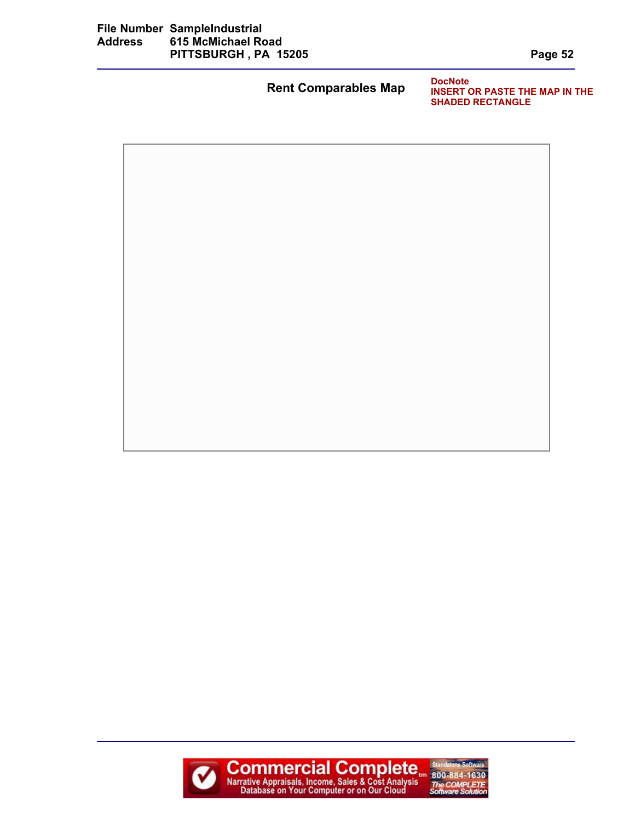# **Rent Comparables Map DocNote**

**INSERT OR PASTE THE MAP IN THE SHADED RECTANGLE**

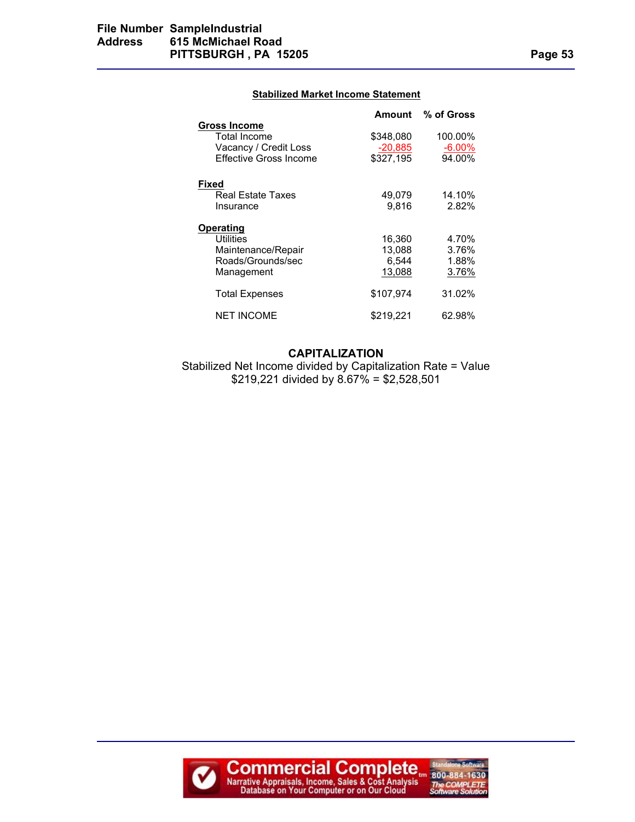#### **Stabilized Market Income Statement**

|                                                                                        |                                   | Amount % of Gross             |
|----------------------------------------------------------------------------------------|-----------------------------------|-------------------------------|
| <b>Gross Income</b><br>Total Income<br>Vacancy / Credit Loss<br>Effective Gross Income | \$348,080<br>-20,885<br>\$327,195 | 100.00%<br>$-6.00%$<br>94.00% |
| Fixed<br>Real Estate Taxes                                                             | 49,079                            | 14.10%                        |
| Insurance                                                                              | 9,816                             | 2.82%                         |
| <b>Operating</b>                                                                       |                                   |                               |
| Utilities<br>Maintenance/Repair                                                        | 16,360<br>13.088                  | 4.70%<br>3.76%                |
| Roads/Grounds/sec<br>Management                                                        | 6,544<br>13,088                   | 1.88%<br>3.76%                |
|                                                                                        |                                   |                               |
| <b>Total Expenses</b>                                                                  | \$107,974                         | 31.02%                        |
| <b>NET INCOME</b>                                                                      | \$219.221                         | 62.98%                        |

#### **CAPITALIZATION**

Stabilized Net Income divided by Capitalization Rate = Value \$219,221 divided by  $8.67\% = $2,528,501$ 



630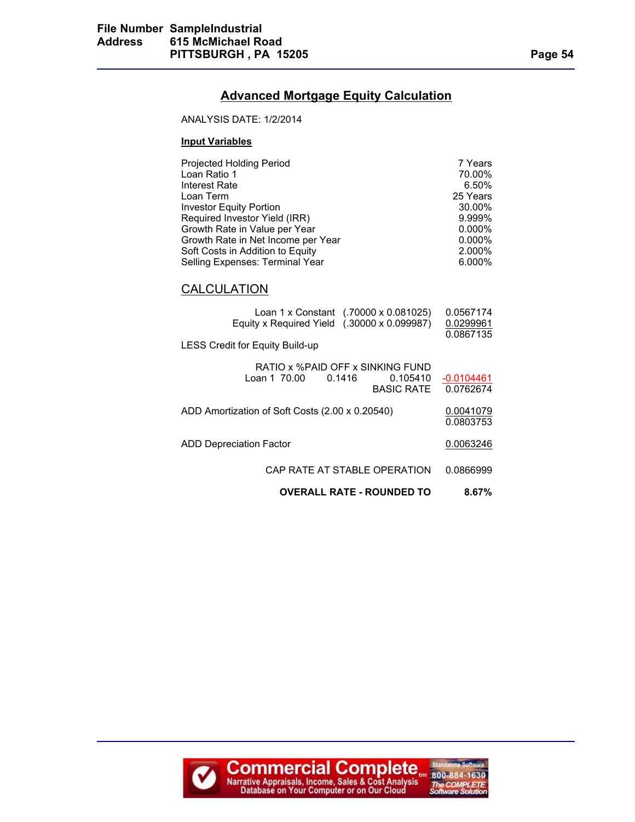### **Advanced Mortgage Equity Calculation**

ANALYSIS DATE: 1/2/2014

#### **Input Variables**

| <b>Projected Holding Period</b>    | 7 Years   |  |
|------------------------------------|-----------|--|
| Loan Ratio 1                       | 70.00%    |  |
| Interest Rate                      | 6.50%     |  |
| Loan Term                          | 25 Years  |  |
| <b>Investor Equity Portion</b>     | 30.00%    |  |
| Required Investor Yield (IRR)      | 9.999%    |  |
| Growth Rate in Value per Year      | $0.000\%$ |  |
| Growth Rate in Net Income per Year | $0.000\%$ |  |
| Soft Costs in Addition to Equity   | 2.000%    |  |
| Selling Expenses: Terminal Year    | 6.000%    |  |

#### **CALCULATION**

| Loan 1 x Constant (.70000 x 0.081025)<br>Equity x Required Yield (.30000 x 0.099987) | 0.0567174<br>0.0299961<br>0.0867135 |
|--------------------------------------------------------------------------------------|-------------------------------------|
| LESS Credit for Equity Build-up                                                      |                                     |
| RATIO x %PAID OFF x SINKING FUND<br>Loan 1 70.00   0.1416<br>BASIC RATE 0.0762674    | 0.105410 -0.0104461                 |
| ADD Amortization of Soft Costs (2.00 x 0.20540)                                      | 0.0041079<br>0.0803753              |
| ADD Depreciation Factor                                                              | 0.0063246                           |
| CAP RATE AT STABLE OPERATION                                                         | 0.0866999                           |
| <b>OVERALL RATE - ROUNDED TO</b>                                                     | 8.67%                               |

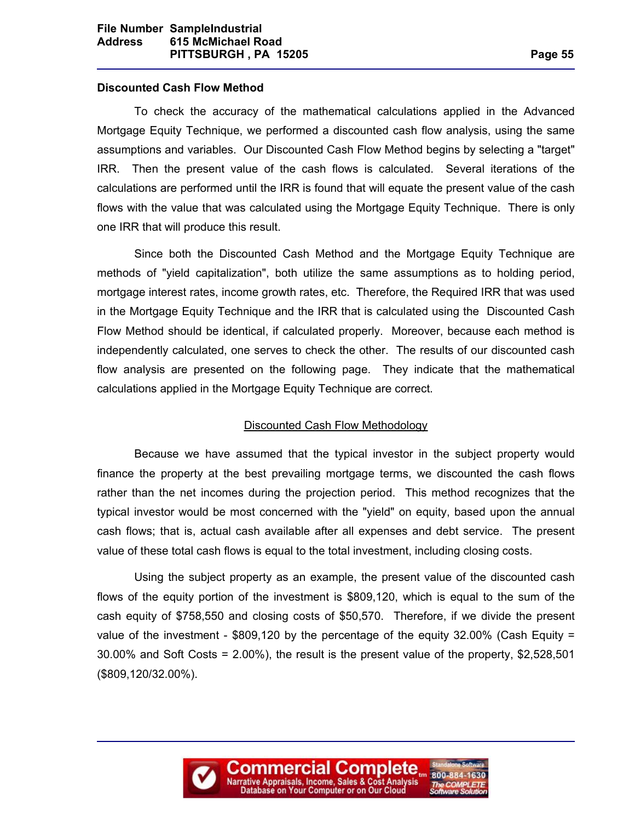To check the accuracy of the mathematical calculations applied in the Advanced Mortgage Equity Technique, we performed a discounted cash flow analysis, using the same assumptions and variables. Our Discounted Cash Flow Method begins by selecting a "target" IRR. Then the present value of the cash flows is calculated. Several iterations of the calculations are performed until the IRR is found that will equate the present value of the cash flows with the value that was calculated using the Mortgage Equity Technique. There is only one IRR that will produce this result.

Since both the Discounted Cash Method and the Mortgage Equity Technique are methods of "yield capitalization", both utilize the same assumptions as to holding period, mortgage interest rates, income growth rates, etc. Therefore, the Required IRR that was used in the Mortgage Equity Technique and the IRR that is calculated using the Discounted Cash Flow Method should be identical, if calculated properly. Moreover, because each method is independently calculated, one serves to check the other. The results of our discounted cash flow analysis are presented on the following page. They indicate that the mathematical calculations applied in the Mortgage Equity Technique are correct.

### Discounted Cash Flow Methodology

Because we have assumed that the typical investor in the subject property would finance the property at the best prevailing mortgage terms, we discounted the cash flows rather than the net incomes during the projection period. This method recognizes that the typical investor would be most concerned with the "yield" on equity, based upon the annual cash flows; that is, actual cash available after all expenses and debt service. The present value of these total cash flows is equal to the total investment, including closing costs.

Using the subject property as an example, the present value of the discounted cash flows of the equity portion of the investment is \$809,120, which is equal to the sum of the cash equity of \$758,550 and closing costs of \$50,570. Therefore, if we divide the present value of the investment - \$809,120 by the percentage of the equity 32.00% (Cash Equity = 30.00% and Soft Costs = 2.00%), the result is the present value of the property, \$2,528,501 (\$809,120/32.00%).

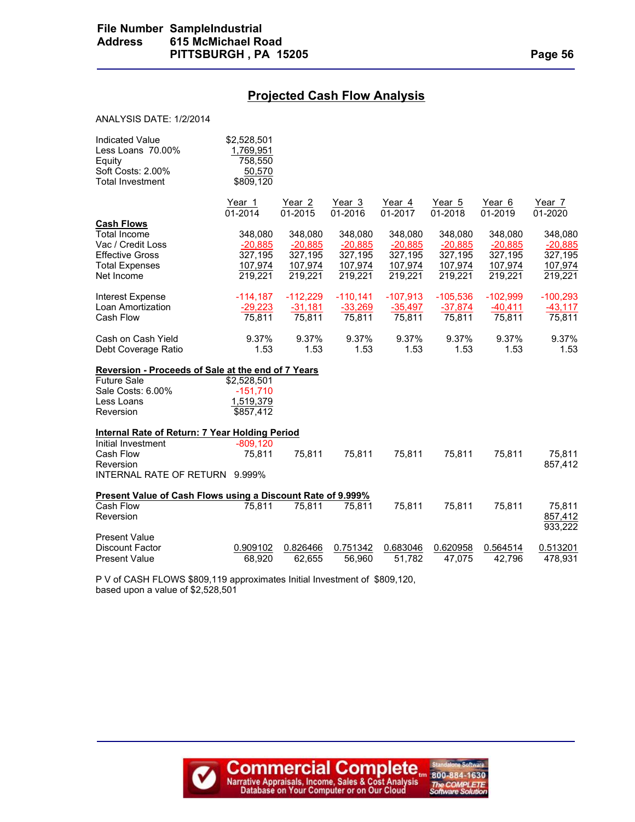### **Projected Cash Flow Analysis**

#### ANALYSIS DATE: 1/2/2014

| <b>Indicated Value</b><br>Less Loans 70.00%<br>Equity<br>Soft Costs: 2.00%<br><b>Total Investment</b> | \$2,528,501<br>1,769,951<br>758,550<br>50,570<br>\$809,120 |                   |                   |                   |                   |                   |                   |  |
|-------------------------------------------------------------------------------------------------------|------------------------------------------------------------|-------------------|-------------------|-------------------|-------------------|-------------------|-------------------|--|
|                                                                                                       | Year 1<br>01-2014                                          | Year 2<br>01-2015 | Year 3<br>01-2016 | Year 4<br>01-2017 | Year 5<br>01-2018 | Year 6<br>01-2019 | Year 7<br>01-2020 |  |
| <b>Cash Flows</b>                                                                                     |                                                            |                   |                   |                   |                   |                   |                   |  |
| <b>Total Income</b>                                                                                   | 348,080                                                    | 348,080           | 348,080           | 348,080           | 348,080           | 348,080           | 348,080           |  |
| Vac / Credit Loss                                                                                     | $-20,885$                                                  | $-20,885$         | $-20,885$         | $-20,885$         | $-20,885$         | $-20,885$         | $-20,885$         |  |
| <b>Effective Gross</b>                                                                                | 327,195                                                    | 327,195           | 327,195           | 327,195           | 327,195           | 327,195           | 327,195           |  |
| <b>Total Expenses</b>                                                                                 | 107,974                                                    | 107,974           | 107,974           | 107,974           | 107,974           | 107,974           | 107,974           |  |
| Net Income                                                                                            | 219,221                                                    | 219,221           | 219,221           | 219,221           | 219,221           | 219,221           | 219,221           |  |
| Interest Expense                                                                                      | $-114,187$                                                 | $-112,229$        | $-110,141$        | $-107,913$        | $-105,536$        | $-102,999$        | $-100,293$        |  |
| Loan Amortization                                                                                     | $-29,223$                                                  | $-31,181$         | $-33,269$         | $-35,497$         | $-37,874$         | $-40,411$         | $-43,117$         |  |
| Cash Flow                                                                                             | 75,811                                                     | 75,811            | 75,811            | 75,811            | 75,811            | 75,811            | 75,811            |  |
|                                                                                                       |                                                            |                   |                   |                   |                   |                   |                   |  |
| Cash on Cash Yield                                                                                    | 9.37%                                                      | 9.37%             | 9.37%             | 9.37%             | 9.37%             | 9.37%             | 9.37%             |  |
| Debt Coverage Ratio                                                                                   | 1.53                                                       | 1.53              | 1.53              | 1.53              | 1.53              | 1.53              | 1.53              |  |
| Reversion - Proceeds of Sale at the end of 7 Years                                                    |                                                            |                   |                   |                   |                   |                   |                   |  |
| <b>Future Sale</b>                                                                                    | \$2,528,501                                                |                   |                   |                   |                   |                   |                   |  |
| Sale Costs: 6.00%                                                                                     | $-151,710$                                                 |                   |                   |                   |                   |                   |                   |  |
| Less Loans                                                                                            | 1,519,379                                                  |                   |                   |                   |                   |                   |                   |  |
| Reversion                                                                                             | \$857,412                                                  |                   |                   |                   |                   |                   |                   |  |
| <b>Internal Rate of Return: 7 Year Holding Period</b>                                                 |                                                            |                   |                   |                   |                   |                   |                   |  |
| Initial Investment                                                                                    | $-809.120$                                                 |                   |                   |                   |                   |                   |                   |  |
| Cash Flow                                                                                             | 75,811                                                     | 75,811            | 75,811            | 75,811            | 75,811            | 75,811            | 75,811            |  |
| Reversion                                                                                             |                                                            |                   |                   |                   |                   |                   | 857,412           |  |
| INTERNAL RATE OF RETURN 9.999%                                                                        |                                                            |                   |                   |                   |                   |                   |                   |  |
|                                                                                                       |                                                            |                   |                   |                   |                   |                   |                   |  |
| Present Value of Cash Flows using a Discount Rate of 9.999%<br>Cash Flow                              | 75.811                                                     | 75,811            | 75,811            | 75,811            | 75,811            | 75,811            | 75,811            |  |
| Reversion                                                                                             |                                                            |                   |                   |                   |                   |                   | 857,412           |  |
|                                                                                                       |                                                            |                   |                   |                   |                   |                   | 933,222           |  |
| <b>Present Value</b>                                                                                  |                                                            |                   |                   |                   |                   |                   |                   |  |
| <b>Discount Factor</b>                                                                                | 0.909102                                                   | 0.826466          | 0.751342          | 0.683046          | 0.620958          | 0.564514          | 0.513201          |  |
| <b>Present Value</b>                                                                                  | 68,920                                                     | 62,655            | 56,960            | 51,782            | 47,075            | 42,796            | 478,931           |  |
|                                                                                                       |                                                            |                   |                   |                   |                   |                   |                   |  |

P V of CASH FLOWS \$809,119 approximates Initial Investment of \$809,120, based upon a value of \$2,528,501



630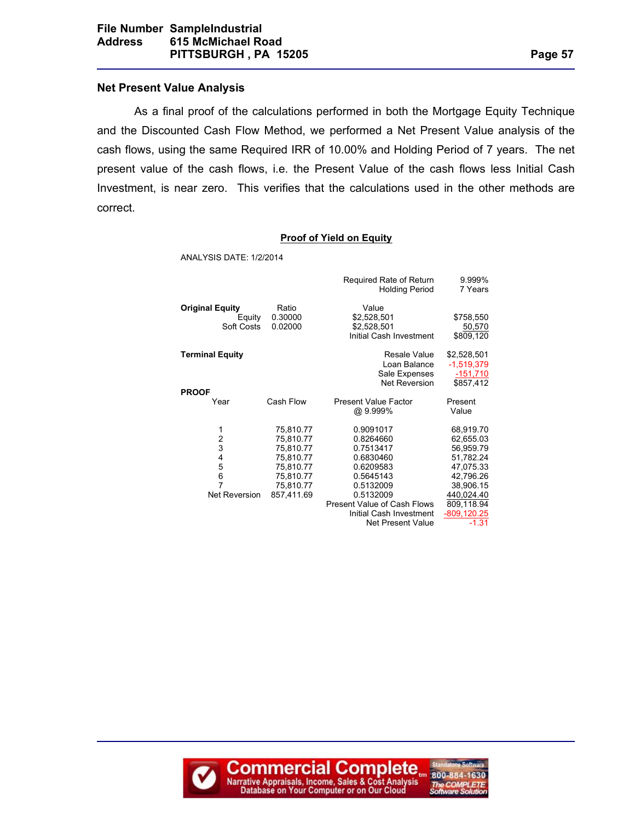#### **Net Present Value Analysis**

As a final proof of the calculations performed in both the Mortgage Equity Technique and the Discounted Cash Flow Method, we performed a Net Present Value analysis of the cash flows, using the same Required IRR of 10.00% and Holding Period of 7 years. The net present value of the cash flows, i.e. the Present Value of the cash flows less Initial Cash Investment, is near zero. This verifies that the calculations used in the other methods are correct.

#### **Proof of Yield on Equity**

|                        |            | Required Rate of Return            | 9.999%         |
|------------------------|------------|------------------------------------|----------------|
|                        |            | <b>Holding Period</b>              | 7 Years        |
|                        |            |                                    |                |
| <b>Original Equity</b> | Ratio      | Value                              |                |
| Equity                 | 0.30000    | \$2,528,501                        | \$758,550      |
| Soft Costs             | 0.02000    | \$2,528,501                        | 50,570         |
|                        |            | Initial Cash Investment            | \$809,120      |
|                        |            |                                    |                |
| <b>Terminal Equity</b> |            | Resale Value                       | \$2,528,501    |
|                        |            | Loan Balance                       | $-1,519,379$   |
|                        |            | Sale Expenses                      | $-151,710$     |
|                        |            | Net Reversion                      | \$857,412      |
| <b>PROOF</b>           |            |                                    |                |
| Year                   | Cash Flow  | <b>Present Value Factor</b>        | Present        |
|                        |            | @ 9.999%                           | Value          |
|                        |            |                                    |                |
| 1                      | 75,810.77  | 0.9091017                          | 68,919.70      |
| $\frac{2}{3}$          | 75,810.77  | 0.8264660                          | 62,655.03      |
|                        | 75,810.77  | 0.7513417                          | 56,959.79      |
| 4                      | 75,810.77  | 0.6830460                          | 51,782.24      |
| $\frac{5}{6}$          | 75,810.77  | 0.6209583                          | 47,075.33      |
|                        | 75,810.77  | 0.5645143                          | 42,796.26      |
| $\overline{7}$         | 75,810.77  | 0.5132009                          | 38,906.15      |
| <b>Net Reversion</b>   | 857,411.69 | 0.5132009                          | 440,024.40     |
|                        |            | <b>Present Value of Cash Flows</b> | 809,118.94     |
|                        |            | Initial Cash Investment            | $-809, 120.25$ |
|                        |            | <b>Net Present Value</b>           | $-1.31$        |

800-

CO

ANALYSIS DATE: 1/2/2014

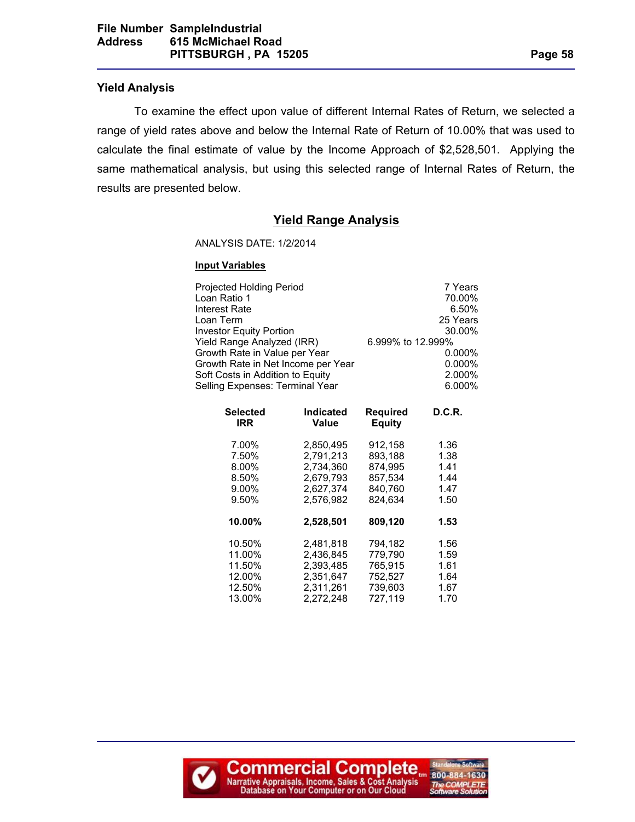#### **Yield Analysis**

To examine the effect upon value of different Internal Rates of Return, we selected a range of yield rates above and below the Internal Rate of Return of 10.00% that was used to calculate the final estimate of value by the Income Approach of \$2,528,501. Applying the same mathematical analysis, but using this selected range of Internal Rates of Return, the results are presented below.

### **Yield Range Analysis**

ANALYSIS DATE: 1/2/2014

#### **Input Variables**

| Projected Holding Period           | 7 Years           |  |
|------------------------------------|-------------------|--|
| Loan Ratio 1                       | 70.00%            |  |
| Interest Rate                      | 6.50%             |  |
| Loan Term                          | 25 Years          |  |
| <b>Investor Equity Portion</b>     | 30.00%            |  |
| Yield Range Analyzed (IRR)         | 6.999% to 12.999% |  |
| Growth Rate in Value per Year      | $0.000\%$         |  |
| Growth Rate in Net Income per Year | $0.000\%$         |  |
| Soft Costs in Addition to Equity   | 2.000%            |  |
| Selling Expenses: Terminal Year    | 6.000%            |  |

| <b>Selected</b><br>IRR | <b>Indicated</b><br>Value | <b>Required</b><br><b>Equity</b> | D.C.R. |  |
|------------------------|---------------------------|----------------------------------|--------|--|
| 7.00%                  | 2,850,495                 | 912.158                          | 1.36   |  |
| 7.50%                  | 2.791.213                 | 893.188                          | 1.38   |  |
| 8.00%                  | 2.734.360                 | 874.995                          | 1.41   |  |
| 8.50%                  | 2.679.793                 | 857.534                          | 1.44   |  |
| $9.00\%$               | 2.627.374                 | 840.760                          | 1.47   |  |
| 9.50%                  | 2.576.982                 | 824.634                          | 1.50   |  |
| 10.00%                 | 2,528,501                 | 809,120                          | 1.53   |  |
| 10.50%                 | 2,481,818                 | 794,182                          | 1.56   |  |
| 11.00%                 | 2.436.845                 | 779.790                          | 1.59   |  |
| 11.50%                 | 2,393,485                 | 765.915                          | 1.61   |  |
| 12.00%                 | 2,351,647                 | 752,527                          | 1.64   |  |
| 12.50%                 | 2,311,261                 | 739,603                          | 1.67   |  |
| 13.00%                 | 2,272,248                 | 727.119                          | 1.70   |  |

 $800 - 8$ 

CO

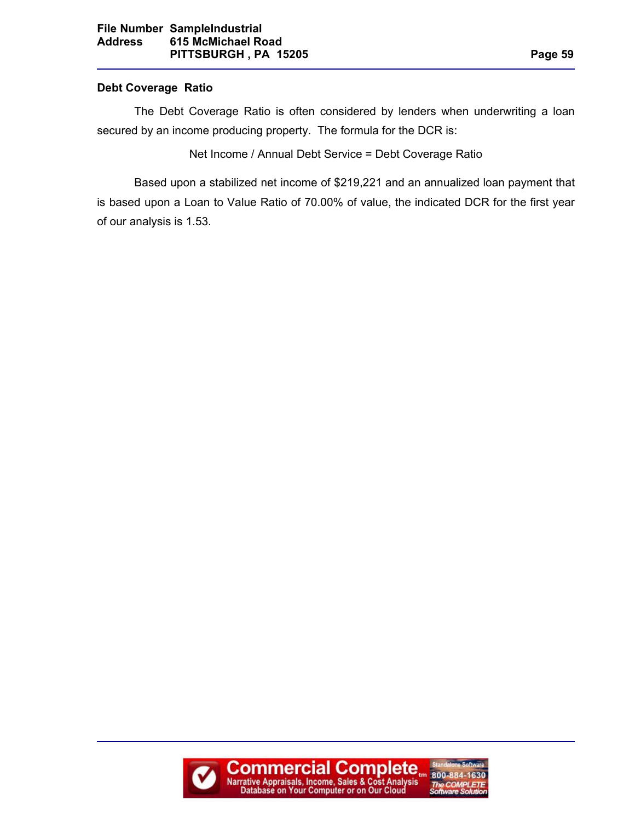#### **Debt Coverage Ratio**

The Debt Coverage Ratio is often considered by lenders when underwriting a loan secured by an income producing property. The formula for the DCR is:

Net Income / Annual Debt Service = Debt Coverage Ratio

Based upon a stabilized net income of \$219,221 and an annualized loan payment that is based upon a Loan to Value Ratio of 70.00% of value, the indicated DCR for the first year of our analysis is 1.53.

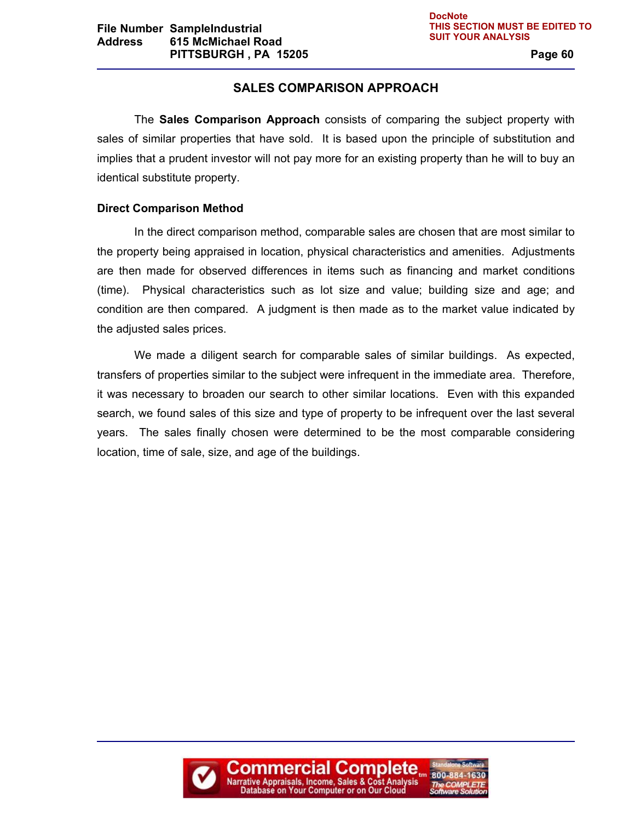### **SALES COMPARISON APPROACH**

The **Sales Comparison Approach** consists of comparing the subject property with sales of similar properties that have sold. It is based upon the principle of substitution and implies that a prudent investor will not pay more for an existing property than he will to buy an identical substitute property.

#### **Direct Comparison Method**

In the direct comparison method, comparable sales are chosen that are most similar to the property being appraised in location, physical characteristics and amenities. Adjustments are then made for observed differences in items such as financing and market conditions (time). Physical characteristics such as lot size and value; building size and age; and condition are then compared. A judgment is then made as to the market value indicated by the adjusted sales prices.

We made a diligent search for comparable sales of similar buildings. As expected, transfers of properties similar to the subject were infrequent in the immediate area. Therefore, it was necessary to broaden our search to other similar locations. Even with this expanded search, we found sales of this size and type of property to be infrequent over the last several years. The sales finally chosen were determined to be the most comparable considering location, time of sale, size, and age of the buildings.

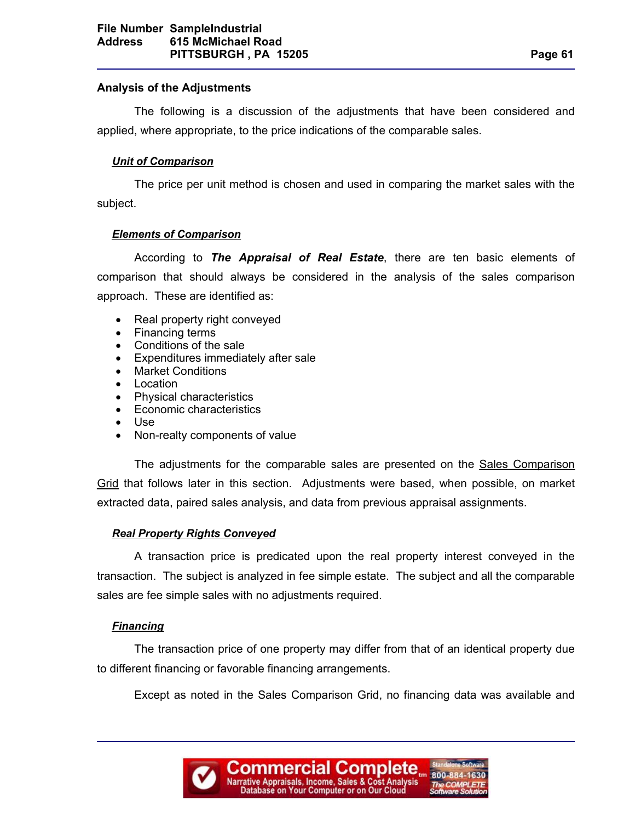#### **Analysis of the Adjustments**

The following is a discussion of the adjustments that have been considered and applied, where appropriate, to the price indications of the comparable sales.

#### *Unit of Comparison*

The price per unit method is chosen and used in comparing the market sales with the subject.

#### *Elements of Comparison*

According to *The Appraisal of Real Estate*, there are ten basic elements of comparison that should always be considered in the analysis of the sales comparison approach. These are identified as:

- Real property right conveyed
- · Financing terms
- · Conditions of the sale
- · Expenditures immediately after sale
- · Market Conditions
- · Location
- · Physical characteristics
- · Economic characteristics
- · Use
- · Non-realty components of value

The adjustments for the comparable sales are presented on the Sales Comparison Grid that follows later in this section. Adjustments were based, when possible, on market extracted data, paired sales analysis, and data from previous appraisal assignments.

#### *Real Property Rights Conveyed*

A transaction price is predicated upon the real property interest conveyed in the transaction. The subject is analyzed in fee simple estate. The subject and all the comparable sales are fee simple sales with no adjustments required.

#### *Financing*

The transaction price of one property may differ from that of an identical property due to different financing or favorable financing arrangements.

Except as noted in the Sales Comparison Grid, no financing data was available and

The COM

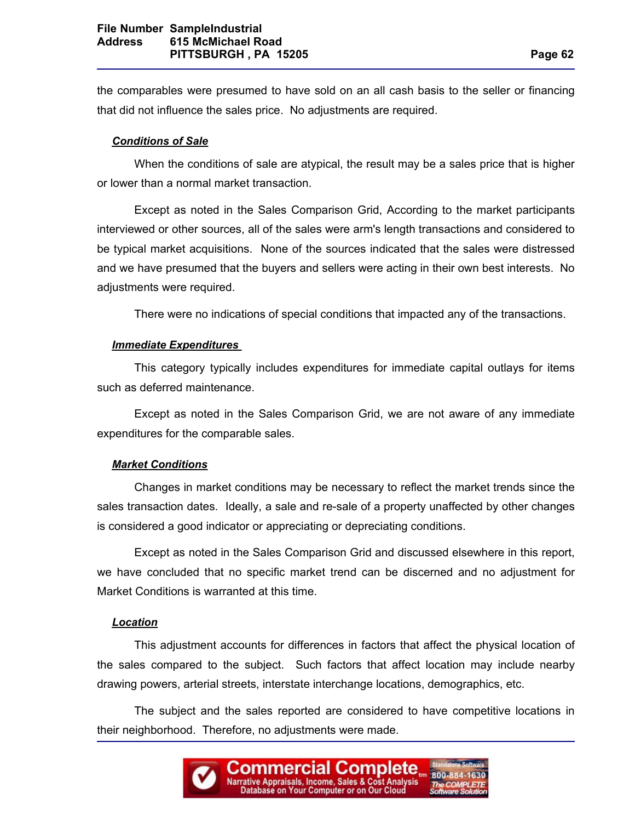the comparables were presumed to have sold on an all cash basis to the seller or financing that did not influence the sales price. No adjustments are required.

#### *Conditions of Sale*

When the conditions of sale are atypical, the result may be a sales price that is higher or lower than a normal market transaction.

Except as noted in the Sales Comparison Grid, According to the market participants interviewed or other sources, all of the sales were arm's length transactions and considered to be typical market acquisitions. None of the sources indicated that the sales were distressed and we have presumed that the buyers and sellers were acting in their own best interests. No adjustments were required.

There were no indications of special conditions that impacted any of the transactions.

#### *Immediate Expenditures*

This category typically includes expenditures for immediate capital outlays for items such as deferred maintenance.

Except as noted in the Sales Comparison Grid, we are not aware of any immediate expenditures for the comparable sales.

#### *Market Conditions*

Changes in market conditions may be necessary to reflect the market trends since the sales transaction dates. Ideally, a sale and re-sale of a property unaffected by other changes is considered a good indicator or appreciating or depreciating conditions.

Except as noted in the Sales Comparison Grid and discussed elsewhere in this report, we have concluded that no specific market trend can be discerned and no adjustment for Market Conditions is warranted at this time.

#### *Location*

This adjustment accounts for differences in factors that affect the physical location of the sales compared to the subject. Such factors that affect location may include nearby drawing powers, arterial streets, interstate interchange locations, demographics, etc.

The subject and the sales reported are considered to have competitive locations in their neighborhood. Therefore, no adjustments were made.

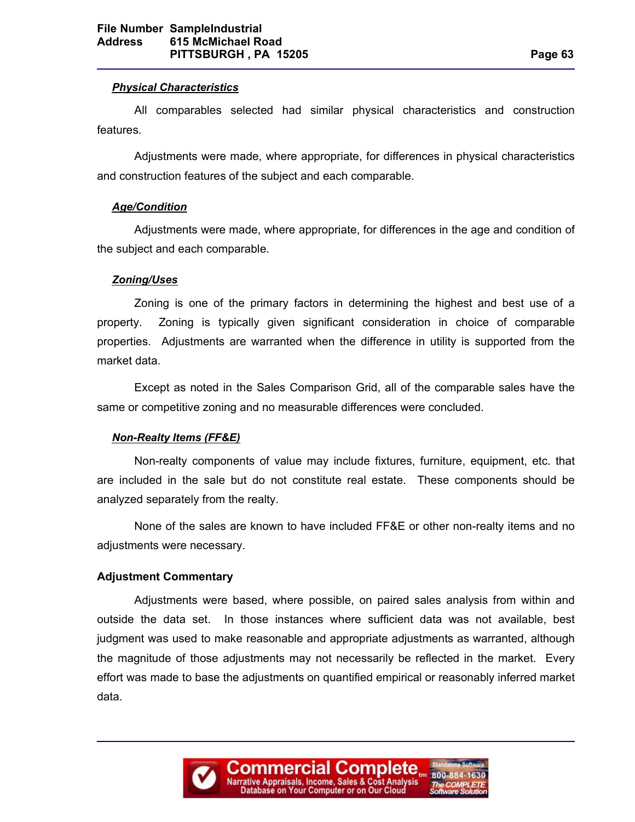#### *Physical Characteristics*

All comparables selected had similar physical characteristics and construction features.

Adjustments were made, where appropriate, for differences in physical characteristics and construction features of the subject and each comparable.

#### *Age/Condition*

Adjustments were made, where appropriate, for differences in the age and condition of the subject and each comparable.

#### *Zoning/Uses*

Zoning is one of the primary factors in determining the highest and best use of a property. Zoning is typically given significant consideration in choice of comparable properties. Adjustments are warranted when the difference in utility is supported from the market data.

Except as noted in the Sales Comparison Grid, all of the comparable sales have the same or competitive zoning and no measurable differences were concluded.

#### *Non-Realty Items (FF&E)*

Non-realty components of value may include fixtures, furniture, equipment, etc. that are included in the sale but do not constitute real estate. These components should be analyzed separately from the realty.

None of the sales are known to have included FF&E or other non-realty items and no adjustments were necessary.

#### **Adjustment Commentary**

Adjustments were based, where possible, on paired sales analysis from within and outside the data set. In those instances where sufficient data was not available, best judgment was used to make reasonable and appropriate adjustments as warranted, although the magnitude of those adjustments may not necessarily be reflected in the market. Every effort was made to base the adjustments on quantified empirical or reasonably inferred market data.

**nmercial Complete** 

Database on Your Computer or on Our Cloud

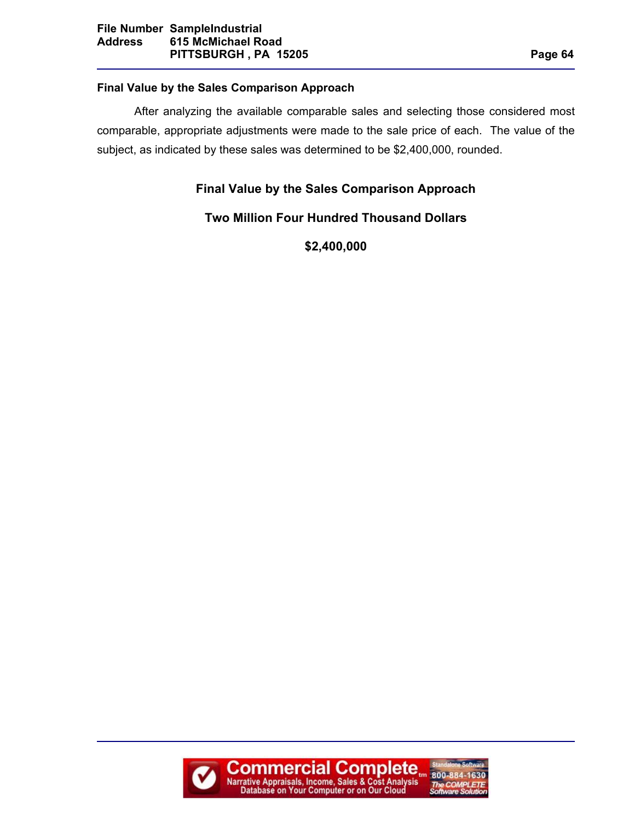#### **Final Value by the Sales Comparison Approach**

After analyzing the available comparable sales and selecting those considered most comparable, appropriate adjustments were made to the sale price of each. The value of the subject, as indicated by these sales was determined to be \$2,400,000, rounded.

### **Final Value by the Sales Comparison Approach**

### **Two Million Four Hundred Thousand Dollars**

**\$2,400,000**

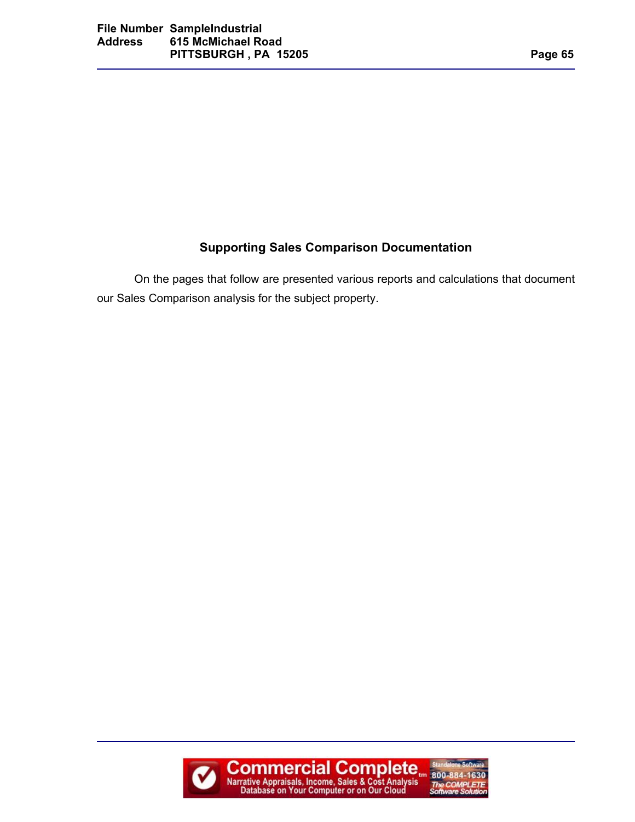## **Supporting Sales Comparison Documentation**

On the pages that follow are presented various reports and calculations that document our Sales Comparison analysis for the subject property.

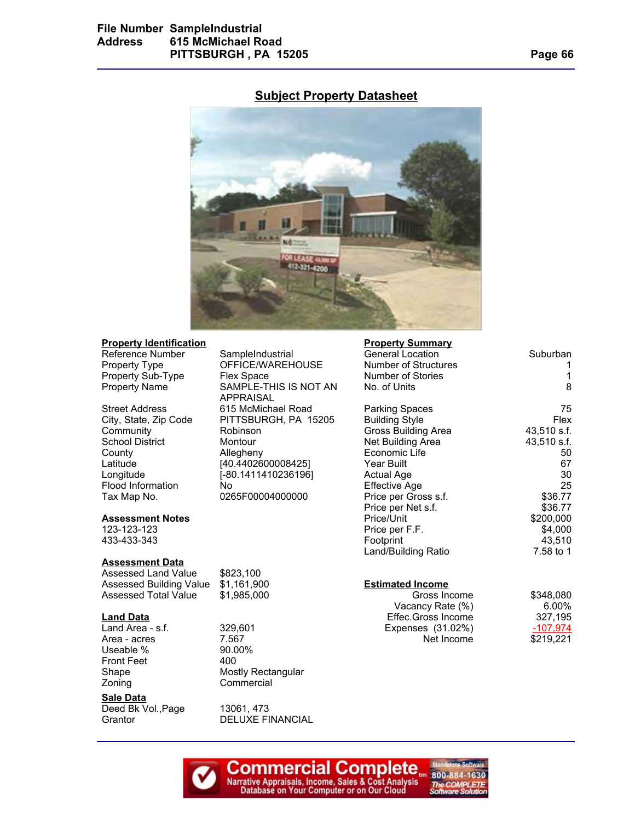#### **Subject Property Datasheet**



Property Name SAMPLE-THIS IS NOT AN

#### **Assessment Data**

Assessed Land Value \$823,100 Assessed Building Value \$1,161,900 **Estimated Income** Assessed Total Value

Land Area - s.f. 329,601<br>Area - acres (31.02%) -107,567 Useable % 90.00% Front Feet 400 Zoning Commercial

APPRAISAL

#### **Sale Data**

Deed Bk Vol., Page 13061, 473

Shape Mostly Rectangular

Grantor DELUXE FINANCIAL

#### **Property Identification**<br> **Property Summary**<br> **Property Summary**<br> **Property Summary**<br> **Property Summary**<br> **Property Summary** Reference Number SampleIndustrial General Location Suburban<br>
Property Type OFFICE/WAREHOUSE Number of Structures 1 OFFICE/WAREHOUSE Number of Structures 1<br>Plex Space 1 Number of Stories 1 Property Sub-Type Flex Space Number of Stories 1 No. of Units 8 Street Address 615 McMichael Road Parking Spaces 75 City, State, Zip Code PITTSBURGH, PA 15205 Building Style Flex Flex Community **Robinson** Robinson Gross Building Area 43,510 s.f. School District Montour Montour Net Building Area 43,510 s.f. County Allegheny Economic Life 50<br>Latitude [40.4402600008425] Year Built 67 Latitude [40.4402600008425] Year Built 67 Longitude [-80.1411410236196] Actual Age 30 Flood Information 100 No 100 Effective Age 100 Price per Gross s.f. 100 256577<br>Tax Map No. 10265F00004000000 Price per Gross s.f. 100 \$36.77 Price per Gross s.f. 699 \$36.77<br>Price per Net s.f. \$36.77 Price per Net s.f. **Assessment Notes Contract Contract Price**/Unit **Contract Price/Unit 5200.000** 123-123-123 Price per F.F. \$4,000 433-433-343 Footprint 43,510 Land/Building Ratio 7.58 to 1

| Assessed Total Value | \$1.985.000 | Gross Income        | \$348,080  |  |
|----------------------|-------------|---------------------|------------|--|
|                      |             | Vacancy Rate (%)    | $6.00\%$   |  |
| Land Data            |             | Effec.Gross Income  | 327.195    |  |
| Land Area - s.f.     | 329.601     | Expenses $(31.02%)$ | $-107.974$ |  |
| Area - acres         | 7.567       | Net Income          | \$219.221  |  |

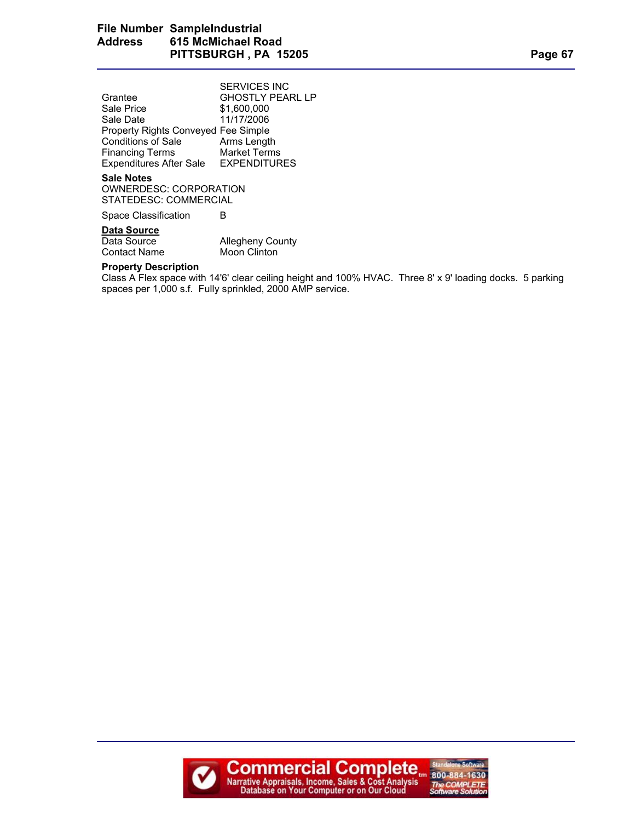|                                     | <b>SERVICES INC</b>     |
|-------------------------------------|-------------------------|
| Grantee                             | <b>GHOSTLY PEARL LP</b> |
| Sale Price                          | \$1,600,000             |
| Sale Date                           | 11/17/2006              |
| Property Rights Conveyed Fee Simple |                         |
| Conditions of Sale                  | Arms Length             |
| <b>Financing Terms</b>              | <b>Market Terms</b>     |
| <b>Expenditures After Sale</b>      | <b>EXPENDITURES</b>     |

#### **Sale Notes**

OWNERDESC: CORPORATION STATEDESC: COMMERCIAL

Space Classification B

#### **Data Source**

| Data Source  | <b>Allegheny County</b> |
|--------------|-------------------------|
| Contact Name | Moon Clinton            |

#### **Property Description**

Class A Flex space with 14'6' clear ceiling height and 100% HVAC. Three 8' x 9' loading docks. 5 parking spaces per 1,000 s.f. Fully sprinkled, 2000 AMP service.



The COM

630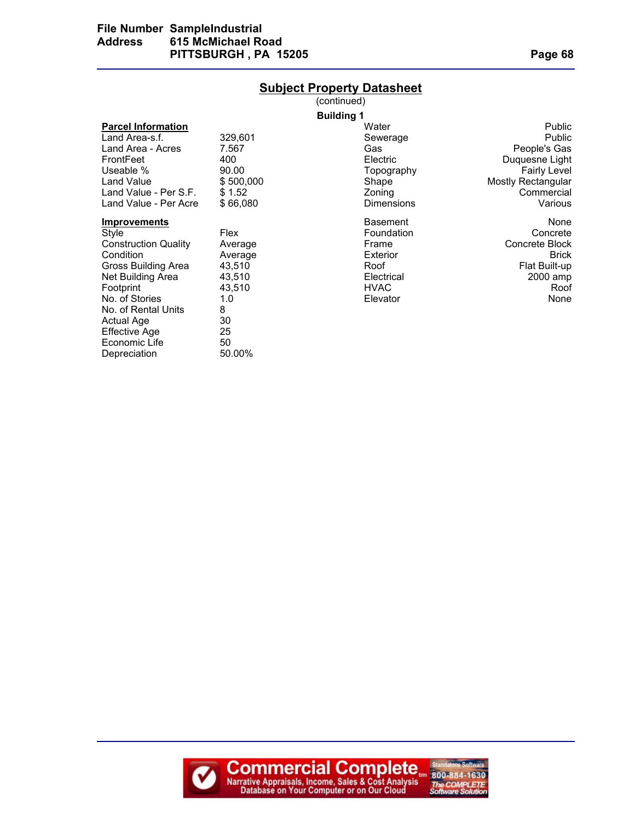#### **Subject Property Datasheet**

(continued)

| <b>Building 1</b>           |             |                   |                     |  |
|-----------------------------|-------------|-------------------|---------------------|--|
| <b>Parcel Information</b>   |             | Water             | Public              |  |
| Land Area-s.f.              | 329,601     | Sewerage          | Public              |  |
| Land Area - Acres           | 7.567       | Gas               | People's Gas        |  |
| FrontFeet                   | 400         | Electric          | Duquesne Light      |  |
| Useable %                   | 90.00       | Topography        | <b>Fairly Level</b> |  |
| <b>Land Value</b>           | \$500,000   | Shape             | Mostly Rectangular  |  |
| Land Value - Per S.F.       | \$1.52      | Zoning            | Commercial          |  |
| Land Value - Per Acre       | \$66,080    | <b>Dimensions</b> | Various             |  |
| Improvements                |             | <b>Basement</b>   | None                |  |
| Style                       | <b>Flex</b> | Foundation        | Concrete            |  |
| <b>Construction Quality</b> | Average     | Frame             | Concrete Block      |  |
| Condition                   | Average     | Exterior          | <b>Brick</b>        |  |
| Gross Building Area         | 43,510      | Roof              | Flat Built-up       |  |
| Net Building Area           | 43,510      | Electrical        | 2000 amp            |  |
| Footprint                   | 43,510      | <b>HVAC</b>       | Roof                |  |
| No. of Stories              | 1.0         | Elevator          | None                |  |
| No. of Rental Units         | 8           |                   |                     |  |
| Actual Age                  | 30          |                   |                     |  |
| Effective Age               | 25          |                   |                     |  |
| Economic Life               | 50          |                   |                     |  |
| Depreciation                | 50.00%      |                   |                     |  |

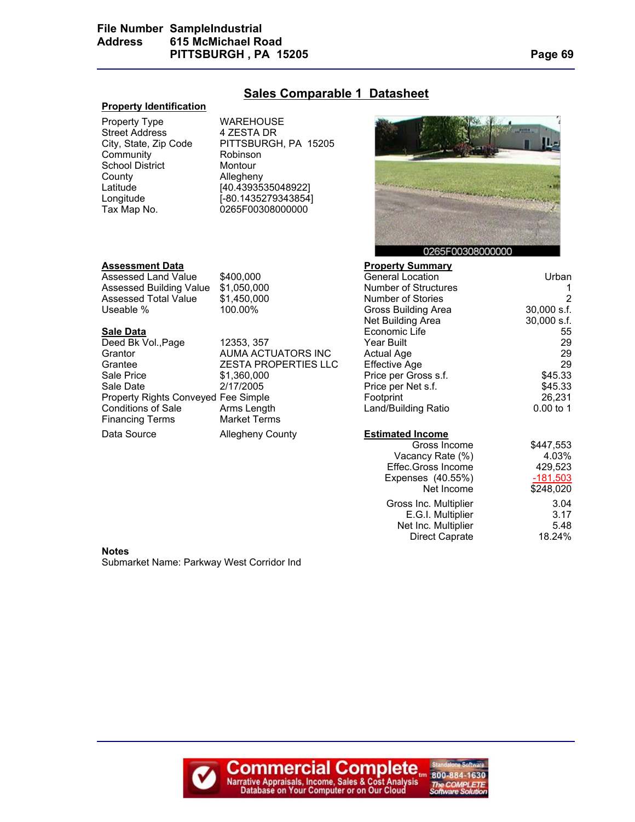# **Sales Comparable 1 Datasheet**

#### **Property Identification**

Property Type WAREHOUSE<br>Street Address 4 ZESTA DR Street Address<br>City, State, Zip Code Community Robinson School District<br>County County Allegheny<br>
Latitude [40.43935 Latitude [40.4393535048922]<br>Longitude [-80.1435279343854

PITTSBURGH, PA 15205<br>Robinson Longitude [-80.1435279343854] 0265F00308000000



0265F00308000000

E.G.I. Multiplier 3.17 Net Inc. Multiplier 5.48 Direct Caprate 18.24%

| <b>Assessment Data</b>                     |                             | <b>Property Summary</b> |               |
|--------------------------------------------|-----------------------------|-------------------------|---------------|
| Assessed Land Value                        | \$400,000                   | <b>General Location</b> | Urban         |
| <b>Assessed Building Value</b>             | \$1,050,000                 | Number of Structures    |               |
| <b>Assessed Total Value</b>                | \$1,450,000                 | Number of Stories       | 2             |
| Useable %                                  | 100.00%                     | Gross Building Area     | $30,000$ s.f. |
|                                            |                             | Net Building Area       | $30,000$ s.f. |
| Sale Data                                  |                             | Economic Life           | 55            |
| Deed Bk Vol., Page                         | 12353, 357                  | Year Built              | 29            |
| Grantor                                    | AUMA ACTUATORS INC          | Actual Age              | 29            |
| Grantee                                    | <b>ZESTA PROPERTIES LLC</b> | <b>Effective Age</b>    | 29            |
| Sale Price                                 | \$1,360,000                 | Price per Gross s.f.    | \$45.33       |
| Sale Date                                  | 2/17/2005                   | Price per Net s.f.      | \$45.33       |
| <b>Property Rights Conveyed Fee Simple</b> |                             | Footprint               | 26,231        |
| <b>Conditions of Sale</b>                  | Arms Length                 | Land/Building Ratio     | $0.00$ to 1   |
| <b>Financing Terms</b>                     | <b>Market Terms</b>         |                         |               |
| Data Source                                | <b>Allegheny County</b>     | <b>Estimated Income</b> |               |
|                                            |                             | Gross Income            | \$447,553     |
|                                            |                             | Vacancy Rate (%)        | 4.03%         |
|                                            |                             | Effec.Gross Income      | 429,523       |
|                                            |                             | Expenses (40.55%)       | $-181,503$    |
|                                            |                             | Net Income              | \$248,020     |
|                                            |                             | Gross Inc. Multiplier   | 3.04          |

#### **Notes**

Submarket Name: Parkway West Corridor Ind

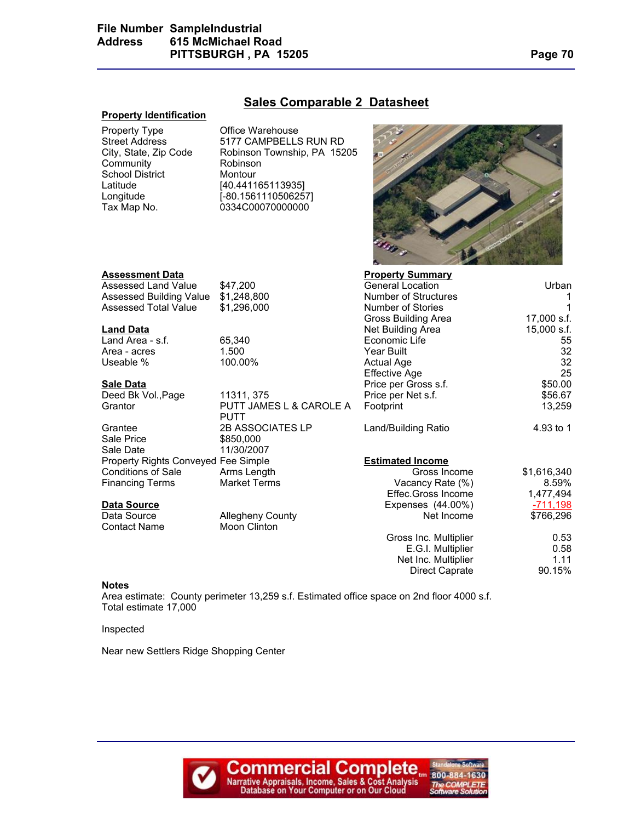Property Type **Office Warehouse** Community Robinson School District Montour<br>
Latitude [40.4411 Latitude [40.441165113935]<br>Longitude [-80.156111050625] Longitude [-80.1561110506257]

Street Address 5177 CAMPBELLS RUN RD City, State, Zip Code Robinson Township, PA 15205 0334C00070000000

**Sales Comparable 2 Datasheet**



 $800 - 8$ 

CO

| <b>Assessment Data</b>              |                         | <b>Property Summary</b>     |               |
|-------------------------------------|-------------------------|-----------------------------|---------------|
| <b>Assessed Land Value</b>          | \$47,200                | <b>General Location</b>     | Urban         |
| Assessed Building Value             | \$1,248,800             | <b>Number of Structures</b> |               |
| <b>Assessed Total Value</b>         | \$1,296,000             | Number of Stories           |               |
|                                     |                         | Gross Building Area         | 17,000 s.f.   |
| <b>Land Data</b>                    |                         | Net Building Area           | $15,000$ s.f. |
| Land Area - s.f.                    | 65,340                  | Economic Life               | 55            |
| Area - acres                        | 1.500                   | Year Built                  | 32            |
| Useable %                           | 100.00%                 | Actual Age                  | 32            |
|                                     |                         | <b>Effective Age</b>        | 25            |
| <b>Sale Data</b>                    |                         | Price per Gross s.f.        | \$50.00       |
| Deed Bk Vol., Page                  | 11311, 375              | Price per Net s.f.          | \$56.67       |
| Grantor                             | PUTT JAMES L & CAROLE A | Footprint                   | 13,259        |
|                                     | <b>PUTT</b>             |                             |               |
| Grantee                             | 2B ASSOCIATES LP        | Land/Building Ratio         | 4.93 to 1     |
| Sale Price                          | \$850,000               |                             |               |
| Sale Date                           | 11/30/2007              |                             |               |
| Property Rights Conveyed Fee Simple |                         | <b>Estimated Income</b>     |               |
| <b>Conditions of Sale</b>           | Arms Length             | Gross Income                | \$1,616,340   |
| <b>Financing Terms</b>              | <b>Market Terms</b>     | Vacancy Rate (%)            | 8.59%         |
|                                     |                         | Effec.Gross Income          | 1,477,494     |
| <b>Data Source</b>                  |                         | Expenses (44.00%)           | $-711,198$    |
| Data Source                         | <b>Allegheny County</b> | Net Income                  | \$766,296     |
| <b>Contact Name</b>                 | Moon Clinton            |                             |               |
|                                     |                         | Gross Inc. Multiplier       | 0.53          |
|                                     |                         | E.G.I. Multiplier           | 0.58          |
|                                     |                         | Net Inc. Multiplier         | 1.11          |
|                                     |                         | Direct Caprate              | 90.15%        |

#### **Notes**

Area estimate: County perimeter 13,259 s.f. Estimated office space on 2nd floor 4000 s.f. Total estimate 17,000

Inspected

Near new Settlers Ridge Shopping Center

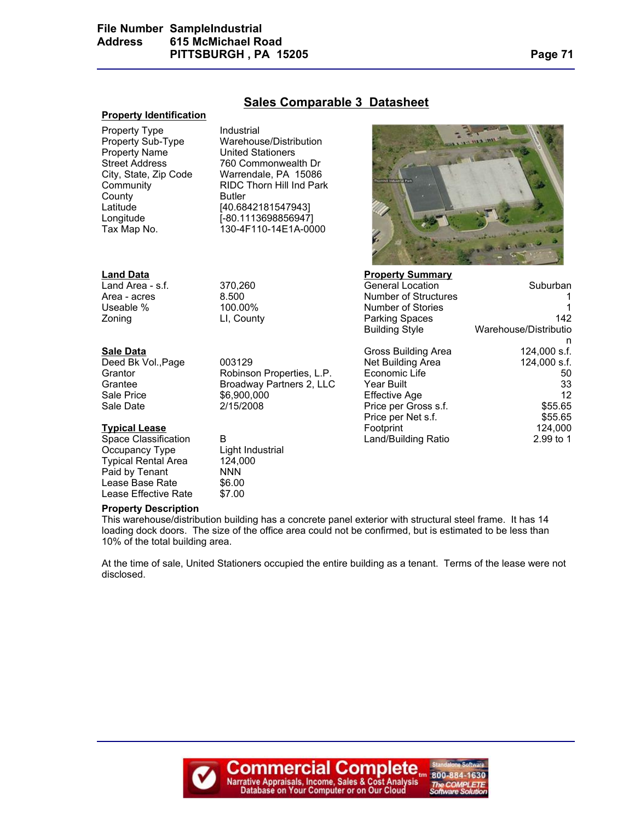Property Type Industrial<br>Property Sub-Type Warehous Property Name United Stationers City, State, Zip Code County<br>
Latitude 640.68 Longitude  $\overline{C}$ -80.1113698856947]

# Warehouse/Distribution Street Address 760 Commonwealth Dr<br>City, State, Zip Code Warrendale, PA 15086 Community RIDC Thorn Hill Ind Park [40.6842181547943] Tax Map No. 130-4F110-14E1A-0000

# **Sales Comparable 3 Datasheet**



# **Land Data**<br> **Land Area - s.f.** 370.260 **Property Summary**<br> **Property Summary**

| Land Area - s.i |
|-----------------|
| Area - acres    |
| Useable %       |
| Zoning          |

Space Classification B Occupancy Type Light Industrial Typical Rental Area 124,000 Paid by Tenant NNN Lease Base Rate \$6.00 Lease Effective Rate \$7.00

#### **Property Description**

This warehouse/distribution building has a concrete panel exterior with structural steel frame. It has 14 loading dock doors. The size of the office area could not be confirmed, but is estimated to be less than 10% of the total building area.

At the time of sale, United Stationers occupied the entire building as a tenant. Terms of the lease were not disclosed.





|                      |                           |                      | n              |
|----------------------|---------------------------|----------------------|----------------|
| <b>Sale Data</b>     |                           | Gross Building Area  | $124,000$ s.f. |
| Deed Bk Vol., Page   | 003129                    | Net Building Area    | 124,000 s.f.   |
| Grantor              | Robinson Properties, L.P. | Economic Life        | 50             |
| Grantee              | Broadway Partners 2, LLC  | Year Built           | 33             |
| Sale Price           | \$6,900,000               | Effective Age        | 12             |
| Sale Date            | 2/15/2008                 | Price per Gross s.f. | \$55.65        |
|                      |                           | Price per Net s.f.   | \$55.65        |
| <b>Typical Lease</b> |                           | Footprint            | 124.000        |
| Space Classification | В                         | Land/Building Ratio  | 2.99 to 1      |

 $800 -$ 

CO

Number of Stories 100.000 Number of Stories 100.000 Number 100.000 Number 100.000 Number 100.000 Number 100.00

Building Style Warehouse/Distributio

Parent Area - Suburban - Suburban - Suburban - Suburban - Suburban - Suburban - Suburban - Suburban - Suburban - Suburban - Suburban - Suburban - Suburban - Suburban - Suburban - Suburban - Suburban - Suburban - Suburban -Area - acres 8.500 Number of Structures 1

LI, County **Parking Spaces** 142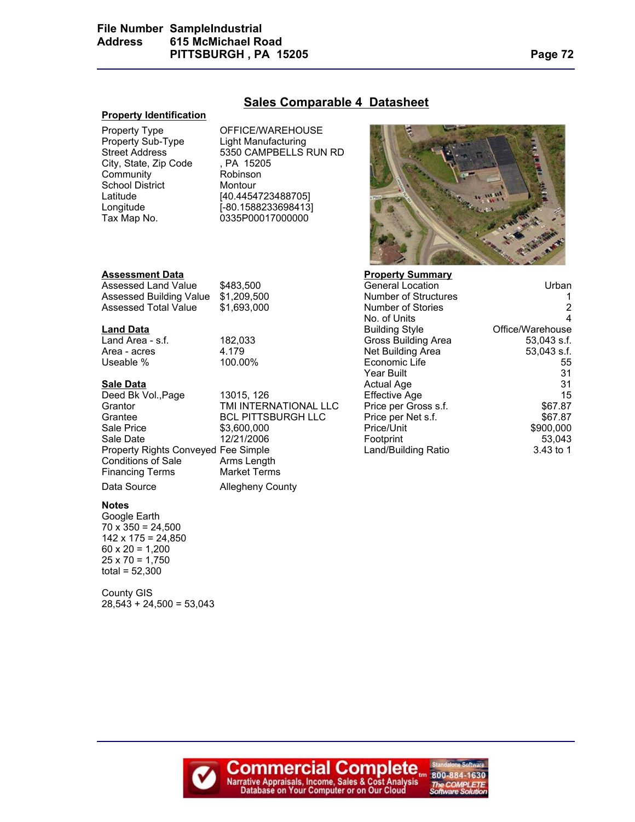Property Type **OFFICE/WAREHOUSE** Property Sub-Type Light Manufacturing City, State, Zip Code Community<br>
School District<br>
Montour School District<br>Latitude Latitude [40.4454723488705]<br>Longitude [-80.1588233698413 Longitude [-80.1588233698413]

Street Address 6350 CAMPBELLS RUN RD<br>City, State, Zip Code FRA 15205 0335P00017000000

### **Sales Comparable 4 Datasheet**



| Assessed Land Value            | \$483.500  |
|--------------------------------|------------|
| <b>Assessed Building Value</b> | \$1,209,50 |
| Assessed Total Value           | \$1,693,00 |
|                                |            |

| Land Area - s.f. | 182             |
|------------------|-----------------|
| Area - acres     | 4.1             |
| Useable %        | 10 <sub>C</sub> |

Conditions of Sale **Arms Length** Financing Terms Market Terms

Data Source **Allegheny County** 

**Notes** Google Earth  $70 \times 350 = 24,500$  $142 \times 175 = 24,850$  $60 \times 20 = 1,200$  $25 \times 70 = 1,750$  $total = 52,300$ 

County GIS  $28,543 + 24,500 = 53,043$ 

# Grantor TMI INTERNATIONAL LLC Price per Gross s<br>Grantee BCL PITTSBURGH LLC Price per Net s.f. Sale Date 12/21/2006 **Footprint** 63,043 Property Rights Conveyed Fee Simple Land/Building Ratio 3.43 to 1

#### Assessed Contract Location Contract Location Urban<br>1 1930 General Location Urban<br>1 Assessed Building Value \$1,209,500 Number of Structures 1 **Number of Stories** No. of Units 4 **Land Data Building Style Contract Contract Contract Development Building Style Contract Office/Warehouse** Land Area - s.f. 182,033 Gross Building Area 53,043 s.f. Area - Area - Area 53,043 S.f. Area 53,043 s.f. Area 53,043 s.f. Area 53,043 s.f. Area 53,043 s.f. Area 53,043 Useable % 100.00% Economic Life 55 Year Built 31 **Sale Data** 31 **Sale Data** Actual Age **31** Deed Bk Vol.,Page 13015, 126 Effective Age Effective Age 15<br>Grantor TMI INTERNATIONAL LLC Price per Gross s.f. \$67.87 Grantee BCL PITTSBURGH LLC Price per Net s.f. \$67.87 Sale Price \$3,600,000 Price/Unit \$900,000

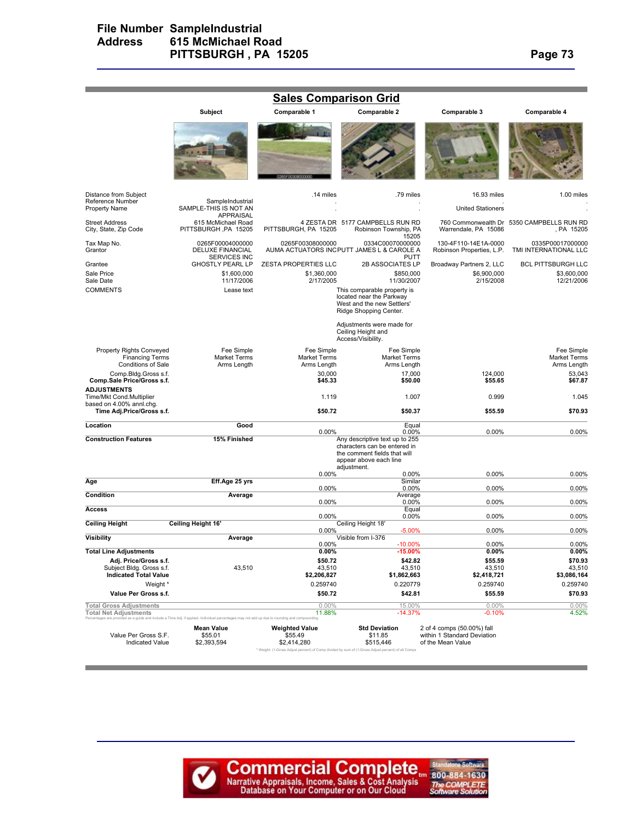| <b>Sales Comparison Grid</b>                                                                                                                                                                    |                                                               |                                                            |                                                                                                                                                           |                                                                                |                                                         |  |
|-------------------------------------------------------------------------------------------------------------------------------------------------------------------------------------------------|---------------------------------------------------------------|------------------------------------------------------------|-----------------------------------------------------------------------------------------------------------------------------------------------------------|--------------------------------------------------------------------------------|---------------------------------------------------------|--|
|                                                                                                                                                                                                 | Subject                                                       | Comparable 1                                               | Comparable 2                                                                                                                                              | Comparable 3                                                                   | Comparable 4                                            |  |
|                                                                                                                                                                                                 |                                                               |                                                            |                                                                                                                                                           |                                                                                |                                                         |  |
| Distance from Subject<br>Reference Number                                                                                                                                                       |                                                               | .14 miles                                                  | .79 miles                                                                                                                                                 | 16.93 miles                                                                    | 1.00 miles                                              |  |
| Property Name                                                                                                                                                                                   | SampleIndustrial<br>SAMPLE-THIS IS NOT AN<br><b>APPRAISAL</b> |                                                            |                                                                                                                                                           | <b>United Stationers</b>                                                       |                                                         |  |
| <b>Street Address</b><br>City, State, Zip Code                                                                                                                                                  | 615 McMichael Road<br>PITTSBURGH, PA 15205                    | PITTSBURGH, PA 15205                                       | 4 ZESTA DR 5177 CAMPBELLS RUN RD<br>Robinson Township, PA                                                                                                 | Warrendale, PA 15086                                                           | 760 Commonwealth Dr 5350 CAMPBELLS RUN RD<br>, PA 15205 |  |
| Tax Map No.<br>Grantor                                                                                                                                                                          | 0265F00004000000<br>DELUXE FINANCIAL                          | 0265F00308000000                                           | 15205<br>0334C00070000000<br>AUMA ACTUATORS INCPUTT JAMES L & CAROLE A                                                                                    | 130-4F110-14E1A-0000<br>Robinson Properties, L.P.                              | 0335P00017000000<br>TMI INTERNATIONAL LLC               |  |
| Grantee                                                                                                                                                                                         | SERVICES INC<br><b>GHOSTLY PEARL LP</b>                       | ZESTA PROPERTIES LLC                                       | PUTT<br>2B ASSOCIATES LP                                                                                                                                  | Broadway Partners 2, LLC                                                       | <b>BCL PITTSBURGH LLC</b>                               |  |
| Sale Price                                                                                                                                                                                      | \$1,600,000                                                   | \$1,360,000                                                | \$850,000                                                                                                                                                 | \$6,900,000                                                                    | \$3,600,000                                             |  |
| Sale Date<br><b>COMMENTS</b>                                                                                                                                                                    | 11/17/2006<br>Lease text                                      | 2/17/2005                                                  | 11/30/2007<br>This comparable property is<br>located near the Parkway<br>West and the new Settlers'<br>Ridge Shopping Center.                             | 2/15/2008                                                                      | 12/21/2006                                              |  |
|                                                                                                                                                                                                 |                                                               |                                                            | Adjustments were made for<br>Ceiling Height and<br>Access/Visibility.                                                                                     |                                                                                |                                                         |  |
| <b>Property Rights Conveyed</b><br><b>Financing Terms</b><br>Conditions of Sale                                                                                                                 | Fee Simple<br>Market Terms<br>Arms Length                     | Fee Simple<br><b>Market Terms</b><br>Arms Length<br>30.000 | Fee Simple<br><b>Market Terms</b><br>Arms Length                                                                                                          |                                                                                | Fee Simple<br>Market Terms<br>Arms Length<br>53.043     |  |
| Comp.Bldg.Gross s.f.<br>Comp.Sale Price/Gross s.f.<br><b>ADJUSTMENTS</b>                                                                                                                        |                                                               | \$45.33                                                    | 17,000<br>\$50.00                                                                                                                                         | 124.000<br>\$55.65                                                             | \$67.87                                                 |  |
| Time/Mkt Cond.Multiplier<br>based on 4.00% annl.chg.<br>Time Adj.Price/Gross s.f.                                                                                                               |                                                               | 1.119<br>\$50.72                                           | 1.007<br>\$50.37                                                                                                                                          | 0.999<br>\$55.59                                                               | 1.045<br>\$70.93                                        |  |
| Location                                                                                                                                                                                        | Good                                                          |                                                            | Equal                                                                                                                                                     |                                                                                |                                                         |  |
| <b>Construction Features</b>                                                                                                                                                                    | 15% Finished                                                  | 0.00%<br>0.00%                                             | 0.00%<br>Any descriptive text up to 255<br>characters can be entered in<br>the comment fields that will<br>appear above each line<br>adjustment.<br>0.00% | 0.00%<br>0.00%                                                                 | 0.00%<br>0.00%                                          |  |
| Age                                                                                                                                                                                             | Eff.Age 25 yrs                                                | 0.00%                                                      | Similar<br>0.00%                                                                                                                                          | 0.00%                                                                          | 0.00%                                                   |  |
| Condition                                                                                                                                                                                       | Average                                                       | 0.00%                                                      | Average<br>0.00%                                                                                                                                          | 0.00%                                                                          | 0.00%                                                   |  |
| <b>Access</b>                                                                                                                                                                                   |                                                               | 0.00%                                                      | Equal<br>0.00%                                                                                                                                            | 0.00%                                                                          | 0.00%                                                   |  |
| <b>Ceiling Height</b>                                                                                                                                                                           | <b>Ceiling Height 16'</b>                                     | 0.00%                                                      | Ceiling Height 18'<br>$-5.00%$                                                                                                                            | 0.00%                                                                          | 0.00%                                                   |  |
| <b>Visibility</b>                                                                                                                                                                               | Average                                                       | 0.00%                                                      | Visible from I-376<br>$-10.00%$                                                                                                                           | 0.00%                                                                          | 0.00%                                                   |  |
| <b>Total Line Adjustments</b>                                                                                                                                                                   |                                                               | $0.00\%$                                                   | $-15.00%$                                                                                                                                                 | $0.00\%$                                                                       | 0.00%                                                   |  |
| Adj. Price/Gross s.f.                                                                                                                                                                           |                                                               | \$50.72                                                    | \$42.82                                                                                                                                                   | \$55.59                                                                        | \$70.93                                                 |  |
| Subject Bldg. Gross s.f.<br><b>Indicated Total Value</b>                                                                                                                                        | 43,510                                                        | 43,510<br>\$2,206,827                                      | 43,510<br>\$1,862,663                                                                                                                                     | 43,510<br>\$2,418,721                                                          | 43,510<br>\$3,086,164                                   |  |
| Weight *                                                                                                                                                                                        |                                                               | 0.259740                                                   | 0.220779                                                                                                                                                  | 0.259740                                                                       | 0.259740                                                |  |
| Value Per Gross s.f.                                                                                                                                                                            |                                                               | \$50.72                                                    | \$42.81                                                                                                                                                   | \$55.59                                                                        | \$70.93                                                 |  |
| <b>Total Gross Adjustments</b><br><b>Total Net Adiustments</b>                                                                                                                                  |                                                               | 0.00%<br>11.88%                                            | 15.00%<br>$-14.37%$                                                                                                                                       | $0.00\%$<br>$-0.10%$                                                           | 0.00%<br>4.52%                                          |  |
| Percentages are provided as a guide and include a Time Adj. if applied. Individual percentages may not add up due to rounding and compounding<br>Value Per Gross S.F.<br><b>Indicated Value</b> | <b>Mean Value</b><br>\$55.01<br>\$2,393,594                   | <b>Weighted Value</b><br>\$55.49<br>\$2,414,280            | <b>Std Deviation</b><br>\$11.85<br>\$515,446<br>* Weight: (1-Gross Adjust.percent) of Comp divided by sum of (1-Gross Adjust.percent) of all Comps        | 2 of 4 comps (50.00%) fall<br>within 1 Standard Deviation<br>of the Mean Value |                                                         |  |

Commercial Complete m Standalone Software<br>
Narrative Appraisals, Income, Sales & Cost Analysis<br>
Database on Your Computer or on Our Cloud<br>
Software Solution

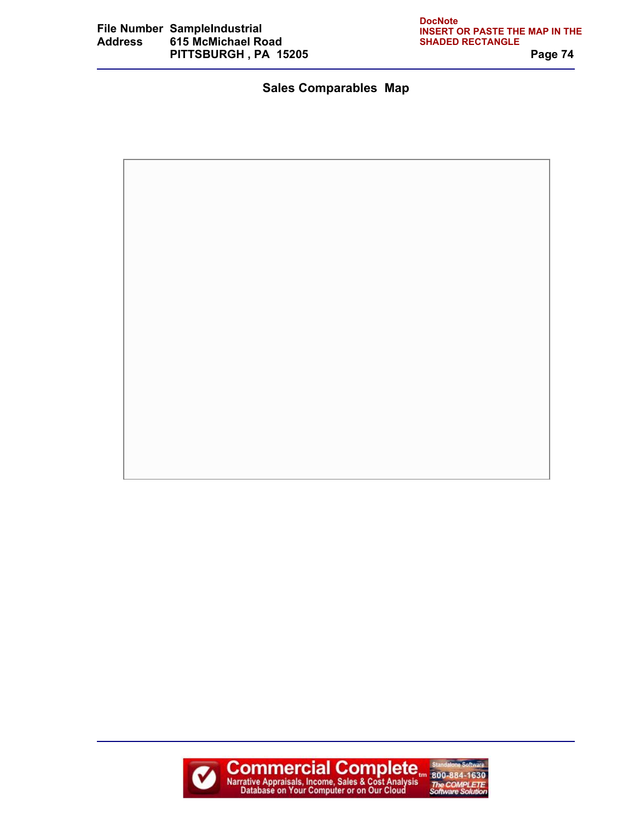### **Sales Comparables Map**



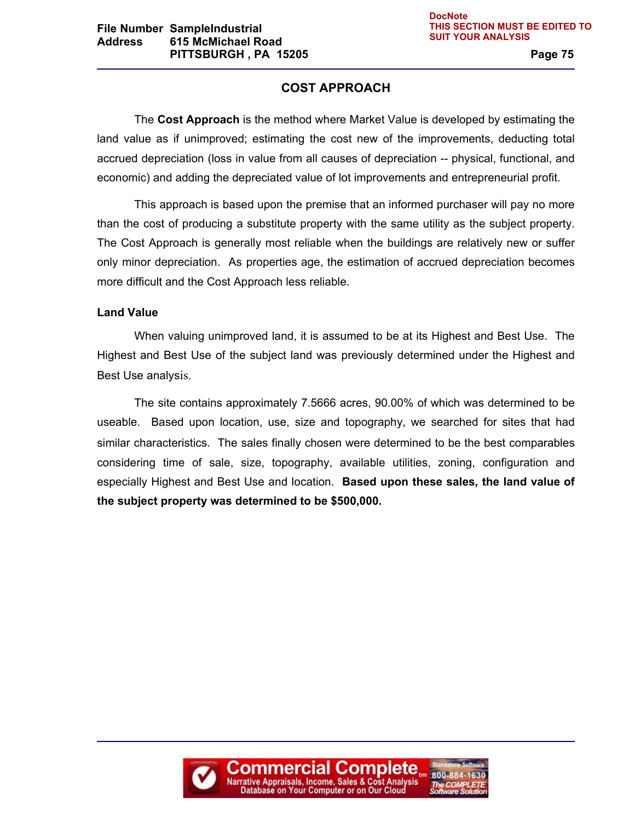## **COST APPROACH**

The **Cost Approach** is the method where Market Value is developed by estimating the land value as if unimproved; estimating the cost new of the improvements, deducting total accrued depreciation (loss in value from all causes of depreciation -- physical, functional, and economic) and adding the depreciated value of lot improvements and entrepreneurial profit.

This approach is based upon the premise that an informed purchaser will pay no more than the cost of producing a substitute property with the same utility as the subject property. The Cost Approach is generally most reliable when the buildings are relatively new or suffer only minor depreciation. As properties age, the estimation of accrued depreciation becomes more difficult and the Cost Approach less reliable.

#### **Land Value**

When valuing unimproved land, it is assumed to be at its Highest and Best Use. The Highest and Best Use of the subject land was previously determined under the Highest and Best Use analysis.

The site contains approximately 7.5666 acres, 90.00% of which was determined to be useable. Based upon location, use, size and topography, we searched for sites that had similar characteristics. The sales finally chosen were determined to be the best comparables considering time of sale, size, topography, available utilities, zoning, configuration and especially Highest and Best Use and location. **Based upon these sales, the land value of the subject property was determined to be \$500,000.**

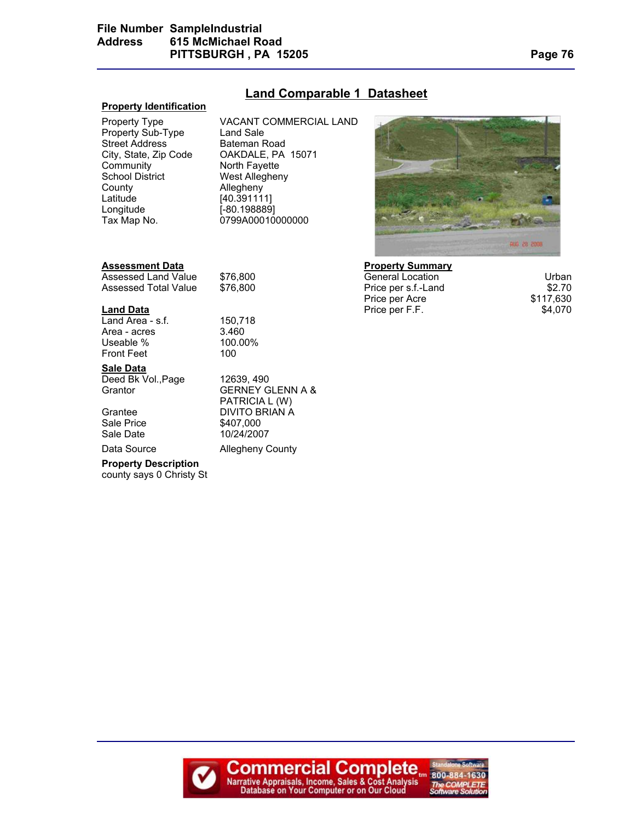#### **Property Identification**

Property Sub-Type Land Sale<br>Street Address Bateman Road Street Address<br>City, State, Zip Code City, State, Zip Code OAKDALE, PA 15071<br>Community **Contains Contain** North Fayette Community<br>
School District<br>
West Alleghen School District West Allegheny<br>
County Allegheny County<br>
Latitude 610.391111 Latitude [40.391111]<br>
Longitude [-80.198889] Longitude [-80.198889]<br>Tax Map No. 0799A00010

# **Land Comparable 1 Datasheet**

Property Type **VACANT COMMERCIAL LAND**<br>Property Sub-Type Land Sale 0799A00010000000



| <b>Assessment Data</b>      |                             | <b>Property Summary</b> |           |
|-----------------------------|-----------------------------|-------------------------|-----------|
| Assessed Land Value         | \$76,800                    | General Location        | Urban     |
| <b>Assessed Total Value</b> | \$76,800                    | Price per s.f.-Land     | \$2.70    |
|                             |                             | Price per Acre          | \$117,630 |
| <b>Land Data</b>            |                             | Price per F.F.          | \$4,070   |
| Land Area - s.f.            | 150,718                     |                         |           |
| Area - acres                | 3.460                       |                         |           |
| Useable %                   | 100.00%                     |                         |           |
| <b>Front Feet</b>           | 100                         |                         |           |
| Sale Data                   |                             |                         |           |
| Deed Bk Vol., Page          | 12639, 490                  |                         |           |
| Grantor                     | <b>GERNEY GLENN A &amp;</b> |                         |           |
|                             | PATRICIA L (W)              |                         |           |
| Grantee                     | DIVITO BRIAN A              |                         |           |
| Sale Price                  | \$407,000                   |                         |           |
| Sale Date                   | 10/24/2007                  |                         |           |
| Data Source                 | <b>Allegheny County</b>     |                         |           |
|                             |                             |                         |           |

# **Property Description**

county says 0 Christy St

| <b>Property Summary</b> |           |
|-------------------------|-----------|
| <b>General Location</b> | Urban     |
| Price per s.f.-Land     | \$2.70    |
| Price per Acre          | \$117.630 |
| Price per F.F.          | \$4.070   |

800-884-

The COM

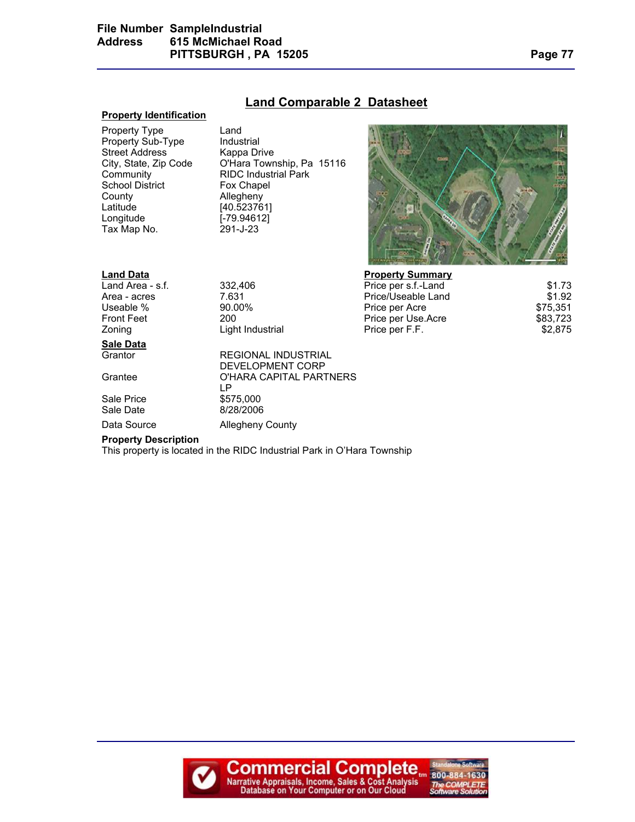# **Property Identification**

Property Type Land<br>Property Sub-Type Industrial Property Sub-Type Street Address Kappa Drive Community RIDC Industrial Park<br>School District Fox Chapel School District<br>County County<br>
Latitude 619 140.52376 Longitude [-79.94612] Tax Map No. 291-J-23

City, State, Zip Code O'Hara Township, Pa 15116  $[40.523761]$ 



Price per Acre

# **Land Data**<br> **Land Area - s.f.** 332,406 **Property Summary**<br> **Price per s.f.-Land**

Zoning Light Industrial Price per F.F. \$2,875

Land Area - s.f. 332,406 Price per s.f.-Land \$1.73 Area - acres 7.631 Price/Useable Land \$1.92 Front Feet 200 200 Price per Use.Acre \$83,723

# **Sale Data**

Sale Price \$575,000<br>Sale Date \$/28/2006

Grantor REGIONAL INDUSTRIAL DEVELOPMENT CORP Grantee O'HARA CAPITAL PARTNERS LP 8/28/2006 Data Source **Allegheny County** 

#### **Property Description**

This property is located in the RIDC Industrial Park in O'Hara Township



# **Land Comparable 2 Datasheet**

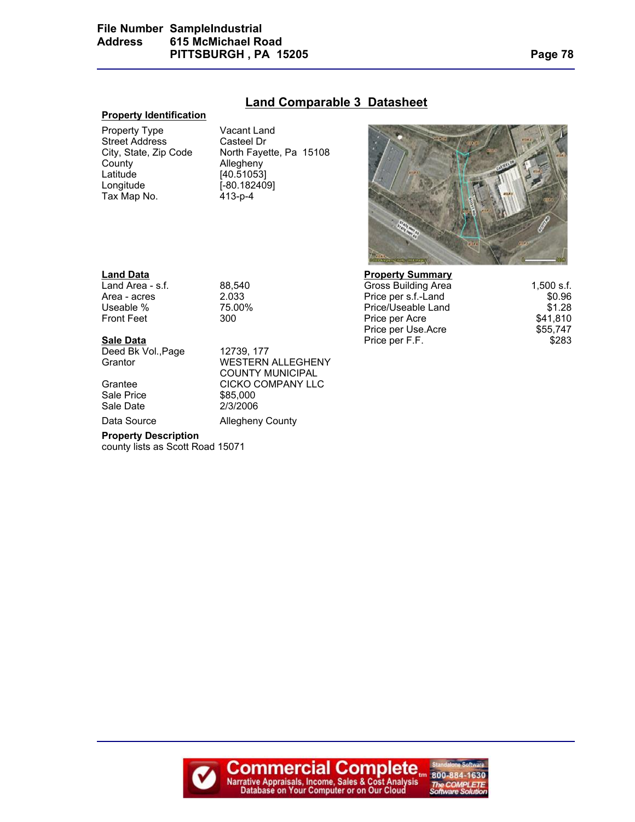#### **Property Identification**

Property Type **Vacant Land** Street Address Casteel Dr<br>City, State, Zip Code North Faye County **Allegheny**<br>
Latitude [40.51053] Latitude [40.51053]<br>Longitude [-80.18240] Tax Map No.

City, State, Zip Code North Fayette, Pa 15108  $[-80.182409]$ <br>413-p-4

**Land Comparable 3 Datasheet**



| Land Area - s.f.  |  |
|-------------------|--|
| Area - acres      |  |
| Useable %         |  |
| <b>Front Feet</b> |  |

Deed Bk Vol., Page 12739, 177

Sale Price \$85,000<br>Sale Date 2/3/2006 Sale Date

Grantor WESTERN ALLEGHENY COUNTY MUNICIPAL Grantee CICKO COMPANY LLC<br>
Sale Price \$85.000 Data Source **Allegheny County** 

#### **Land Data Property Summary**<br> **Land Area - s.f.** 88.540 **Property Summary**<br> **Property Summary** Page 1,500 s.f.<br>
2.033 Price per s.f. - Land \$0.96 Area - acres 2.033 Price per s.f.-Land \$0.96 Price/Useable Land Frice per Acre **1996** S41,810 Price per Use.Acre **\$55,747 Sale Data Sale Data Sale Data Price per F.F.** \$283

#### **Property Description**

county lists as Scott Road 15071

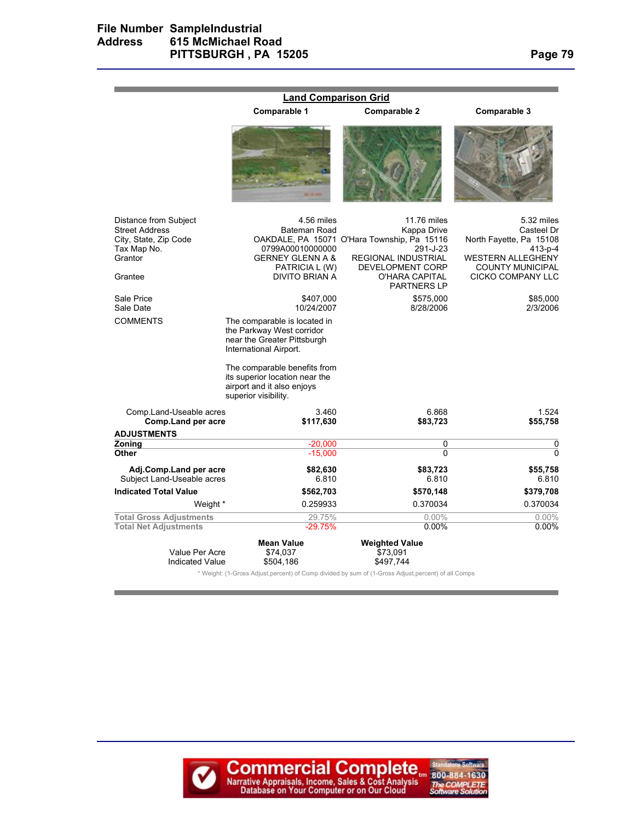|                                                                                                              | <b>Land Comparison Grid</b>                                                                                                                        |                                                                                                                                                                                 |                                                                                                                                                   |
|--------------------------------------------------------------------------------------------------------------|----------------------------------------------------------------------------------------------------------------------------------------------------|---------------------------------------------------------------------------------------------------------------------------------------------------------------------------------|---------------------------------------------------------------------------------------------------------------------------------------------------|
|                                                                                                              | Comparable 1                                                                                                                                       | Comparable 2                                                                                                                                                                    | Comparable 3                                                                                                                                      |
|                                                                                                              |                                                                                                                                                    |                                                                                                                                                                                 |                                                                                                                                                   |
| Distance from Subject<br><b>Street Address</b><br>City, State, Zip Code<br>Tax Map No.<br>Grantor<br>Grantee | 4.56 miles<br>Bateman Road<br>0799A00010000000<br><b>GERNEY GLENN A &amp;</b><br>PATRICIA L (W)<br><b>DIVITO BRIAN A</b>                           | 11.76 miles<br>Kappa Drive<br>OAKDALE, PA 15071 O'Hara Township, Pa 15116<br>291-J-23<br><b>REGIONAL INDUSTRIAL</b><br>DEVELOPMENT CORP<br>O'HARA CAPITAL<br><b>PARTNERS LP</b> | 5.32 miles<br>Casteel Dr<br>North Fayette, Pa 15108<br>413-p-4<br><b>WESTERN ALLEGHENY</b><br><b>COUNTY MUNICIPAL</b><br><b>CICKO COMPANY LLC</b> |
| Sale Price<br>Sale Date                                                                                      | \$407,000<br>10/24/2007                                                                                                                            | \$575,000<br>8/28/2006                                                                                                                                                          | \$85,000<br>2/3/2006                                                                                                                              |
| <b>COMMENTS</b>                                                                                              | The comparable is located in<br>the Parkway West corridor<br>near the Greater Pittsburgh<br>International Airport.<br>The comparable benefits from |                                                                                                                                                                                 |                                                                                                                                                   |
|                                                                                                              | its superior location near the<br>airport and it also enjoys<br>superior visibility.                                                               |                                                                                                                                                                                 |                                                                                                                                                   |
| Comp.Land-Useable acres<br>Comp.Land per acre                                                                | 3.460<br>\$117,630                                                                                                                                 | 6.868<br>\$83,723                                                                                                                                                               | 1.524<br>\$55,758                                                                                                                                 |
| <b>ADJUSTMENTS</b>                                                                                           |                                                                                                                                                    |                                                                                                                                                                                 |                                                                                                                                                   |
| Zoning                                                                                                       | $-20,000$                                                                                                                                          | 0                                                                                                                                                                               | 0                                                                                                                                                 |
| <b>Other</b>                                                                                                 | $-15,000$                                                                                                                                          | $\Omega$                                                                                                                                                                        | 0                                                                                                                                                 |
| Adj.Comp.Land per acre<br>Subject Land-Useable acres                                                         | \$82,630<br>6.810                                                                                                                                  | \$83,723<br>6.810                                                                                                                                                               | \$55,758<br>6.810                                                                                                                                 |
| <b>Indicated Total Value</b>                                                                                 | \$562,703                                                                                                                                          | \$570,148                                                                                                                                                                       | \$379,708                                                                                                                                         |
|                                                                                                              |                                                                                                                                                    |                                                                                                                                                                                 |                                                                                                                                                   |
| Weight *                                                                                                     | 0.259933                                                                                                                                           | 0.370034                                                                                                                                                                        | 0.370034                                                                                                                                          |
| <b>Total Gross Adjustments</b><br><b>Total Net Adjustments</b>                                               | 29.75%<br>$-29.75%$                                                                                                                                | $0.00\%$<br>0.00%                                                                                                                                                               | $0.00\%$<br>0.00%                                                                                                                                 |
| Value Per Acre<br><b>Indicated Value</b>                                                                     | <b>Mean Value</b><br>\$74,037<br>\$504,186                                                                                                         | <b>Weighted Value</b><br>\$73,091<br>\$497,744                                                                                                                                  |                                                                                                                                                   |

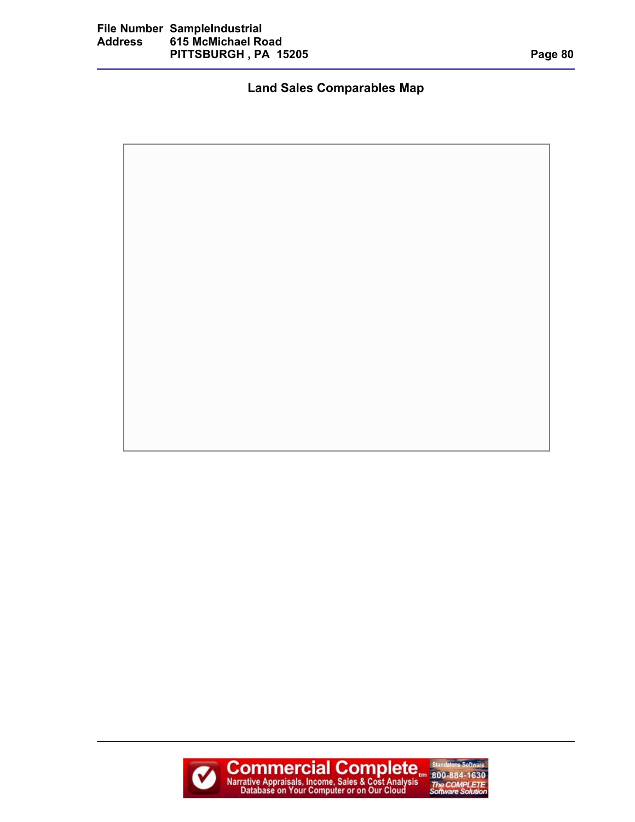**Land Sales Comparables Map**



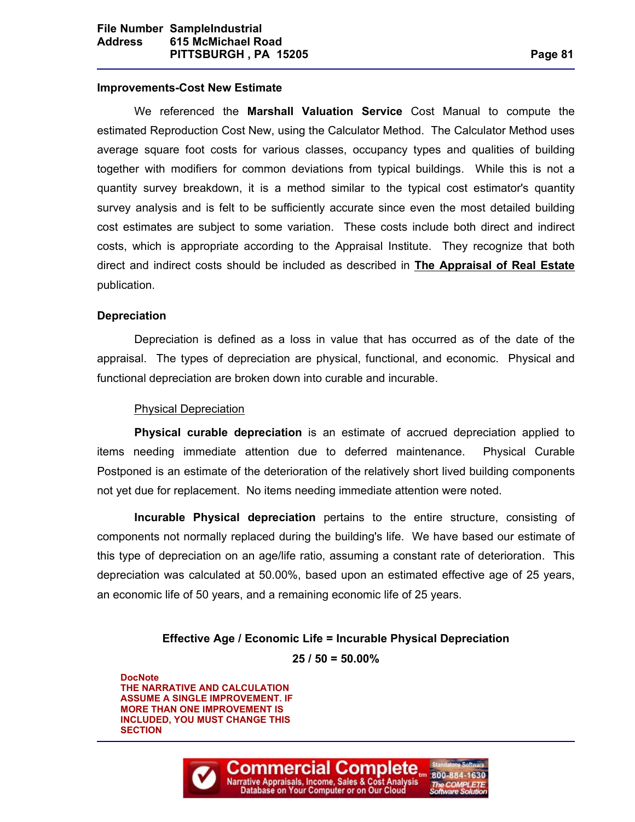#### **Improvements-Cost New Estimate**

We referenced the **Marshall Valuation Service** Cost Manual to compute the estimated Reproduction Cost New, using the Calculator Method. The Calculator Method uses average square foot costs for various classes, occupancy types and qualities of building together with modifiers for common deviations from typical buildings. While this is not a quantity survey breakdown, it is a method similar to the typical cost estimator's quantity survey analysis and is felt to be sufficiently accurate since even the most detailed building cost estimates are subject to some variation. These costs include both direct and indirect costs, which is appropriate according to the Appraisal Institute. They recognize that both direct and indirect costs should be included as described in **The Appraisal of Real Estate** publication.

#### **Depreciation**

Depreciation is defined as a loss in value that has occurred as of the date of the appraisal. The types of depreciation are physical, functional, and economic. Physical and functional depreciation are broken down into curable and incurable.

#### Physical Depreciation

**Physical curable depreciation** is an estimate of accrued depreciation applied to items needing immediate attention due to deferred maintenance. Physical Curable Postponed is an estimate of the deterioration of the relatively short lived building components not yet due for replacement. No items needing immediate attention were noted.

**Incurable Physical depreciation** pertains to the entire structure, consisting of components not normally replaced during the building's life. We have based our estimate of this type of depreciation on an age/life ratio, assuming a constant rate of deterioration. This depreciation was calculated at 50.00%, based upon an estimated effective age of 25 years, an economic life of 50 years, and a remaining economic life of 25 years.

#### **Effective Age / Economic Life = Incurable Physical Depreciation**

**25 / 50 = 50.00%**

800-884-

**The COMPLET**<br>Software Soluti

**DocNote THE NARRATIVE AND CALCULATION ASSUME A SINGLE IMPROVEMENT. IF MORE THAN ONE IMPROVEMENT IS INCLUDED, YOU MUST CHANGE THIS SECTION**

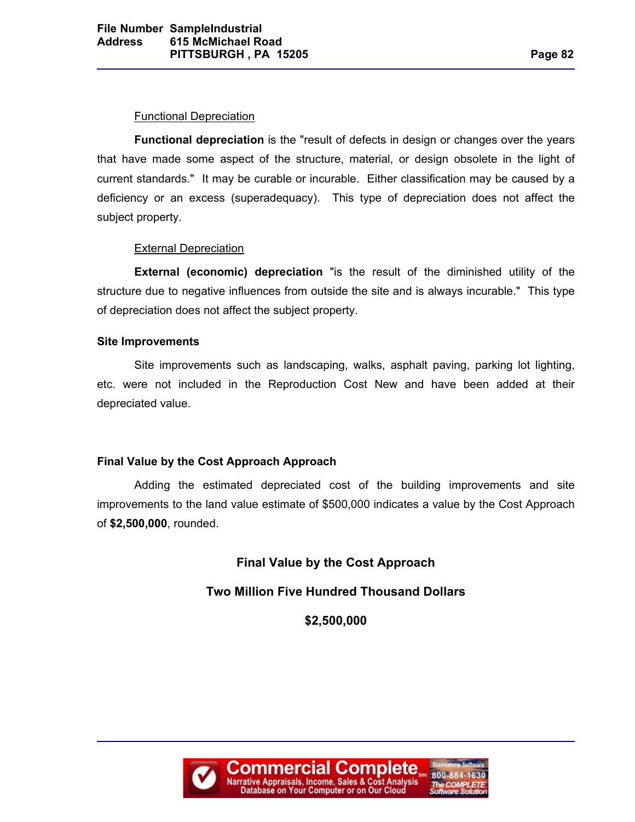### Functional Depreciation

**Functional depreciation** is the "result of defects in design or changes over the years that have made some aspect of the structure, material, or design obsolete in the light of current standards." It may be curable or incurable. Either classification may be caused by a deficiency or an excess (superadequacy). This type of depreciation does not affect the subject property.

### External Depreciation

**External (economic) depreciation** "is the result of the diminished utility of the structure due to negative influences from outside the site and is always incurable." This type of depreciation does not affect the subject property.

#### **Site Improvements**

Site improvements such as landscaping, walks, asphalt paving, parking lot lighting, etc. were not included in the Reproduction Cost New and have been added at their depreciated value.

### **Final Value by the Cost Approach Approach**

Adding the estimated depreciated cost of the building improvements and site improvements to the land value estimate of \$500,000 indicates a value by the Cost Approach of **\$2,500,000**, rounded.

**Final Value by the Cost Approach**

**Two Million Five Hundred Thousand Dollars**

**\$2,500,000**

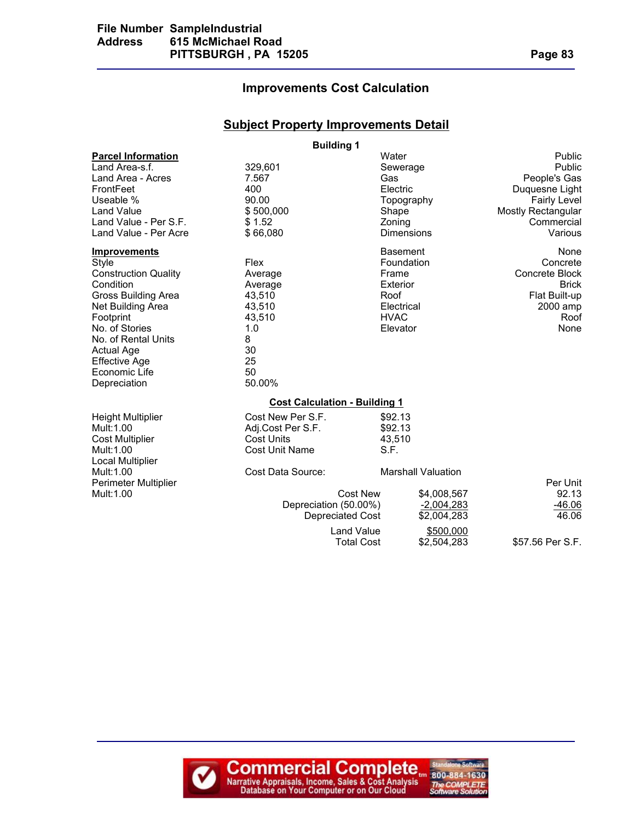# **Improvements Cost Calculation**

#### **Subject Property Improvements Detail**

|                                                                                                                                                                                                                                                                 | <b>Building 1</b>                                                                                |                                                                                                     |                                                                                                                          |  |  |  |  |
|-----------------------------------------------------------------------------------------------------------------------------------------------------------------------------------------------------------------------------------------------------------------|--------------------------------------------------------------------------------------------------|-----------------------------------------------------------------------------------------------------|--------------------------------------------------------------------------------------------------------------------------|--|--|--|--|
| <b>Parcel Information</b><br>Land Area-s.f.<br>Land Area - Acres<br>FrontFeet<br>Useable %<br><b>Land Value</b><br>Land Value - Per S.F.<br>Land Value - Per Acre                                                                                               | 329,601<br>7.567<br>400<br>90.00<br>\$500,000<br>\$1.52<br>\$66,080                              | Water<br>Sewerage<br>Gas<br>Electric<br>Topography<br>Shape<br>Zoning<br><b>Dimensions</b>          | Public<br>Public<br>People's Gas<br>Duquesne Light<br><b>Fairly Level</b><br>Mostly Rectangular<br>Commercial<br>Various |  |  |  |  |
| <b>Improvements</b><br>Style<br><b>Construction Quality</b><br>Condition<br><b>Gross Building Area</b><br>Net Building Area<br>Footprint<br>No. of Stories<br>No. of Rental Units<br><b>Actual Age</b><br><b>Effective Age</b><br>Economic Life<br>Depreciation | Flex<br>Average<br>Average<br>43,510<br>43,510<br>43,510<br>1.0<br>8<br>30<br>25<br>50<br>50.00% | <b>Basement</b><br>Foundation<br>Frame<br>Exterior<br>Roof<br>Electrical<br><b>HVAC</b><br>Elevator | None<br>Concrete<br><b>Concrete Block</b><br><b>Brick</b><br>Flat Built-up<br>2000 amp<br>Roof<br>None                   |  |  |  |  |
|                                                                                                                                                                                                                                                                 | <b>Cost Calculation - Building 1</b>                                                             |                                                                                                     |                                                                                                                          |  |  |  |  |
| <b>Height Multiplier</b><br>Mult:1.00<br><b>Cost Multiplier</b><br>Mult:1.00<br>Local Multiplier                                                                                                                                                                | Cost New Per S.F.<br>Adj.Cost Per S.F.<br><b>Cost Units</b><br><b>Cost Unit Name</b>             | \$92.13<br>\$92.13<br>43,510<br>S.F.                                                                |                                                                                                                          |  |  |  |  |
| Mult:1.00<br>Perimeter Multiplier<br>Mult:1.00                                                                                                                                                                                                                  | Cost Data Source:<br><b>Cost New</b><br>Depreciation (50.00%)<br>Depreciated Cost<br>Land Value  | <b>Marshall Valuation</b><br>\$4,008,567<br>$-2,004,283$<br>\$2,004,283                             | Per Unit<br>92.13<br>$-46.06$<br>46.06                                                                                   |  |  |  |  |
|                                                                                                                                                                                                                                                                 | <b>Total Cost</b>                                                                                | \$500,000<br>\$2,504,283                                                                            | \$57.56 Per S.F.                                                                                                         |  |  |  |  |

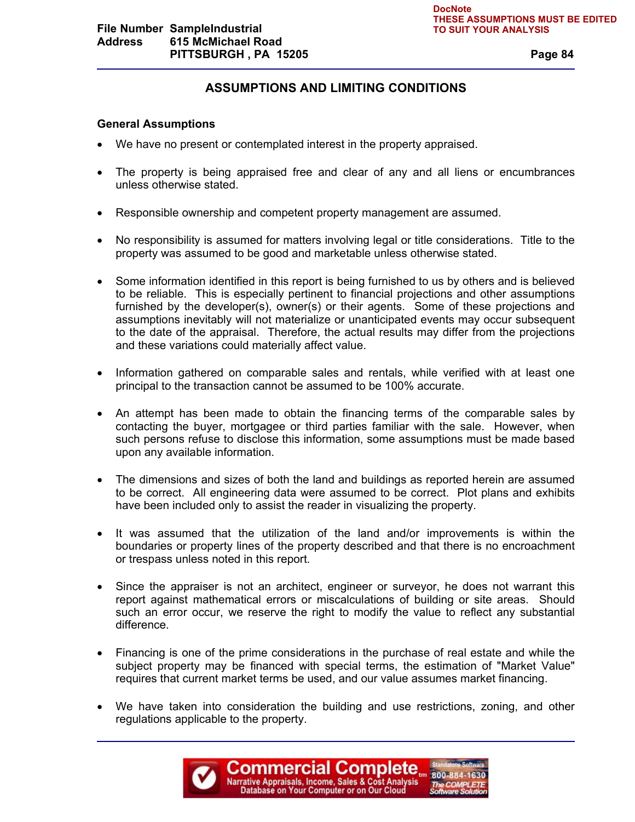## **ASSUMPTIONS AND LIMITING CONDITIONS**

#### **General Assumptions**

- · We have no present or contemplated interest in the property appraised.
- The property is being appraised free and clear of any and all liens or encumbrances unless otherwise stated.
- · Responsible ownership and competent property management are assumed.
- · No responsibility is assumed for matters involving legal or title considerations. Title to the property was assumed to be good and marketable unless otherwise stated.
- Some information identified in this report is being furnished to us by others and is believed to be reliable. This is especially pertinent to financial projections and other assumptions furnished by the developer(s), owner(s) or their agents. Some of these projections and assumptions inevitably will not materialize or unanticipated events may occur subsequent to the date of the appraisal. Therefore, the actual results may differ from the projections and these variations could materially affect value.
- · Information gathered on comparable sales and rentals, while verified with at least one principal to the transaction cannot be assumed to be 100% accurate.
- · An attempt has been made to obtain the financing terms of the comparable sales by contacting the buyer, mortgagee or third parties familiar with the sale. However, when such persons refuse to disclose this information, some assumptions must be made based upon any available information.
- The dimensions and sizes of both the land and buildings as reported herein are assumed to be correct. All engineering data were assumed to be correct. Plot plans and exhibits have been included only to assist the reader in visualizing the property.
- · It was assumed that the utilization of the land and/or improvements is within the boundaries or property lines of the property described and that there is no encroachment or trespass unless noted in this report.
- Since the appraiser is not an architect, engineer or surveyor, he does not warrant this report against mathematical errors or miscalculations of building or site areas. Should such an error occur, we reserve the right to modify the value to reflect any substantial difference.
- · Financing is one of the prime considerations in the purchase of real estate and while the subject property may be financed with special terms, the estimation of "Market Value" requires that current market terms be used, and our value assumes market financing.
- · We have taken into consideration the building and use restrictions, zoning, and other regulations applicable to the property.

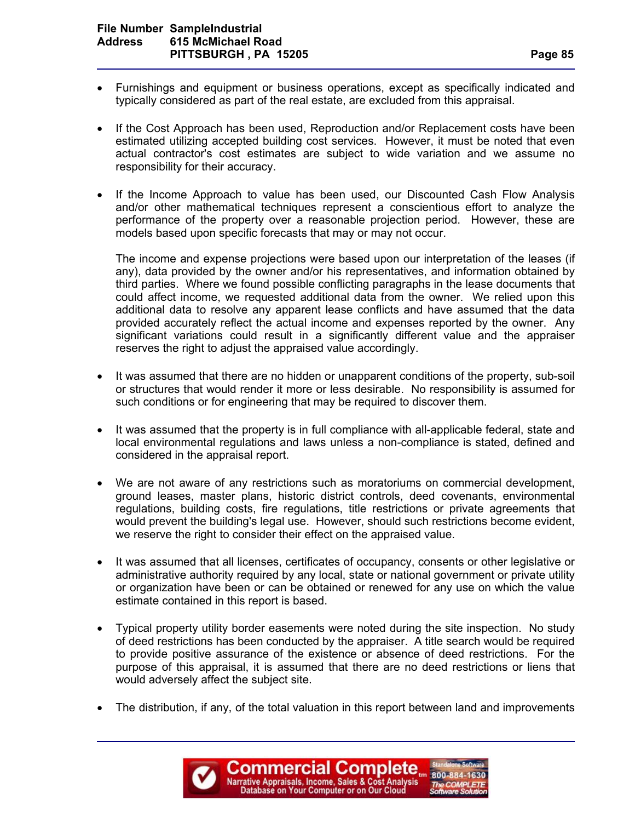- · Furnishings and equipment or business operations, except as specifically indicated and typically considered as part of the real estate, are excluded from this appraisal.
- If the Cost Approach has been used, Reproduction and/or Replacement costs have been estimated utilizing accepted building cost services. However, it must be noted that even actual contractor's cost estimates are subject to wide variation and we assume no responsibility for their accuracy.
- · If the Income Approach to value has been used, our Discounted Cash Flow Analysis and/or other mathematical techniques represent a conscientious effort to analyze the performance of the property over a reasonable projection period. However, these are models based upon specific forecasts that may or may not occur.

The income and expense projections were based upon our interpretation of the leases (if any), data provided by the owner and/or his representatives, and information obtained by third parties. Where we found possible conflicting paragraphs in the lease documents that could affect income, we requested additional data from the owner. We relied upon this additional data to resolve any apparent lease conflicts and have assumed that the data provided accurately reflect the actual income and expenses reported by the owner. Any significant variations could result in a significantly different value and the appraiser reserves the right to adjust the appraised value accordingly.

- It was assumed that there are no hidden or unapparent conditions of the property, sub-soil or structures that would render it more or less desirable. No responsibility is assumed for such conditions or for engineering that may be required to discover them.
- · It was assumed that the property is in full compliance with all-applicable federal, state and local environmental regulations and laws unless a non-compliance is stated, defined and considered in the appraisal report.
- · We are not aware of any restrictions such as moratoriums on commercial development, ground leases, master plans, historic district controls, deed covenants, environmental regulations, building costs, fire regulations, title restrictions or private agreements that would prevent the building's legal use. However, should such restrictions become evident, we reserve the right to consider their effect on the appraised value.
- · It was assumed that all licenses, certificates of occupancy, consents or other legislative or administrative authority required by any local, state or national government or private utility or organization have been or can be obtained or renewed for any use on which the value estimate contained in this report is based.
- · Typical property utility border easements were noted during the site inspection. No study of deed restrictions has been conducted by the appraiser. A title search would be required to provide positive assurance of the existence or absence of deed restrictions. For the purpose of this appraisal, it is assumed that there are no deed restrictions or liens that would adversely affect the subject site.
- The distribution, if any, of the total valuation in this report between land and improvements

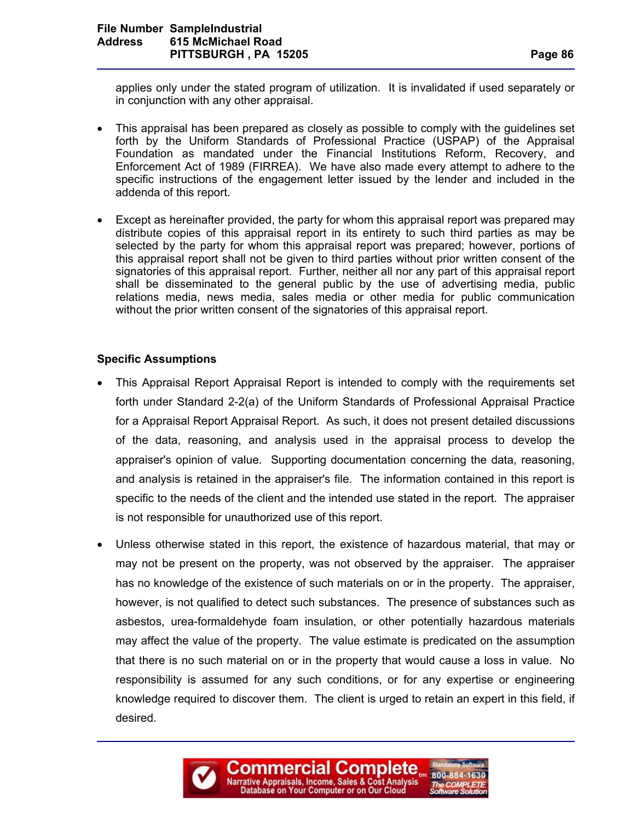applies only under the stated program of utilization. It is invalidated if used separately or in conjunction with any other appraisal.

- · This appraisal has been prepared as closely as possible to comply with the guidelines set forth by the Uniform Standards of Professional Practice (USPAP) of the Appraisal Foundation as mandated under the Financial Institutions Reform, Recovery, and Enforcement Act of 1989 (FIRREA). We have also made every attempt to adhere to the specific instructions of the engagement letter issued by the lender and included in the addenda of this report.
- · Except as hereinafter provided, the party for whom this appraisal report was prepared may distribute copies of this appraisal report in its entirety to such third parties as may be selected by the party for whom this appraisal report was prepared; however, portions of this appraisal report shall not be given to third parties without prior written consent of the signatories of this appraisal report. Further, neither all nor any part of this appraisal report shall be disseminated to the general public by the use of advertising media, public relations media, news media, sales media or other media for public communication without the prior written consent of the signatories of this appraisal report.

#### **Specific Assumptions**

- This Appraisal Report Appraisal Report is intended to comply with the requirements set forth under Standard 2-2(a) of the Uniform Standards of Professional Appraisal Practice for a Appraisal Report Appraisal Report. As such, it does not present detailed discussions of the data, reasoning, and analysis used in the appraisal process to develop the appraiser's opinion of value. Supporting documentation concerning the data, reasoning, and analysis is retained in the appraiser's file. The information contained in this report is specific to the needs of the client and the intended use stated in the report. The appraiser is not responsible for unauthorized use of this report.
- · Unless otherwise stated in this report, the existence of hazardous material, that may or may not be present on the property, was not observed by the appraiser. The appraiser has no knowledge of the existence of such materials on or in the property. The appraiser, however, is not qualified to detect such substances. The presence of substances such as asbestos, urea-formaldehyde foam insulation, or other potentially hazardous materials may affect the value of the property. The value estimate is predicated on the assumption that there is no such material on or in the property that would cause a loss in value. No responsibility is assumed for any such conditions, or for any expertise or engineering knowledge required to discover them. The client is urged to retain an expert in this field, if desired.

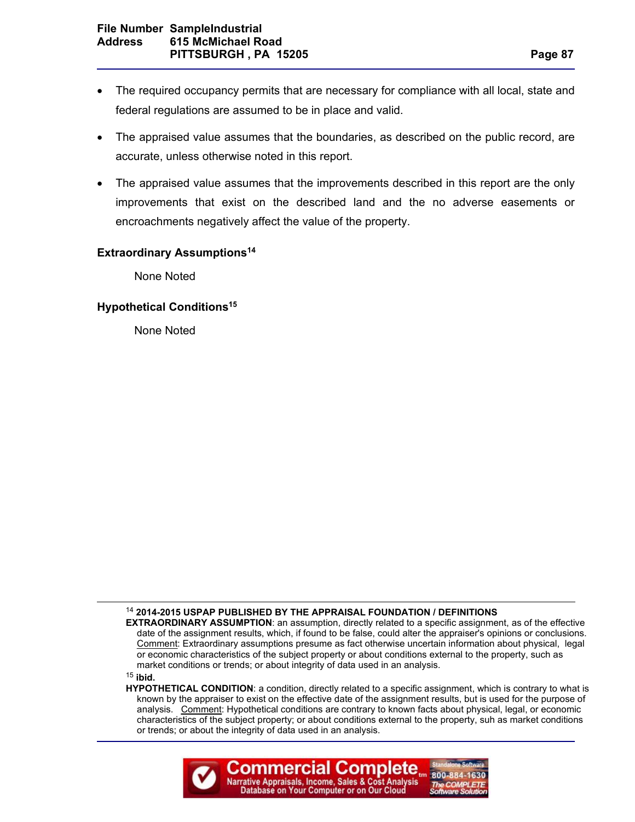- The required occupancy permits that are necessary for compliance with all local, state and federal regulations are assumed to be in place and valid.
- · The appraised value assumes that the boundaries, as described on the public record, are accurate, unless otherwise noted in this report.
- The appraised value assumes that the improvements described in this report are the only improvements that exist on the described land and the no adverse easements or encroachments negatively affect the value of the property.

#### **Extraordinary Assumptions<sup>14</sup>**

None Noted

#### **Hypothetical Conditions<sup>15</sup>**

None Noted

<sup>14</sup> **2014-2015 USPAP PUBLISHED BY THE APPRAISAL FOUNDATION / DEFINITIONS**

**EXTRAORDINARY ASSUMPTION**: an assumption, directly related to a specific assignment, as of the effective date of the assignment results, which, if found to be false, could alter the appraiser's opinions or conclusions. Comment: Extraordinary assumptions presume as fact otherwise uncertain information about physical, legal or economic characteristics of the subject property or about conditions external to the property, such as market conditions or trends; or about integrity of data used in an analysis.

<sup>15</sup> **ibid.**

**HYPOTHETICAL CONDITION**: a condition, directly related to a specific assignment, which is contrary to what is known by the appraiser to exist on the effective date of the assignment results, but is used for the purpose of analysis. Comment: Hypothetical conditions are contrary to known facts about physical, legal, or economic characteristics of the subject property; or about conditions external to the property, suh as market conditions or trends; or about the integrity of data used in an analysis.

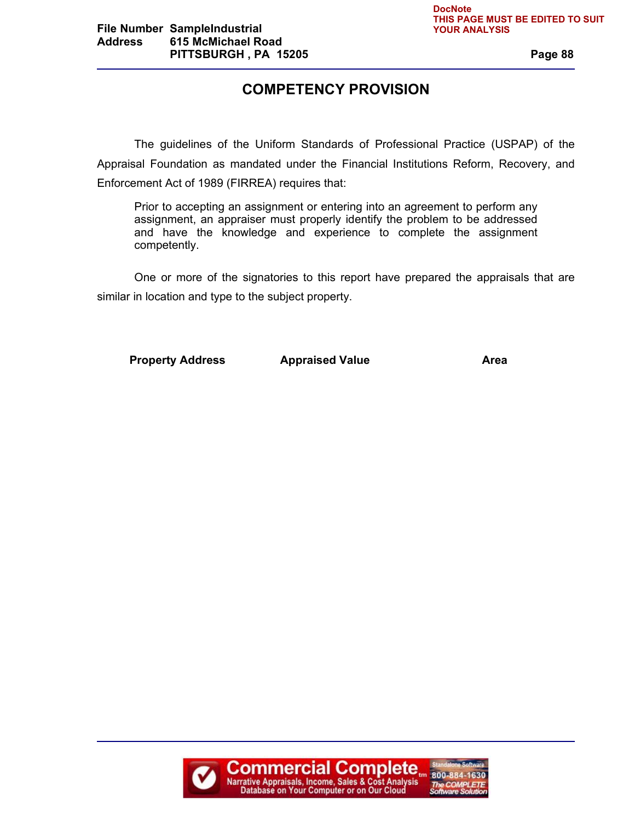# **COMPETENCY PROVISION**

The guidelines of the Uniform Standards of Professional Practice (USPAP) of the Appraisal Foundation as mandated under the Financial Institutions Reform, Recovery, and Enforcement Act of 1989 (FIRREA) requires that:

Prior to accepting an assignment or entering into an agreement to perform any assignment, an appraiser must properly identify the problem to be addressed and have the knowledge and experience to complete the assignment competently.

One or more of the signatories to this report have prepared the appraisals that are similar in location and type to the subject property.

**Property Address Appraised Value Area**